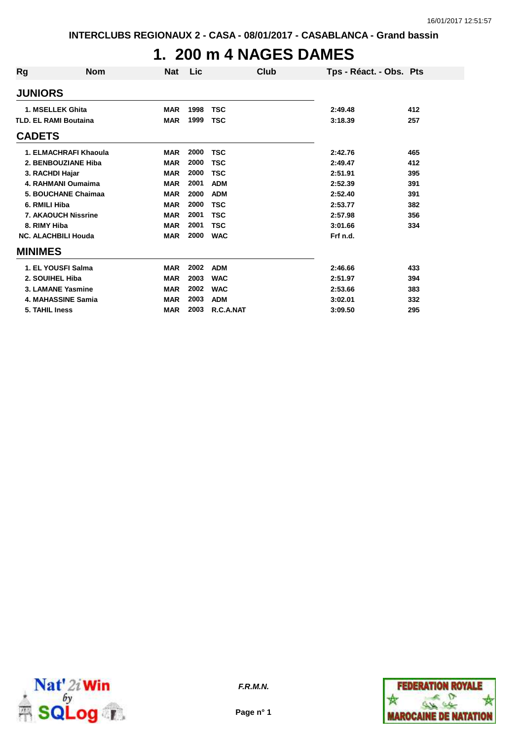### **1. 200 m 4 NAGES DAMES**

| Rg                           | <b>Nom</b>                 | <b>Nat</b> | <b>Lic</b> | Club       | Tps - Réact. - Obs. Pts |     |
|------------------------------|----------------------------|------------|------------|------------|-------------------------|-----|
| <b>JUNIORS</b>               |                            |            |            |            |                         |     |
|                              | 1. MSELLEK Ghita           | <b>MAR</b> | 1998       | <b>TSC</b> | 2:49.48                 | 412 |
| <b>TLD. EL RAMI Boutaina</b> |                            | <b>MAR</b> | 1999       | <b>TSC</b> | 3:18.39                 | 257 |
| <b>CADETS</b>                |                            |            |            |            |                         |     |
|                              | 1. ELMACHRAFI Khaoula      | <b>MAR</b> | 2000       | <b>TSC</b> | 2:42.76                 | 465 |
|                              | 2. BENBOUZIANE Hiba        | <b>MAR</b> | 2000       | <b>TSC</b> | 2:49.47                 | 412 |
| 3. RACHDI Hajar              |                            | <b>MAR</b> | 2000       | <b>TSC</b> | 2:51.91                 | 395 |
|                              | 4. RAHMANI Oumaima         | <b>MAR</b> | 2001       | <b>ADM</b> | 2:52.39                 | 391 |
|                              | 5. BOUCHANE Chaimaa        | <b>MAR</b> | 2000       | <b>ADM</b> | 2:52.40                 | 391 |
| 6. RMILI Hiba                |                            | <b>MAR</b> | 2000       | <b>TSC</b> | 2:53.77                 | 382 |
|                              | <b>7. AKAOUCH Nissrine</b> | <b>MAR</b> | 2001       | <b>TSC</b> | 2:57.98                 | 356 |
| 8. RIMY Hiba                 |                            | <b>MAR</b> | 2001       | <b>TSC</b> | 3:01.66                 | 334 |
|                              | <b>NC. ALACHBILI Houda</b> | <b>MAR</b> | 2000       | <b>WAC</b> | Frf n.d.                |     |
| <b>MINIMES</b>               |                            |            |            |            |                         |     |
|                              | 1. EL YOUSFI Salma         | <b>MAR</b> | 2002       | <b>ADM</b> | 2:46.66                 | 433 |
| 2. SOUIHEL Hiba              |                            | <b>MAR</b> | 2003       | <b>WAC</b> | 2:51.97                 | 394 |
|                              | 3. LAMANE Yasmine          | <b>MAR</b> | 2002       | <b>WAC</b> | 2:53.66                 | 383 |
|                              | 4. MAHASSINE Samia         | <b>MAR</b> | 2003       | <b>ADM</b> | 3:02.01                 | 332 |
| 5. TAHIL Iness               |                            | <b>MAR</b> | 2003       | R.C.A.NAT  | 3:09.50                 | 295 |



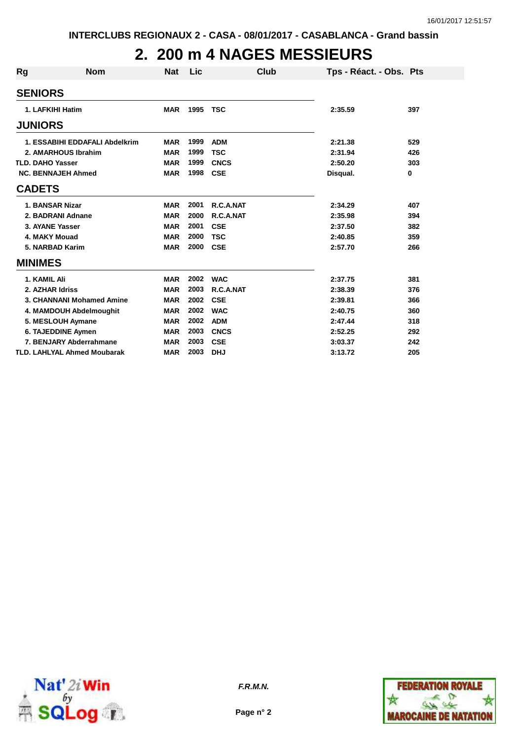# **2. 200 m 4 NAGES MESSIEURS**

| <b>Rg</b>      | <b>Nom</b>                         | <b>Nat</b> | Lic  | Club        | Tps - Réact. - Obs. Pts |     |
|----------------|------------------------------------|------------|------|-------------|-------------------------|-----|
| <b>SENIORS</b> |                                    |            |      |             |                         |     |
|                | 1. LAFKIHI Hatim                   | <b>MAR</b> | 1995 | <b>TSC</b>  | 2:35.59                 | 397 |
| <b>JUNIORS</b> |                                    |            |      |             |                         |     |
|                | 1. ESSABIHI EDDAFALI Abdelkrim     | <b>MAR</b> | 1999 | <b>ADM</b>  | 2:21.38                 | 529 |
|                | 2. AMARHOUS Ibrahim                | <b>MAR</b> | 1999 | <b>TSC</b>  | 2:31.94                 | 426 |
|                | <b>TLD. DAHO Yasser</b>            | <b>MAR</b> | 1999 | <b>CNCS</b> | 2:50.20                 | 303 |
|                | <b>NC. BENNAJEH Ahmed</b>          | <b>MAR</b> | 1998 | <b>CSE</b>  | Disqual.                | 0   |
| <b>CADETS</b>  |                                    |            |      |             |                         |     |
|                | 1. BANSAR Nizar                    | <b>MAR</b> | 2001 | R.C.A.NAT   | 2:34.29                 | 407 |
|                | 2. BADRANI Adnane                  | <b>MAR</b> | 2000 | R.C.A.NAT   | 2:35.98                 | 394 |
|                | 3. AYANE Yasser                    | <b>MAR</b> | 2001 | <b>CSE</b>  | 2:37.50                 | 382 |
|                | 4. MAKY Mouad                      | <b>MAR</b> | 2000 | <b>TSC</b>  | 2:40.85                 | 359 |
|                | 5. NARBAD Karim                    | <b>MAR</b> | 2000 | <b>CSE</b>  | 2:57.70                 | 266 |
| <b>MINIMES</b> |                                    |            |      |             |                         |     |
|                | 1. KAMIL Ali                       | <b>MAR</b> | 2002 | <b>WAC</b>  | 2:37.75                 | 381 |
|                | 2. AZHAR Idriss                    | <b>MAR</b> | 2003 | R.C.A.NAT   | 2:38.39                 | 376 |
|                | 3. CHANNANI Mohamed Amine          | <b>MAR</b> | 2002 | <b>CSE</b>  | 2:39.81                 | 366 |
|                | 4. MAMDOUH Abdelmoughit            | <b>MAR</b> | 2002 | <b>WAC</b>  | 2:40.75                 | 360 |
|                | 5. MESLOUH Aymane                  | <b>MAR</b> | 2002 | <b>ADM</b>  | 2:47.44                 | 318 |
|                | 6. TAJEDDINE Aymen                 | <b>MAR</b> | 2003 | <b>CNCS</b> | 2:52.25                 | 292 |
|                | 7. BENJARY Abderrahmane            | <b>MAR</b> | 2003 | <b>CSE</b>  | 3:03.37                 | 242 |
|                | <b>TLD. LAHLYAL Ahmed Moubarak</b> | <b>MAR</b> | 2003 | <b>DHJ</b>  | 3:13.72                 | 205 |



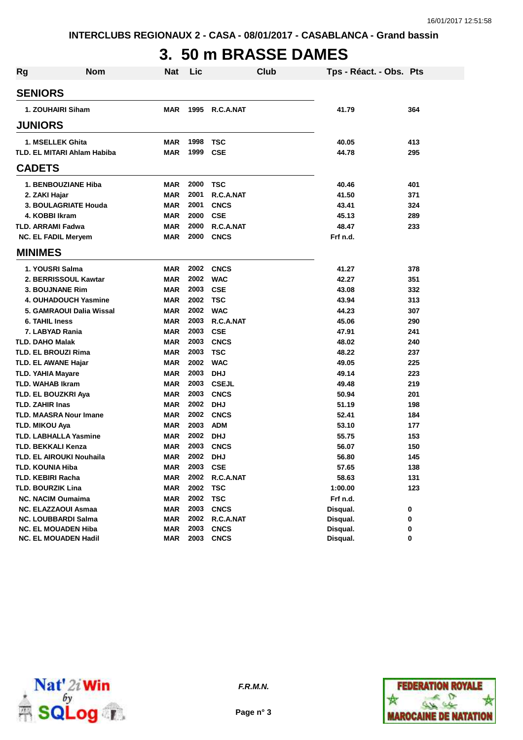# **3. 50 m BRASSE DAMES**

| Rg | <b>Nom</b>                         | <b>Nat</b> | Lic  | Club         | Tps - Réact. - Obs. Pts |     |
|----|------------------------------------|------------|------|--------------|-------------------------|-----|
|    | <b>SENIORS</b>                     |            |      |              |                         |     |
|    | 1. ZOUHAIRI Siham                  | <b>MAR</b> | 1995 | R.C.A.NAT    | 41.79                   | 364 |
|    | <b>JUNIORS</b>                     |            |      |              |                         |     |
|    | 1. MSELLEK Ghita                   | <b>MAR</b> | 1998 | <b>TSC</b>   | 40.05                   | 413 |
|    | <b>TLD. EL MITARI Ahlam Habiba</b> | <b>MAR</b> | 1999 | <b>CSE</b>   | 44.78                   | 295 |
|    | <b>CADETS</b>                      |            |      |              |                         |     |
|    | 1. BENBOUZIANE Hiba                | <b>MAR</b> | 2000 | TSC          | 40.46                   | 401 |
|    | 2. ZAKI Hajar                      | <b>MAR</b> | 2001 | R.C.A.NAT    | 41.50                   | 371 |
|    | 3. BOULAGRIATE Houda               | <b>MAR</b> | 2001 | <b>CNCS</b>  | 43.41                   | 324 |
|    | 4. KOBBI Ikram                     | <b>MAR</b> | 2000 | <b>CSE</b>   | 45.13                   | 289 |
|    | <b>TLD. ARRAMI Fadwa</b>           | <b>MAR</b> | 2000 | R.C.A.NAT    | 48.47                   | 233 |
|    | <b>NC. EL FADIL Meryem</b>         | <b>MAR</b> | 2000 | <b>CNCS</b>  | Frf n.d.                |     |
|    | <b>MINIMES</b>                     |            |      |              |                         |     |
|    | 1. YOUSRI Salma                    | <b>MAR</b> | 2002 | <b>CNCS</b>  | 41.27                   | 378 |
|    | 2. BERRISSOUL Kawtar               | <b>MAR</b> | 2002 | <b>WAC</b>   | 42.27                   | 351 |
|    | <b>3. BOUJNANE Rim</b>             | <b>MAR</b> | 2003 | <b>CSE</b>   | 43.08                   | 332 |
|    | <b>4. OUHADOUCH Yasmine</b>        | <b>MAR</b> | 2002 | TSC          | 43.94                   | 313 |
|    | 5. GAMRAOUI Dalia Wissal           | <b>MAR</b> | 2002 | <b>WAC</b>   | 44.23                   | 307 |
|    | 6. TAHIL Iness                     | <b>MAR</b> | 2003 | R.C.A.NAT    | 45.06                   | 290 |
|    | 7. LABYAD Rania                    | <b>MAR</b> | 2003 | <b>CSE</b>   | 47.91                   | 241 |
|    | <b>TLD. DAHO Malak</b>             | <b>MAR</b> | 2003 | <b>CNCS</b>  | 48.02                   | 240 |
|    | <b>TLD. EL BROUZI Rima</b>         | <b>MAR</b> | 2003 | <b>TSC</b>   | 48.22                   | 237 |
|    | <b>TLD. EL AWANE Hajar</b>         | <b>MAR</b> | 2002 | <b>WAC</b>   | 49.05                   | 225 |
|    | <b>TLD. YAHIA Mayare</b>           | <b>MAR</b> | 2003 | <b>DHJ</b>   | 49.14                   | 223 |
|    | <b>TLD. WAHAB Ikram</b>            | <b>MAR</b> | 2003 | <b>CSEJL</b> | 49.48                   | 219 |
|    | TLD. EL BOUZKRI Aya                | <b>MAR</b> | 2003 | <b>CNCS</b>  | 50.94                   | 201 |
|    | <b>TLD. ZAHIR Inas</b>             | <b>MAR</b> | 2002 | <b>DHJ</b>   | 51.19                   | 198 |
|    | <b>TLD. MAASRA Nour Imane</b>      | <b>MAR</b> | 2002 | <b>CNCS</b>  | 52.41                   | 184 |
|    | <b>TLD. MIKOU Aya</b>              | <b>MAR</b> | 2003 | <b>ADM</b>   | 53.10                   | 177 |
|    | <b>TLD. LABHALLA Yasmine</b>       | <b>MAR</b> | 2002 | <b>DHJ</b>   | 55.75                   | 153 |
|    | <b>TLD. BEKKALI Kenza</b>          | <b>MAR</b> | 2003 | <b>CNCS</b>  | 56.07                   | 150 |
|    | TLD. EL AIROUKI Nouhaila           | <b>MAR</b> | 2002 | <b>DHJ</b>   | 56.80                   | 145 |
|    | <b>TLD. KOUNIA Hiba</b>            | <b>MAR</b> | 2003 | <b>CSE</b>   | 57.65                   | 138 |
|    | <b>TLD. KEBIRI Racha</b>           | <b>MAR</b> | 2002 | R.C.A.NAT    | 58.63                   | 131 |
|    | <b>TLD. BOURZIK Lina</b>           | <b>MAR</b> | 2002 | <b>TSC</b>   | 1:00.00                 | 123 |
|    | <b>NC. NACIM Oumaima</b>           | <b>MAR</b> | 2002 | <b>TSC</b>   | Frf n.d.                |     |
|    | <b>NC. ELAZZAOUI Asmaa</b>         | <b>MAR</b> | 2003 | <b>CNCS</b>  | Disqual.                | 0   |
|    | <b>NC. LOUBBARDI Salma</b>         | <b>MAR</b> | 2002 | R.C.A.NAT    | Disqual.                | 0   |
|    | <b>NC. EL MOUADEN Hiba</b>         | <b>MAR</b> | 2003 | <b>CNCS</b>  | Disqual.                | 0   |
|    | <b>NC. EL MOUADEN Hadil</b>        | <b>MAR</b> | 2003 | <b>CNCS</b>  | Disqual.                | 0   |



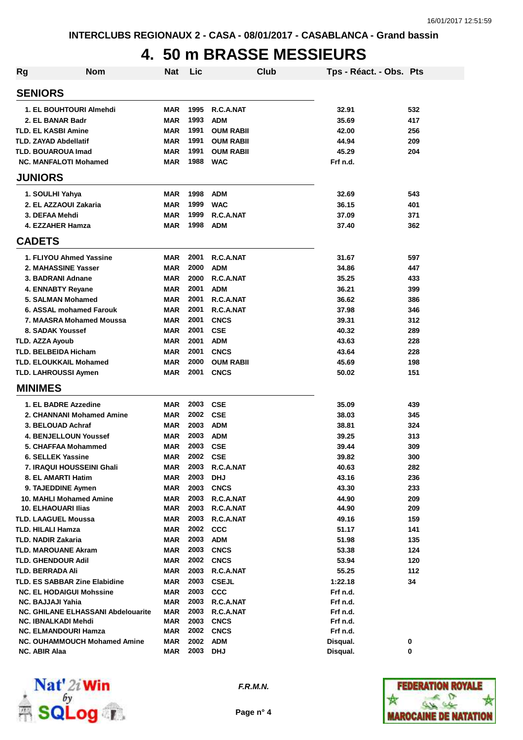### **4. 50 m BRASSE MESSIEURS**

| <b>Rg</b> | <b>Nom</b>                           | <b>Nat</b> | Lic  |                  | Club | Tps - Réact. - Obs. Pts |     |
|-----------|--------------------------------------|------------|------|------------------|------|-------------------------|-----|
|           | <b>SENIORS</b>                       |            |      |                  |      |                         |     |
|           | 1. EL BOUHTOURI Almehdi              | MAR        | 1995 | R.C.A.NAT        |      | 32.91                   | 532 |
|           | 2. EL BANAR Badr                     | <b>MAR</b> | 1993 | <b>ADM</b>       |      | 35.69                   | 417 |
|           | <b>TLD. EL KASBI Amine</b>           | MAR        | 1991 | <b>OUM RABII</b> |      | 42.00                   | 256 |
|           | <b>TLD. ZAYAD Abdellatif</b>         | MAR        | 1991 | <b>OUM RABII</b> |      | 44.94                   | 209 |
|           | <b>TLD. BOUAROUA Imad</b>            | MAR        | 1991 | <b>OUM RABII</b> |      | 45.29                   | 204 |
|           | <b>NC. MANFALOTI Mohamed</b>         | MAR        | 1988 | <b>WAC</b>       |      | Frf n.d.                |     |
|           | <b>JUNIORS</b>                       |            |      |                  |      |                         |     |
|           | 1. SOULHI Yahya                      | MAR        | 1998 | <b>ADM</b>       |      | 32.69                   | 543 |
|           | 2. EL AZZAOUI Zakaria                | MAR        | 1999 | <b>WAC</b>       |      | 36.15                   | 401 |
|           | 3. DEFAA Mehdi                       | MAR        | 1999 | R.C.A.NAT        |      | 37.09                   | 371 |
|           | 4. EZZAHER Hamza                     | MAR        | 1998 | <b>ADM</b>       |      | 37.40                   | 362 |
|           | <b>CADETS</b>                        |            |      |                  |      |                         |     |
|           | 1. FLIYOU Ahmed Yassine              | MAR        | 2001 | R.C.A.NAT        |      | 31.67                   | 597 |
|           | 2. MAHASSINE Yasser                  | MAR        | 2000 | <b>ADM</b>       |      | 34.86                   | 447 |
|           | 3. BADRANI Adnane                    | MAR        | 2000 | R.C.A.NAT        |      | 35.25                   | 433 |
|           | <b>4. ENNABTY Revane</b>             | MAR        | 2001 | <b>ADM</b>       |      | 36.21                   | 399 |
|           | 5. SALMAN Mohamed                    | <b>MAR</b> | 2001 | R.C.A.NAT        |      | 36.62                   | 386 |
|           | 6. ASSAL mohamed Farouk              | MAR        | 2001 | R.C.A.NAT        |      | 37.98                   | 346 |
|           | 7. MAASRA Mohamed Moussa             | MAR        | 2001 | <b>CNCS</b>      |      | 39.31                   | 312 |
|           | 8. SADAK Youssef                     | <b>MAR</b> | 2001 | <b>CSE</b>       |      | 40.32                   | 289 |
|           | <b>TLD. AZZA Ayoub</b>               | MAR        | 2001 | <b>ADM</b>       |      | 43.63                   | 228 |
|           | <b>TLD. BELBEIDA Hicham</b>          | <b>MAR</b> | 2001 | <b>CNCS</b>      |      | 43.64                   | 228 |
|           | <b>TLD. ELOUKKAIL Mohamed</b>        | MAR        | 2000 | <b>OUM RABII</b> |      | 45.69                   | 198 |
|           | TLD. LAHROUSSI Aymen                 | MAR        | 2001 | <b>CNCS</b>      |      | 50.02                   | 151 |
|           | <b>MINIMES</b>                       |            |      |                  |      |                         |     |
|           | 1. EL BADRE Azzedine                 | <b>MAR</b> | 2003 | <b>CSE</b>       |      | 35.09                   | 439 |
|           | 2. CHANNANI Mohamed Amine            | <b>MAR</b> | 2002 | <b>CSE</b>       |      | 38.03                   | 345 |
|           | 3. BELOUAD Achraf                    | MAR        | 2003 | <b>ADM</b>       |      | 38.81                   | 324 |
|           | <b>4. BENJELLOUN Youssef</b>         | <b>MAR</b> | 2003 | <b>ADM</b>       |      | 39.25                   | 313 |
|           | 5. CHAFFAA Mohammed                  | MAR        | 2003 | <b>CSE</b>       |      | 39.44                   | 309 |
|           | 6. SELLEK Yassine                    | MAR        | 2002 | <b>CSE</b>       |      | 39.82                   | 300 |
|           | <b>7. IRAQUI HOUSSEINI Ghali</b>     | MAR        | 2003 | R.C.A.NAT        |      | 40.63                   | 282 |
|           | 8. EL AMARTI Hatim                   | <b>MAR</b> | 2003 | <b>DHJ</b>       |      | 43.16                   | 236 |
|           | 9. TAJEDDINE Aymen                   | <b>MAR</b> | 2003 | <b>CNCS</b>      |      | 43.30                   | 233 |
|           | 10. MAHLI Mohamed Amine              | MAR        | 2003 | R.C.A.NAT        |      | 44.90                   | 209 |
|           | <b>10. ELHAOUARI Ilias</b>           | <b>MAR</b> | 2003 | R.C.A.NAT        |      | 44.90                   | 209 |
|           | <b>TLD. LAAGUEL Moussa</b>           | <b>MAR</b> | 2003 | R.C.A.NAT        |      | 49.16                   | 159 |
|           | <b>TLD. HILALI Hamza</b>             | <b>MAR</b> | 2002 | <b>CCC</b>       |      | 51.17                   | 141 |
|           | <b>TLD. NADIR Zakaria</b>            | <b>MAR</b> | 2003 | <b>ADM</b>       |      | 51.98                   | 135 |
|           | <b>TLD. MAROUANE Akram</b>           | MAR        | 2003 | <b>CNCS</b>      |      | 53.38                   | 124 |
|           | <b>TLD. GHENDOUR Adil</b>            | MAR        | 2002 | <b>CNCS</b>      |      | 53.94                   | 120 |
|           | <b>TLD. BERRADA Ali</b>              | MAR        | 2003 | R.C.A.NAT        |      | 55.25                   | 112 |
|           | <b>TLD. ES SABBAR Zine Elabidine</b> | MAR        | 2003 | <b>CSEJL</b>     |      | 1:22.18                 | 34  |
|           | <b>NC. EL HODAIGUI Mohssine</b>      | <b>MAR</b> | 2003 | CCC              |      | Frf n.d.                |     |
|           | <b>NC. BAJJAJI Yahia</b>             | <b>MAR</b> | 2003 | R.C.A.NAT        |      | Frf n.d.                |     |
|           | NC. GHILANE ELHASSANI Abdelouarite   | MAR        | 2003 | R.C.A.NAT        |      | Frf n.d.                |     |
|           | NC. IBNALKADI Mehdi                  | MAR        | 2003 | <b>CNCS</b>      |      | Frf n.d.                |     |
|           | <b>NC. ELMANDOURI Hamza</b>          | <b>MAR</b> | 2002 | <b>CNCS</b>      |      | Frf n.d.                |     |
|           | <b>NC. OUHAMMOUCH Mohamed Amine</b>  | MAR        | 2002 | <b>ADM</b>       |      | Disqual.                | 0   |
|           | NC. ABIR Alaa                        | <b>MAR</b> | 2003 | <b>DHJ</b>       |      | Disqual.                | 0   |



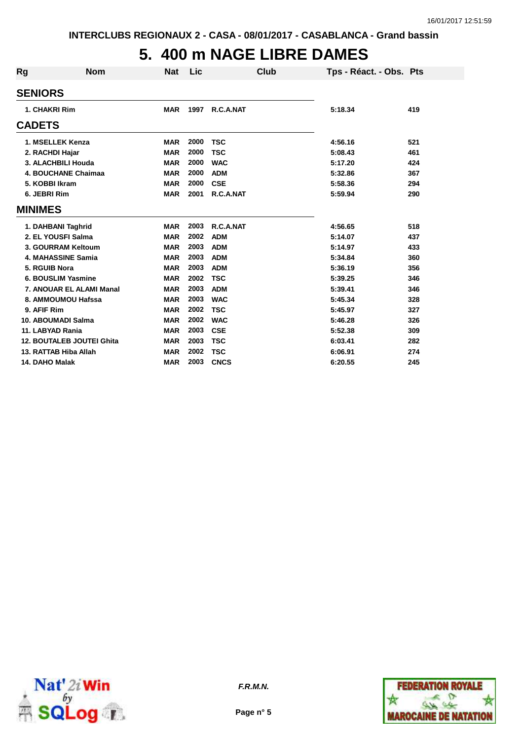# **5. 400 m NAGE LIBRE DAMES**

| Rg             | <b>Nom</b>                       | <b>Nat</b> | Lic  | Club        | Tps - Réact. - Obs. Pts |     |
|----------------|----------------------------------|------------|------|-------------|-------------------------|-----|
|                | <b>SENIORS</b>                   |            |      |             |                         |     |
|                | 1. CHAKRI Rim                    | <b>MAR</b> | 1997 | R.C.A.NAT   | 5:18.34                 | 419 |
| <b>CADETS</b>  |                                  |            |      |             |                         |     |
|                | 1. MSELLEK Kenza                 | <b>MAR</b> | 2000 | <b>TSC</b>  | 4:56.16                 | 521 |
|                | 2. RACHDI Hajar                  | <b>MAR</b> | 2000 | <b>TSC</b>  | 5:08.43                 | 461 |
|                | 3. ALACHBILI Houda               | <b>MAR</b> | 2000 | <b>WAC</b>  | 5:17.20                 | 424 |
|                | 4. BOUCHANE Chaimaa              | <b>MAR</b> | 2000 | <b>ADM</b>  | 5:32.86                 | 367 |
|                | 5. KOBBI Ikram                   | <b>MAR</b> | 2000 | <b>CSE</b>  | 5:58.36                 | 294 |
|                | 6. JEBRI Rim                     | <b>MAR</b> | 2001 | R.C.A.NAT   | 5:59.94                 | 290 |
| <b>MINIMES</b> |                                  |            |      |             |                         |     |
|                | 1. DAHBANI Taghrid               | <b>MAR</b> | 2003 | R.C.A.NAT   | 4:56.65                 | 518 |
|                | 2. EL YOUSFI Salma               | <b>MAR</b> | 2002 | <b>ADM</b>  | 5:14.07                 | 437 |
|                | 3. GOURRAM Keltoum               | <b>MAR</b> | 2003 | <b>ADM</b>  | 5:14.97                 | 433 |
|                | 4. MAHASSINE Samia               | <b>MAR</b> | 2003 | <b>ADM</b>  | 5:34.84                 | 360 |
|                | 5. RGUIB Nora                    | <b>MAR</b> | 2003 | <b>ADM</b>  | 5:36.19                 | 356 |
|                | 6. BOUSLIM Yasmine               | <b>MAR</b> | 2002 | <b>TSC</b>  | 5:39.25                 | 346 |
|                | 7. ANOUAR EL ALAMI Manal         | <b>MAR</b> | 2003 | <b>ADM</b>  | 5:39.41                 | 346 |
|                | 8. AMMOUMOU Hafssa               | <b>MAR</b> | 2003 | <b>WAC</b>  | 5:45.34                 | 328 |
|                | 9. AFIF Rim                      | <b>MAR</b> | 2002 | <b>TSC</b>  | 5:45.97                 | 327 |
|                | 10. ABOUMADI Salma               | <b>MAR</b> | 2002 | <b>WAC</b>  | 5:46.28                 | 326 |
|                | 11. LABYAD Rania                 | <b>MAR</b> | 2003 | <b>CSE</b>  | 5:52.38                 | 309 |
|                | <b>12. BOUTALEB JOUTEI Ghita</b> | <b>MAR</b> | 2003 | <b>TSC</b>  | 6:03.41                 | 282 |
|                | 13. RATTAB Hiba Allah            | <b>MAR</b> | 2002 | <b>TSC</b>  | 6:06.91                 | 274 |
|                | 14. DAHO Malak                   | <b>MAR</b> | 2003 | <b>CNCS</b> | 6:20.55                 | 245 |



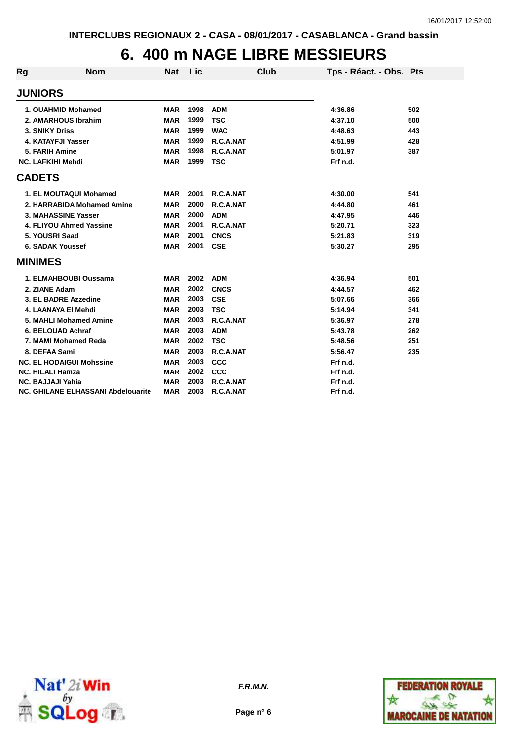### **6. 400 m NAGE LIBRE MESSIEURS**

| Rg            | <b>Nom</b>                                | <b>Nat</b> | Lic  | <b>Club</b> | Tps - Réact. - Obs. Pts |     |
|---------------|-------------------------------------------|------------|------|-------------|-------------------------|-----|
|               | <b>JUNIORS</b>                            |            |      |             |                         |     |
|               | 1. OUAHMID Mohamed                        | <b>MAR</b> | 1998 | <b>ADM</b>  | 4:36.86                 | 502 |
|               | 2. AMARHOUS Ibrahim                       | <b>MAR</b> | 1999 | <b>TSC</b>  | 4:37.10                 | 500 |
|               | <b>3. SNIKY Driss</b>                     | <b>MAR</b> | 1999 | <b>WAC</b>  | 4:48.63                 | 443 |
|               | 4. KATAYFJI Yasser                        | <b>MAR</b> | 1999 | R.C.A.NAT   | 4:51.99                 | 428 |
|               | 5. FARIH Amine                            | <b>MAR</b> | 1998 | R.C.A.NAT   | 5:01.97                 | 387 |
|               | <b>NC. LAFKIHI Mehdi</b>                  | <b>MAR</b> | 1999 | <b>TSC</b>  | Frf n.d.                |     |
| <b>CADETS</b> |                                           |            |      |             |                         |     |
|               | 1. EL MOUTAQUI Mohamed                    | <b>MAR</b> | 2001 | R.C.A.NAT   | 4:30.00                 | 541 |
|               | 2. HARRABIDA Mohamed Amine                | <b>MAR</b> | 2000 | R.C.A.NAT   | 4:44.80                 | 461 |
|               | 3. MAHASSINE Yasser                       | <b>MAR</b> | 2000 | <b>ADM</b>  | 4:47.95                 | 446 |
|               | 4. FLIYOU Ahmed Yassine                   | <b>MAR</b> | 2001 | R.C.A.NAT   | 5:20.71                 | 323 |
|               | 5. YOUSRI Saad                            | <b>MAR</b> | 2001 | <b>CNCS</b> | 5:21.83                 | 319 |
|               | <b>6. SADAK Youssef</b>                   | <b>MAR</b> | 2001 | <b>CSE</b>  | 5:30.27                 | 295 |
|               | <b>MINIMES</b>                            |            |      |             |                         |     |
|               | 1. ELMAHBOUBI Oussama                     | <b>MAR</b> | 2002 | <b>ADM</b>  | 4:36.94                 | 501 |
|               | 2. ZIANE Adam                             | <b>MAR</b> | 2002 | <b>CNCS</b> | 4:44.57                 | 462 |
|               | 3. EL BADRE Azzedine                      | <b>MAR</b> | 2003 | <b>CSE</b>  | 5:07.66                 | 366 |
|               | 4. LAANAYA EI Mehdi                       | <b>MAR</b> | 2003 | <b>TSC</b>  | 5:14.94                 | 341 |
|               | 5. MAHLI Mohamed Amine                    | <b>MAR</b> | 2003 | R.C.A.NAT   | 5:36.97                 | 278 |
|               | 6. BELOUAD Achraf                         | <b>MAR</b> | 2003 | <b>ADM</b>  | 5:43.78                 | 262 |
|               | 7. MAMI Mohamed Reda                      | <b>MAR</b> | 2002 | <b>TSC</b>  | 5:48.56                 | 251 |
|               | 8. DEFAA Sami                             | <b>MAR</b> | 2003 | R.C.A.NAT   | 5:56.47                 | 235 |
|               | <b>NC. EL HODAIGUI Mohssine</b>           | <b>MAR</b> | 2003 | <b>CCC</b>  | Frf n.d.                |     |
|               | <b>NC. HILALI Hamza</b>                   | <b>MAR</b> | 2002 | <b>CCC</b>  | Frf n.d.                |     |
|               | <b>NC. BAJJAJI Yahia</b>                  | <b>MAR</b> | 2003 | R.C.A.NAT   | Frf n.d.                |     |
|               | <b>NC. GHILANE ELHASSANI Abdelouarite</b> | <b>MAR</b> | 2003 | R.C.A.NAT   | Frf n.d.                |     |





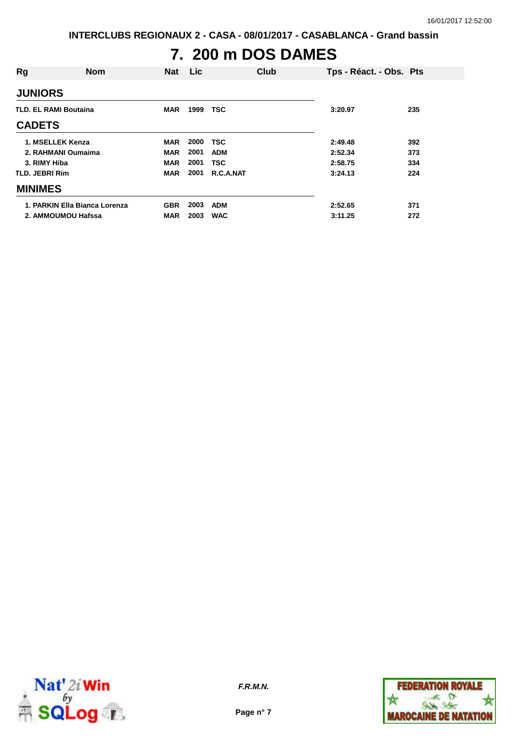**INTERCLUBS REGIONAUX 2 - CASA - 08/01/2017 - CASABLANCA - Grand bassin**

# **7. 200 m DOS DAMES**

| Rg                    | <b>Nom</b>                    | <b>Nat</b> | <b>Lic</b> | Club       | Tps - Réact. - Obs. Pts |     |
|-----------------------|-------------------------------|------------|------------|------------|-------------------------|-----|
| <b>JUNIORS</b>        |                               |            |            |            |                         |     |
|                       | <b>TLD. EL RAMI Boutaina</b>  | <b>MAR</b> | 1999       | <b>TSC</b> | 3:20.97                 | 235 |
| <b>CADETS</b>         |                               |            |            |            |                         |     |
|                       | 1. MSELLEK Kenza              | <b>MAR</b> | 2000       | <b>TSC</b> | 2:49.48                 | 392 |
|                       | 2. RAHMANI Oumaima            | <b>MAR</b> | 2001       | <b>ADM</b> | 2:52.34                 | 373 |
| 3. RIMY Hiba          |                               | <b>MAR</b> | 2001       | <b>TSC</b> | 2:58.75                 | 334 |
| <b>TLD. JEBRI Rim</b> |                               | <b>MAR</b> | 2001       | R.C.A.NAT  | 3:24.13                 | 224 |
| <b>MINIMES</b>        |                               |            |            |            |                         |     |
|                       | 1. PARKIN Ella Bianca Lorenza | <b>GBR</b> | 2003       | <b>ADM</b> | 2:52.65                 | 371 |
|                       | 2. AMMOUMOU Hafssa            | <b>MAR</b> | 2003       | <b>WAC</b> | 3:11.25                 | 272 |



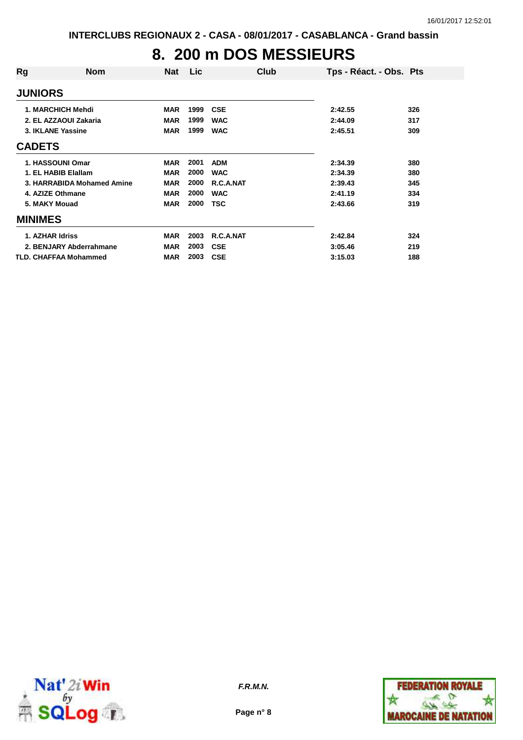# **8. 200 m DOS MESSIEURS**

| Rg                | <b>Nom</b>                   | <b>Nat</b> | <b>Lic</b> | Club       | Tps - Réact. - Obs. Pts |     |
|-------------------|------------------------------|------------|------------|------------|-------------------------|-----|
| <b>JUNIORS</b>    |                              |            |            |            |                         |     |
|                   | <b>1. MARCHICH Mehdi</b>     | <b>MAR</b> | 1999       | <b>CSE</b> | 2:42.55                 | 326 |
|                   | 2. EL AZZAOUI Zakaria        | <b>MAR</b> | 1999       | <b>WAC</b> | 2:44.09                 | 317 |
| 3. IKLANE Yassine |                              | <b>MAR</b> | 1999       | <b>WAC</b> | 2:45.51                 | 309 |
| <b>CADETS</b>     |                              |            |            |            |                         |     |
|                   | 1. HASSOUNI Omar             | <b>MAR</b> | 2001       | <b>ADM</b> | 2:34.39                 | 380 |
|                   | 1. EL HABIB Elallam          | <b>MAR</b> | 2000       | <b>WAC</b> | 2:34.39                 | 380 |
|                   | 3. HARRABIDA Mohamed Amine   | <b>MAR</b> | 2000       | R.C.A.NAT  | 2:39.43                 | 345 |
| 4. AZIZE Othmane  |                              | <b>MAR</b> | 2000       | <b>WAC</b> | 2:41.19                 | 334 |
| 5. MAKY Mouad     |                              | <b>MAR</b> | 2000       | TSC        | 2:43.66                 | 319 |
| <b>MINIMES</b>    |                              |            |            |            |                         |     |
| 1. AZHAR Idriss   |                              | <b>MAR</b> | 2003       | R.C.A.NAT  | 2:42.84                 | 324 |
|                   | 2. BENJARY Abderrahmane      | <b>MAR</b> | 2003       | <b>CSE</b> | 3:05.46                 | 219 |
|                   | <b>TLD. CHAFFAA Mohammed</b> | <b>MAR</b> | 2003       | <b>CSE</b> | 3:15.03                 | 188 |



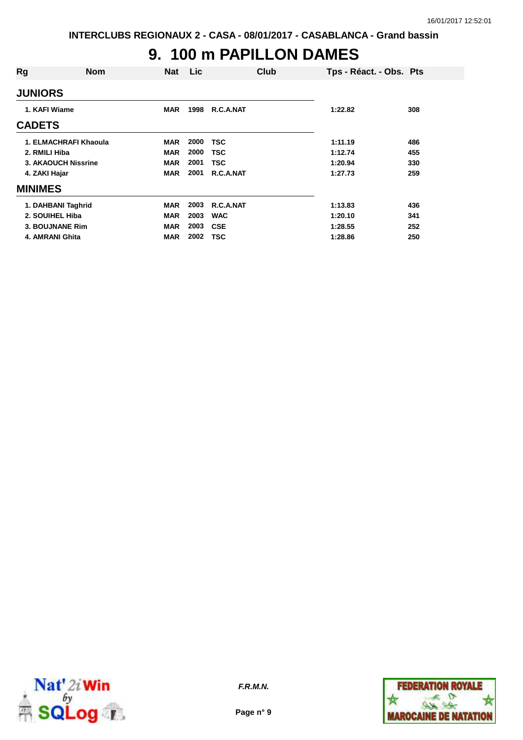#### **9. 100 m PAPILLON DAMES**

| <b>JUNIORS</b><br>1. KAFI Wiame<br>1998<br>R.C.A.NAT<br><b>MAR</b><br>1:22.82<br>308<br><b>CADETS</b><br>1. ELMACHRAFI Khaoula<br>2000<br>TSC<br>1:11.19<br><b>MAR</b><br>486<br>2000<br>2. RMILI Hiba<br>TSC<br>455<br><b>MAR</b><br>1:12.74<br>2001<br><b>3. AKAOUCH Nissrine</b><br>TSC<br><b>MAR</b><br>1:20.94<br>330<br>2001<br>R.C.A.NAT<br>4. ZAKI Hajar<br><b>MAR</b><br>1:27.73<br>259<br><b>MINIMES</b> | Rg | <b>Nom</b> | <b>Nat</b> | Lic | Club | Tps - Réact. - Obs. Pts |  |
|--------------------------------------------------------------------------------------------------------------------------------------------------------------------------------------------------------------------------------------------------------------------------------------------------------------------------------------------------------------------------------------------------------------------|----|------------|------------|-----|------|-------------------------|--|
|                                                                                                                                                                                                                                                                                                                                                                                                                    |    |            |            |     |      |                         |  |
|                                                                                                                                                                                                                                                                                                                                                                                                                    |    |            |            |     |      |                         |  |
|                                                                                                                                                                                                                                                                                                                                                                                                                    |    |            |            |     |      |                         |  |
|                                                                                                                                                                                                                                                                                                                                                                                                                    |    |            |            |     |      |                         |  |
|                                                                                                                                                                                                                                                                                                                                                                                                                    |    |            |            |     |      |                         |  |
|                                                                                                                                                                                                                                                                                                                                                                                                                    |    |            |            |     |      |                         |  |
|                                                                                                                                                                                                                                                                                                                                                                                                                    |    |            |            |     |      |                         |  |
|                                                                                                                                                                                                                                                                                                                                                                                                                    |    |            |            |     |      |                         |  |
| 2003<br>R.C.A.NAT<br>1. DAHBANI Taghrid<br><b>MAR</b><br>1:13.83<br>436                                                                                                                                                                                                                                                                                                                                            |    |            |            |     |      |                         |  |
| 2. SOUIHEL Hiba<br>2003<br><b>WAC</b><br><b>MAR</b><br>1:20.10<br>341                                                                                                                                                                                                                                                                                                                                              |    |            |            |     |      |                         |  |
| 2003<br>3. BOUJNANE Rim<br><b>MAR</b><br><b>CSE</b><br>1:28.55<br>252                                                                                                                                                                                                                                                                                                                                              |    |            |            |     |      |                         |  |
| 2002<br>4. AMRANI Ghita<br><b>TSC</b><br>1:28.86<br>250<br><b>MAR</b>                                                                                                                                                                                                                                                                                                                                              |    |            |            |     |      |                         |  |



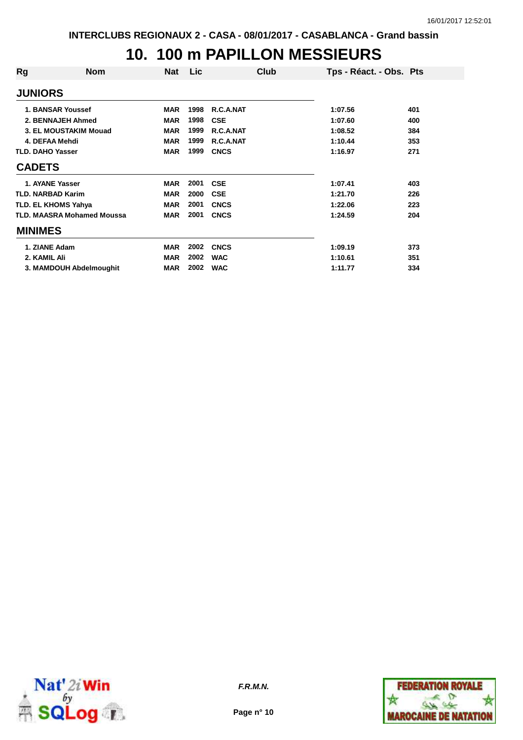#### **10. 100 m PAPILLON MESSIEURS**

| Rg                       | <b>Nom</b>                        | Nat        | <b>Lic</b> | Club        | Tps - Réact. - Obs. Pts |     |
|--------------------------|-----------------------------------|------------|------------|-------------|-------------------------|-----|
| <b>JUNIORS</b>           |                                   |            |            |             |                         |     |
|                          | 1. BANSAR Youssef                 | <b>MAR</b> | 1998       | R.C.A.NAT   | 1:07.56                 | 401 |
|                          | 2. BENNAJEH Ahmed                 | <b>MAR</b> | 1998       | <b>CSE</b>  | 1:07.60                 | 400 |
|                          | <b>3. EL MOUSTAKIM Mouad</b>      | <b>MAR</b> | 1999       | R.C.A.NAT   | 1:08.52                 | 384 |
|                          | 4. DEFAA Mehdi                    | <b>MAR</b> | 1999       | R.C.A.NAT   | 1:10.44                 | 353 |
| <b>TLD. DAHO Yasser</b>  |                                   | <b>MAR</b> | 1999       | <b>CNCS</b> | 1:16.97                 | 271 |
| <b>CADETS</b>            |                                   |            |            |             |                         |     |
|                          | 1. AYANE Yasser                   | <b>MAR</b> | 2001       | <b>CSE</b>  | 1:07.41                 | 403 |
| <b>TLD. NARBAD Karim</b> |                                   | <b>MAR</b> | 2000       | <b>CSE</b>  | 1:21.70                 | 226 |
|                          | TLD. EL KHOMS Yahya               | <b>MAR</b> | 2001       | <b>CNCS</b> | 1:22.06                 | 223 |
|                          | <b>TLD. MAASRA Mohamed Moussa</b> | <b>MAR</b> | 2001       | <b>CNCS</b> | 1:24.59                 | 204 |
| <b>MINIMES</b>           |                                   |            |            |             |                         |     |
| 1. ZIANE Adam            |                                   | <b>MAR</b> | 2002       | <b>CNCS</b> | 1:09.19                 | 373 |
| 2. KAMIL Ali             |                                   | <b>MAR</b> | 2002       | <b>WAC</b>  | 1:10.61                 | 351 |
|                          | 3. MAMDOUH Abdelmoughit           | <b>MAR</b> | 2002       | <b>WAC</b>  | 1:11.77                 | 334 |



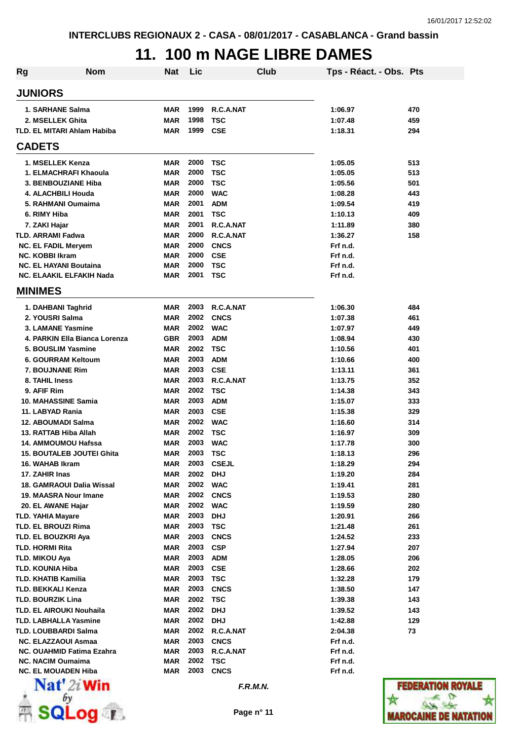### **11. 100 m NAGE LIBRE DAMES**

| Rg | <b>Nom</b>                                                     | <b>Nat</b>               | Lic          |                          | <b>Club</b> | Tps - Réact. - Obs. Pts |                   |
|----|----------------------------------------------------------------|--------------------------|--------------|--------------------------|-------------|-------------------------|-------------------|
|    | <b>JUNIORS</b>                                                 |                          |              |                          |             |                         |                   |
|    | 1. SARHANE Salma                                               | <b>MAR</b>               | 1999         | R.C.A.NAT                |             | 1:06.97                 | 470               |
|    | 2. MSELLEK Ghita                                               | <b>MAR</b>               | 1998         | <b>TSC</b>               |             | 1:07.48                 | 459               |
|    | <b>TLD. EL MITARI Ahlam Habiba</b>                             | <b>MAR</b>               | 1999         | <b>CSE</b>               |             | 1:18.31                 | 294               |
|    | <b>CADETS</b>                                                  |                          |              |                          |             |                         |                   |
|    | 1. MSELLEK Kenza                                               | <b>MAR</b>               | 2000         | <b>TSC</b>               |             | 1:05.05                 | 513               |
|    | 1. ELMACHRAFI Khaoula                                          | <b>MAR</b>               | 2000         | <b>TSC</b>               |             | 1:05.05                 | 513               |
|    | 3. BENBOUZIANE Hiba                                            | <b>MAR</b>               | 2000         | <b>TSC</b>               |             | 1:05.56                 | 501               |
|    | 4. ALACHBILI Houda                                             | <b>MAR</b>               | 2000         | <b>WAC</b>               |             | 1:08.28                 | 443               |
|    | 5. RAHMANI Oumaima                                             | <b>MAR</b>               | 2001         | <b>ADM</b>               |             | 1:09.54                 | 419               |
|    | 6. RIMY Hiba                                                   | <b>MAR</b>               | 2001         | <b>TSC</b>               |             | 1:10.13                 | 409               |
|    | 7. ZAKI Hajar                                                  | <b>MAR</b>               | 2001         | R.C.A.NAT                |             | 1:11.89                 | 380               |
|    | <b>TLD. ARRAMI Fadwa</b>                                       | <b>MAR</b>               | 2000         | R.C.A.NAT                |             | 1:36.27                 | 158               |
|    | <b>NC. EL FADIL Meryem</b>                                     | <b>MAR</b>               | 2000         | <b>CNCS</b>              |             | Frf n.d.                |                   |
|    | <b>NC. KOBBI Ikram</b>                                         | <b>MAR</b>               | 2000         | <b>CSE</b>               |             | Frf n.d.                |                   |
|    | <b>NC. EL HAYANI Boutaina</b>                                  | <b>MAR</b>               | 2000         | <b>TSC</b>               |             | Frf n.d.                |                   |
|    | NC. ELAAKIL ELFAKIH Nada                                       | <b>MAR</b>               | 2001         | <b>TSC</b>               |             | Frf n.d.                |                   |
|    | <b>MINIMES</b>                                                 |                          |              |                          |             |                         |                   |
|    | 1. DAHBANI Taghrid                                             | <b>MAR</b>               | 2003         | R.C.A.NAT                |             | 1:06.30                 | 484               |
|    | 2. YOUSRI Salma                                                | <b>MAR</b>               | 2002         | <b>CNCS</b>              |             | 1:07.38                 | 461               |
|    | 3. LAMANE Yasmine                                              | <b>MAR</b>               | 2002         | <b>WAC</b>               |             | 1:07.97                 | 449               |
|    | 4. PARKIN Ella Bianca Lorenza                                  | <b>GBR</b>               | 2003         | <b>ADM</b>               |             | 1:08.94                 | 430               |
|    | 5. BOUSLIM Yasmine                                             | <b>MAR</b>               | 2002         | <b>TSC</b>               |             | 1:10.56                 | 401               |
|    | 6. GOURRAM Keltoum                                             | <b>MAR</b>               | 2003         | <b>ADM</b>               |             | 1:10.66                 | 400               |
|    | 7. BOUJNANE Rim                                                | <b>MAR</b>               | 2003         | <b>CSE</b>               |             | 1:13.11                 | 361               |
|    | 8. TAHIL Iness                                                 | <b>MAR</b>               | 2003         | R.C.A.NAT                |             | 1:13.75                 | 352               |
|    | 9. AFIF Rim                                                    | <b>MAR</b>               | 2002         | <b>TSC</b>               |             | 1:14.38                 | 343               |
|    | 10. MAHASSINE Samia                                            | <b>MAR</b>               | 2003         | <b>ADM</b>               |             | 1:15.07                 | 333               |
|    | 11. LABYAD Rania<br>12. ABOUMADI Salma                         | <b>MAR</b><br><b>MAR</b> | 2003<br>2002 | <b>CSE</b><br><b>WAC</b> |             | 1:15.38<br>1:16.60      | 329<br>314        |
|    | 13. RATTAB Hiba Allah                                          | <b>MAR</b>               | 2002         | <b>TSC</b>               |             | 1:16.97                 | 309               |
|    | <b>14. AMMOUMOU Hafssa</b>                                     | <b>MAR</b>               | 2003         | <b>WAC</b>               |             | 1:17.78                 | 300               |
|    | <b>15. BOUTALEB JOUTEI Ghita</b>                               | <b>MAR</b>               | 2003         | TSC                      |             | 1:18.13                 | 296               |
|    | 16. WAHAB Ikram                                                | MAR                      | 2003         | <b>CSEJL</b>             |             | 1:18.29                 | 294               |
|    | 17. ZAHIR Inas                                                 | <b>MAR</b>               | 2002         | <b>DHJ</b>               |             | 1:19.20                 | 284               |
|    | 18. GAMRAOUI Dalia Wissal                                      | <b>MAR</b>               | 2002         | <b>WAC</b>               |             | 1:19.41                 | 281               |
|    | 19. MAASRA Nour Imane                                          | <b>MAR</b>               | 2002         | <b>CNCS</b>              |             | 1:19.53                 | 280               |
|    | 20. EL AWANE Hajar                                             | <b>MAR</b>               | 2002         | <b>WAC</b>               |             | 1:19.59                 | 280               |
|    | <b>TLD. YAHIA Mayare</b>                                       | <b>MAR</b>               | 2003         | <b>DHJ</b>               |             | 1:20.91                 | 266               |
|    | <b>TLD. EL BROUZI Rima</b>                                     | <b>MAR</b>               | 2003         | <b>TSC</b>               |             | 1:21.48                 | 261               |
|    | TLD. EL BOUZKRI Aya                                            | <b>MAR</b>               | 2003         | <b>CNCS</b>              |             | 1:24.52                 | 233               |
|    | <b>TLD. HORMI Rita</b>                                         | <b>MAR</b>               | 2003         | <b>CSP</b>               |             | 1:27.94                 | 207               |
|    | <b>TLD. MIKOU Aya</b>                                          | <b>MAR</b>               | 2003         | <b>ADM</b>               |             | 1:28.05                 | 206               |
|    | <b>TLD. KOUNIA Hiba</b>                                        | <b>MAR</b>               | 2003         | <b>CSE</b>               |             | 1:28.66                 | 202               |
|    | <b>TLD. KHATIB Kamilia</b>                                     | <b>MAR</b>               | 2003         | <b>TSC</b>               |             | 1:32.28                 | 179               |
|    | <b>TLD. BEKKALI Kenza</b>                                      | <b>MAR</b>               | 2003         | <b>CNCS</b>              |             | 1:38.50                 | 147               |
|    | <b>TLD. BOURZIK Lina</b>                                       | <b>MAR</b>               | 2002         | <b>TSC</b>               |             | 1:39.38                 | 143               |
|    | <b>TLD. EL AIROUKI Nouhaila</b>                                | <b>MAR</b>               | 2002         | <b>DHJ</b>               |             | 1:39.52                 | 143               |
|    | <b>TLD. LABHALLA Yasmine</b>                                   | <b>MAR</b>               | 2002         | <b>DHJ</b>               |             | 1:42.88                 | 129               |
|    | <b>TLD. LOUBBARDI Salma</b>                                    | <b>MAR</b>               | 2002         | R.C.A.NAT                |             | 2:04.38                 | 73                |
|    | <b>NC. ELAZZAOUI Asmaa</b><br><b>NC. OUAHMID Fatima Ezahra</b> | <b>MAR</b><br><b>MAR</b> | 2003<br>2003 | <b>CNCS</b><br>R.C.A.NAT |             | Frf n.d.<br>Frf n.d.    |                   |
|    | <b>NC. NACIM Oumaima</b>                                       | <b>MAR</b>               | 2002         | <b>TSC</b>               |             | Frf n.d.                |                   |
|    | <b>NC. EL MOUADEN Hiba</b>                                     | MAR                      | 2003         | <b>CNCS</b>              |             | Frf n.d.                |                   |
|    | $\mathbf{Nat}'$ 2i Win                                         |                          |              | F.R.M.N.                 |             |                         | <b>FEDERATION</b> |



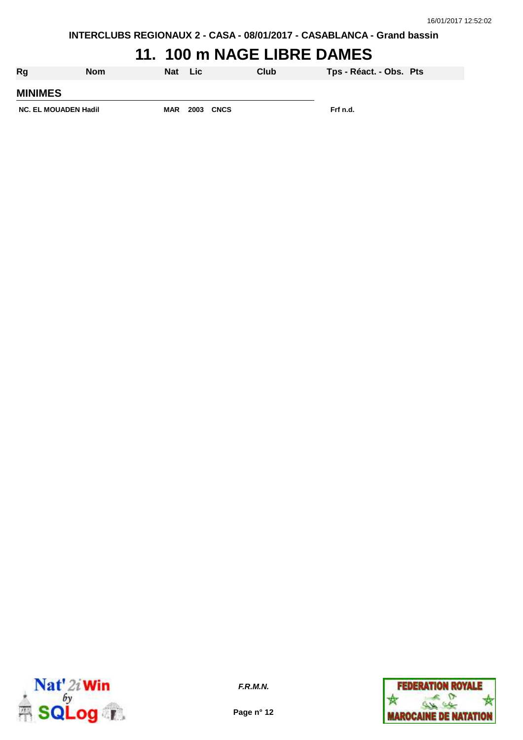### **11. 100 m NAGE LIBRE DAMES**

| Rg                          | <b>Nom</b> | <b>Nat</b> | <b>Lic</b> |                  | Club | Tps - Réact. - Obs. Pts |  |
|-----------------------------|------------|------------|------------|------------------|------|-------------------------|--|
| <b>MINIMES</b>              |            |            |            |                  |      |                         |  |
| <b>NC. EL MOUADEN Hadil</b> |            | <b>MAR</b> |            | <b>2003 CNCS</b> |      | Frf n.d.                |  |



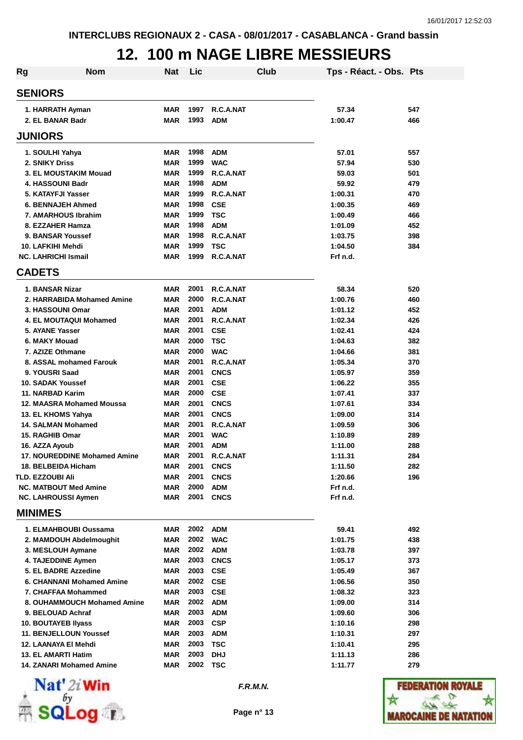#### **12. 100 m NAGE LIBRE MESSIEURS**

| <b>Rg</b> | <b>Nom</b>                                       | Nat                      | Lic          |                          | Club | Tps - Réact. - Obs. Pts |            |
|-----------|--------------------------------------------------|--------------------------|--------------|--------------------------|------|-------------------------|------------|
|           | <b>SENIORS</b>                                   |                          |              |                          |      |                         |            |
|           | 1. HARRATH Ayman                                 | <b>MAR</b>               | 1997         | R.C.A.NAT                |      | 57.34                   | 547        |
|           | 2. EL BANAR Badr                                 | <b>MAR</b>               | 1993         | <b>ADM</b>               |      | 1:00.47                 | 466        |
|           | <b>JUNIORS</b>                                   |                          |              |                          |      |                         |            |
|           | 1. SOULHI Yahya                                  | <b>MAR</b>               | 1998         | <b>ADM</b>               |      | 57.01                   | 557        |
|           | 2. SNIKY Driss                                   | <b>MAR</b>               | 1999         | <b>WAC</b>               |      | 57.94                   | 530        |
|           | 3. EL MOUSTAKIM Mouad                            | <b>MAR</b>               | 1999         | R.C.A.NAT                |      | 59.03                   | 501        |
|           | 4. HASSOUNI Badr                                 | <b>MAR</b>               | 1998         | <b>ADM</b>               |      | 59.92                   | 479        |
|           | 5. KATAYFJI Yasser                               | <b>MAR</b>               | 1999         | R.C.A.NAT                |      | 1:00.31                 | 470        |
|           | <b>6. BENNAJEH Ahmed</b>                         | <b>MAR</b>               | 1998         | <b>CSE</b>               |      | 1:00.35                 | 469        |
|           | 7. AMARHOUS Ibrahim                              | <b>MAR</b>               | 1999         | <b>TSC</b>               |      | 1:00.49                 | 466        |
|           | 8. EZZAHER Hamza                                 | <b>MAR</b>               | 1998         | <b>ADM</b>               |      | 1:01.09                 | 452        |
|           | 9. BANSAR Youssef                                | <b>MAR</b>               | 1998         | R.C.A.NAT                |      | 1:03.75                 | 398        |
|           | 10. LAFKIHI Mehdi                                | <b>MAR</b>               | 1999         | <b>TSC</b>               |      | 1:04.50                 | 384        |
|           | <b>NC. LAHRICHI Ismail</b>                       | <b>MAR</b>               | 1999         | R.C.A.NAT                |      | Frf n.d.                |            |
|           | <b>CADETS</b>                                    |                          |              |                          |      |                         |            |
|           | 1. BANSAR Nizar                                  | <b>MAR</b>               | 2001         | R.C.A.NAT                |      | 58.34                   | 520        |
|           | 2. HARRABIDA Mohamed Amine                       | <b>MAR</b>               | 2000         | R.C.A.NAT                |      | 1:00.76                 | 460        |
|           | 3. HASSOUNI Omar                                 | <b>MAR</b>               | 2001         | <b>ADM</b>               |      | 1:01.12                 | 452        |
|           | <b>4. EL MOUTAQUI Mohamed</b><br>5. AYANE Yasser | <b>MAR</b>               | 2001<br>2001 | R.C.A.NAT                |      | 1:02.34                 | 426        |
|           | 6. MAKY Mouad                                    | <b>MAR</b><br><b>MAR</b> | 2000         | <b>CSE</b><br><b>TSC</b> |      | 1:02.41<br>1:04.63      | 424<br>382 |
|           | 7. AZIZE Othmane                                 | <b>MAR</b>               | 2000         | <b>WAC</b>               |      | 1:04.66                 | 381        |
|           | 8. ASSAL mohamed Farouk                          | <b>MAR</b>               | 2001         | R.C.A.NAT                |      | 1:05.34                 | 370        |
|           | 9. YOUSRI Saad                                   | <b>MAR</b>               | 2001         | <b>CNCS</b>              |      | 1:05.97                 | 359        |
|           | <b>10. SADAK Youssef</b>                         | <b>MAR</b>               | 2001         | <b>CSE</b>               |      | 1:06.22                 | 355        |
|           | 11. NARBAD Karim                                 | <b>MAR</b>               | 2000         | <b>CSE</b>               |      | 1:07.41                 | 337        |
|           | 12. MAASRA Mohamed Moussa                        | <b>MAR</b>               | 2001         | <b>CNCS</b>              |      | 1:07.61                 | 334        |
|           | 13. EL KHOMS Yahya                               | <b>MAR</b>               | 2001         | <b>CNCS</b>              |      | 1:09.00                 | 314        |
|           | <b>14. SALMAN Mohamed</b>                        | <b>MAR</b>               | 2001         | R.C.A.NAT                |      | 1:09.59                 | 306        |
|           | 15. RAGHIB Omar                                  | <b>MAR</b>               | 2001         | <b>WAC</b>               |      | 1:10.89                 | 289        |
|           | 16. AZZA Ayoub                                   | <b>MAR</b>               | 2001         | ADM                      |      | 1:11.00                 | 288        |
|           | 17. NOUREDDINE Mohamed Amine                     | <b>MAR</b>               | 2001         | R.C.A.NAT                |      | 1:11.31                 | 284        |
|           | 18. BELBEIDA Hicham                              | MAR                      | 2001         | <b>CNCS</b>              |      | 1:11.50                 | 282        |
|           | TLD. EZZOUBI Ali                                 | <b>MAR</b>               | 2001         | <b>CNCS</b>              |      | 1:20.66                 | 196        |
|           | <b>NC. MATBOUT Med Amine</b>                     | <b>MAR</b>               | 2000         | <b>ADM</b>               |      | Frf n.d.                |            |
|           | <b>NC. LAHROUSSI Aymen</b>                       | <b>MAR</b>               | 2001         | <b>CNCS</b>              |      | Frf n.d.                |            |
|           | <b>MINIMES</b>                                   |                          |              |                          |      |                         |            |
|           | 1. ELMAHBOUBI Oussama                            | MAR                      | 2002         | <b>ADM</b>               |      | 59.41                   | 492        |
|           | 2. MAMDOUH Abdelmoughit                          | <b>MAR</b>               | 2002         | <b>WAC</b>               |      | 1:01.75                 | 438        |
|           | 3. MESLOUH Aymane                                | <b>MAR</b>               | 2002         | <b>ADM</b>               |      | 1:03.78                 | 397        |
|           | 4. TAJEDDINE Aymen                               | <b>MAR</b>               | 2003         | <b>CNCS</b>              |      | 1:05.17                 | 373        |
|           | 5. EL BADRE Azzedine                             | <b>MAR</b>               | 2003         | <b>CSE</b>               |      | 1:05.49                 | 367        |
|           | 6. CHANNANI Mohamed Amine                        | <b>MAR</b>               | 2002         | <b>CSE</b>               |      | 1:06.56                 | 350        |
|           | 7. CHAFFAA Mohammed                              | <b>MAR</b>               | 2003         | <b>CSE</b>               |      | 1:08.32                 | 323        |
|           | 8. OUHAMMOUCH Mohamed Amine                      | <b>MAR</b>               | 2002         | <b>ADM</b>               |      | 1:09.00                 | 314        |
|           | 9. BELOUAD Achraf                                | <b>MAR</b>               | 2003         | <b>ADM</b>               |      | 1:09.60                 | 306        |
|           | <b>10. BOUTAYEB Ilyass</b>                       | <b>MAR</b>               | 2003         | <b>CSP</b>               |      | 1:10.16                 | 298        |
|           | <b>11. BENJELLOUN Youssef</b>                    | <b>MAR</b>               | 2003         | <b>ADM</b>               |      | 1:10.31                 | 297        |
|           | 12. LAANAYA EI Mehdi                             | <b>MAR</b>               | 2003         | <b>TSC</b>               |      | 1:10.41                 | 295        |
|           | 13. EL AMARTI Hatim                              | <b>MAR</b>               | 2003         | <b>DHJ</b>               |      | 1:11.13                 | 286        |
|           | <b>14. ZANARI Mohamed Amine</b>                  | MAR                      | 2002         | <b>TSC</b>               |      | 1:11.77                 | 279        |



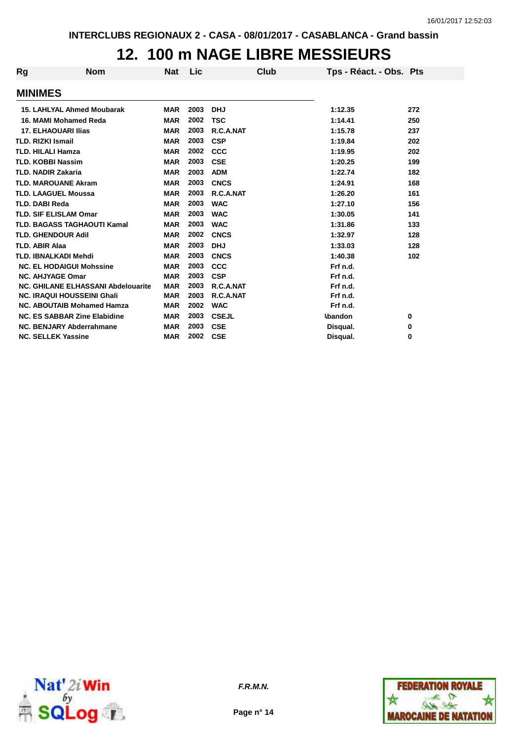#### **12. 100 m NAGE LIBRE MESSIEURS**

| <b>Rg</b>                | <b>Nom</b>                                | Nat        | Lic  | Club         | Tps - Réact. - Obs. Pts |     |
|--------------------------|-------------------------------------------|------------|------|--------------|-------------------------|-----|
| <b>MINIMES</b>           |                                           |            |      |              |                         |     |
|                          | <b>15. LAHLYAL Ahmed Moubarak</b>         | <b>MAR</b> | 2003 | <b>DHJ</b>   | 1:12.35                 | 272 |
|                          | 16. MAMI Mohamed Reda                     | <b>MAR</b> | 2002 | <b>TSC</b>   | 1:14.41                 | 250 |
|                          | <b>17. ELHAOUARI Ilias</b>                | <b>MAR</b> | 2003 | R.C.A.NAT    | 1:15.78                 | 237 |
| <b>TLD. RIZKI Ismail</b> |                                           | <b>MAR</b> | 2003 | <b>CSP</b>   | 1:19.84                 | 202 |
|                          | <b>TLD. HILALI Hamza</b>                  | <b>MAR</b> | 2002 | <b>CCC</b>   | 1:19.95                 | 202 |
|                          | <b>TLD. KOBBI Nassim</b>                  | <b>MAR</b> | 2003 | <b>CSE</b>   | 1:20.25                 | 199 |
|                          | <b>TLD. NADIR Zakaria</b>                 | <b>MAR</b> | 2003 | <b>ADM</b>   | 1:22.74                 | 182 |
|                          | <b>TLD. MAROUANE Akram</b>                | <b>MAR</b> | 2003 | <b>CNCS</b>  | 1:24.91                 | 168 |
|                          | <b>TLD. LAAGUEL Moussa</b>                | <b>MAR</b> | 2003 | R.C.A.NAT    | 1:26.20                 | 161 |
| <b>TLD. DABI Reda</b>    |                                           | <b>MAR</b> | 2003 | <b>WAC</b>   | 1:27.10                 | 156 |
|                          | <b>TLD. SIF ELISLAM Omar</b>              | <b>MAR</b> | 2003 | <b>WAC</b>   | 1:30.05                 | 141 |
|                          | <b>TLD. BAGASS TAGHAOUTI Kamal</b>        | <b>MAR</b> | 2003 | <b>WAC</b>   | 1:31.86                 | 133 |
|                          | <b>TLD. GHENDOUR Adil</b>                 | <b>MAR</b> | 2002 | <b>CNCS</b>  | 1:32.97                 | 128 |
| <b>TLD. ABIR Alaa</b>    |                                           | <b>MAR</b> | 2003 | <b>DHJ</b>   | 1:33.03                 | 128 |
|                          | <b>TLD. IBNALKADI Mehdi</b>               | <b>MAR</b> | 2003 | <b>CNCS</b>  | 1:40.38                 | 102 |
|                          | <b>NC. EL HODAIGUI Mohssine</b>           | <b>MAR</b> | 2003 | CCC          | Frf n.d.                |     |
|                          | <b>NC. AHJYAGE Omar</b>                   | <b>MAR</b> | 2003 | <b>CSP</b>   | Frf n.d.                |     |
|                          | <b>NC. GHILANE ELHASSANI Abdelouarite</b> | <b>MAR</b> | 2003 | R.C.A.NAT    | Frf n.d.                |     |
|                          | <b>NC. IRAQUI HOUSSEINI Ghali</b>         | <b>MAR</b> | 2003 | R.C.A.NAT    | Frf n.d.                |     |
|                          | <b>NC. ABOUTAIB Mohamed Hamza</b>         | <b>MAR</b> | 2002 | <b>WAC</b>   | Frf n.d.                |     |
|                          | <b>NC. ES SABBAR Zine Elabidine</b>       | <b>MAR</b> | 2003 | <b>CSEJL</b> | <b>\bandon</b>          | 0   |
|                          | NC. BENJARY Abderrahmane                  | <b>MAR</b> | 2003 | <b>CSE</b>   | Disqual.                | 0   |
|                          | <b>NC. SELLEK Yassine</b>                 | <b>MAR</b> | 2002 | <b>CSE</b>   | Disqual.                | 0   |



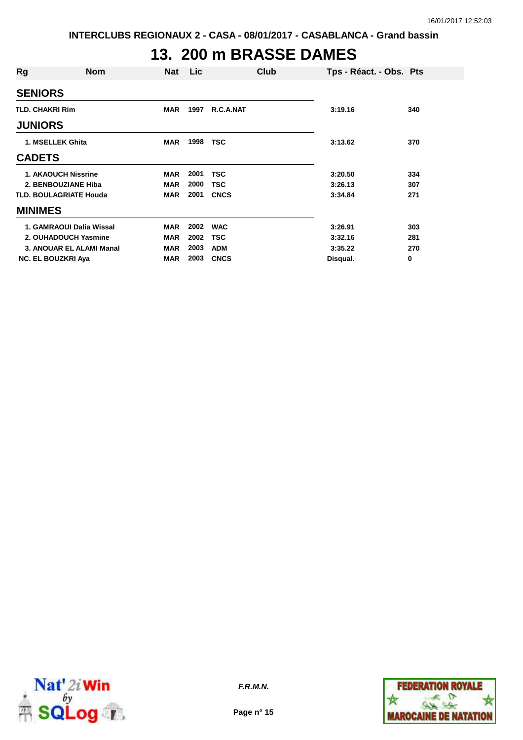# **13. 200 m BRASSE DAMES**

| Rg                     | <b>Nom</b>                    | Nat        | <b>Lic</b> | Club        | Tps - Réact. - Obs. Pts |     |
|------------------------|-------------------------------|------------|------------|-------------|-------------------------|-----|
| <b>SENIORS</b>         |                               |            |            |             |                         |     |
| <b>TLD. CHAKRI Rim</b> |                               | <b>MAR</b> | 1997       | R.C.A.NAT   | 3:19.16                 | 340 |
| <b>JUNIORS</b>         |                               |            |            |             |                         |     |
|                        | 1. MSELLEK Ghita              | <b>MAR</b> | 1998       | TSC         | 3:13.62                 | 370 |
| <b>CADETS</b>          |                               |            |            |             |                         |     |
|                        | <b>1. AKAOUCH Nissrine</b>    | <b>MAR</b> | 2001       | TSC         | 3:20.50                 | 334 |
|                        | 2. BENBOUZIANE Hiba           | <b>MAR</b> | 2000       | <b>TSC</b>  | 3:26.13                 | 307 |
|                        | <b>TLD. BOULAGRIATE Houda</b> | <b>MAR</b> | 2001       | <b>CNCS</b> | 3:34.84                 | 271 |
| <b>MINIMES</b>         |                               |            |            |             |                         |     |
|                        | 1. GAMRAOUI Dalia Wissal      | <b>MAR</b> | 2002       | <b>WAC</b>  | 3:26.91                 | 303 |
|                        | 2. OUHADOUCH Yasmine          | <b>MAR</b> | 2002       | <b>TSC</b>  | 3:32.16                 | 281 |
|                        | 3. ANOUAR EL ALAMI Manal      | <b>MAR</b> | 2003       | <b>ADM</b>  | 3:35.22                 | 270 |
|                        | <b>NC. EL BOUZKRI Aya</b>     | <b>MAR</b> | 2003       | <b>CNCS</b> | Disqual.                | 0   |



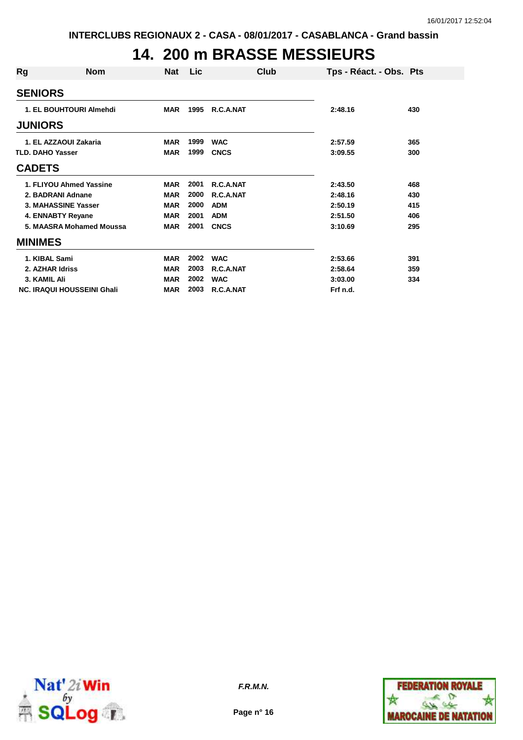### **14. 200 m BRASSE MESSIEURS**

| Rg                      | <b>Nom</b>                        | <b>Nat</b> | <b>Lic</b> | Club        | Tps - Réact. - Obs. Pts |     |
|-------------------------|-----------------------------------|------------|------------|-------------|-------------------------|-----|
| <b>SENIORS</b>          |                                   |            |            |             |                         |     |
|                         | 1. EL BOUHTOURI Almehdi           | <b>MAR</b> | 1995       | R.C.A.NAT   | 2:48.16                 | 430 |
| <b>JUNIORS</b>          |                                   |            |            |             |                         |     |
|                         | 1. EL AZZAOUI Zakaria             | <b>MAR</b> | 1999       | <b>WAC</b>  | 2:57.59                 | 365 |
| <b>TLD. DAHO Yasser</b> |                                   | <b>MAR</b> | 1999       | <b>CNCS</b> | 3:09.55                 | 300 |
| <b>CADETS</b>           |                                   |            |            |             |                         |     |
|                         | 1. FLIYOU Ahmed Yassine           | <b>MAR</b> | 2001       | R.C.A.NAT   | 2:43.50                 | 468 |
|                         | 2. BADRANI Adnane                 | <b>MAR</b> | 2000       | R.C.A.NAT   | 2:48.16                 | 430 |
|                         | 3. MAHASSINE Yasser               | <b>MAR</b> | 2000       | <b>ADM</b>  | 2:50.19                 | 415 |
|                         | 4. ENNABTY Reyane                 | <b>MAR</b> | 2001       | <b>ADM</b>  | 2:51.50                 | 406 |
|                         | 5. MAASRA Mohamed Moussa          | <b>MAR</b> | 2001       | <b>CNCS</b> | 3:10.69                 | 295 |
| <b>MINIMES</b>          |                                   |            |            |             |                         |     |
| 1. KIBAL Sami           |                                   | <b>MAR</b> | 2002       | <b>WAC</b>  | 2:53.66                 | 391 |
|                         | 2. AZHAR Idriss                   | <b>MAR</b> | 2003       | R.C.A.NAT   | 2:58.64                 | 359 |
| 3. KAMIL Ali            |                                   | <b>MAR</b> | 2002       | <b>WAC</b>  | 3:03.00                 | 334 |
|                         | <b>NC. IRAQUI HOUSSEINI Ghali</b> | <b>MAR</b> | 2003       | R.C.A.NAT   | Frf n.d.                |     |



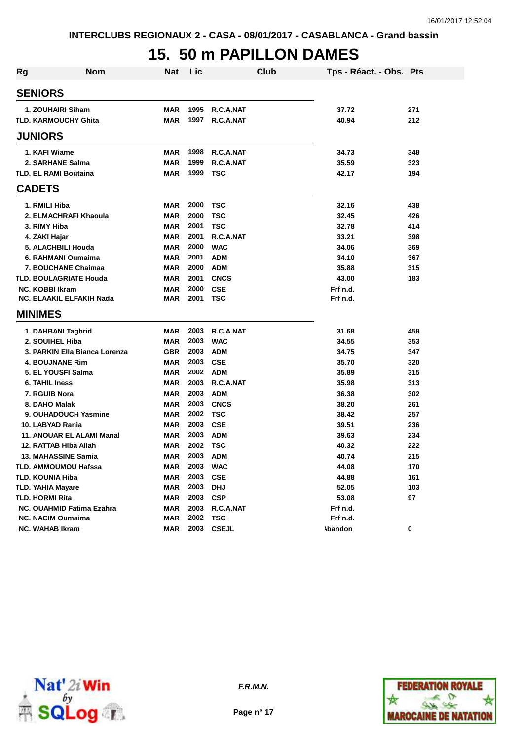#### **15. 50 m PAPILLON DAMES**

| Rg | <b>Nom</b>                    | <b>Nat</b> | Lic  | Club         | Tps - Réact. - Obs. Pts |     |
|----|-------------------------------|------------|------|--------------|-------------------------|-----|
|    | <b>SENIORS</b>                |            |      |              |                         |     |
|    | 1. ZOUHAIRI Siham             | <b>MAR</b> | 1995 | R.C.A.NAT    | 37.72                   | 271 |
|    | <b>TLD. KARMOUCHY Ghita</b>   | <b>MAR</b> | 1997 | R.C.A.NAT    | 40.94                   | 212 |
|    | <b>JUNIORS</b>                |            |      |              |                         |     |
|    | 1. KAFI Wiame                 | <b>MAR</b> | 1998 | R.C.A.NAT    | 34.73                   | 348 |
|    | 2. SARHANE Salma              | <b>MAR</b> | 1999 | R.C.A.NAT    | 35.59                   | 323 |
|    | <b>TLD. EL RAMI Boutaina</b>  | <b>MAR</b> | 1999 | <b>TSC</b>   | 42.17                   | 194 |
|    | <b>CADETS</b>                 |            |      |              |                         |     |
|    | 1. RMILI Hiba                 | <b>MAR</b> | 2000 | <b>TSC</b>   | 32.16                   | 438 |
|    | 2. ELMACHRAFI Khaoula         | <b>MAR</b> | 2000 | <b>TSC</b>   | 32.45                   | 426 |
|    | 3. RIMY Hiba                  | <b>MAR</b> | 2001 | <b>TSC</b>   | 32.78                   | 414 |
|    | 4. ZAKI Hajar                 | <b>MAR</b> | 2001 | R.C.A.NAT    | 33.21                   | 398 |
|    | 5. ALACHBILI Houda            | <b>MAR</b> | 2000 | <b>WAC</b>   | 34.06                   | 369 |
|    | 6. RAHMANI Oumaima            | <b>MAR</b> | 2001 | <b>ADM</b>   | 34.10                   | 367 |
|    | 7. BOUCHANE Chaimaa           | <b>MAR</b> | 2000 | <b>ADM</b>   | 35.88                   | 315 |
|    | <b>TLD. BOULAGRIATE Houda</b> | <b>MAR</b> | 2001 | <b>CNCS</b>  | 43.00                   | 183 |
|    | <b>NC. KOBBI Ikram</b>        | <b>MAR</b> | 2000 | <b>CSE</b>   | Frf n.d.                |     |
|    | NC. ELAAKIL ELFAKIH Nada      | <b>MAR</b> | 2001 | TSC          | Frf n.d.                |     |
|    | <b>MINIMES</b>                |            |      |              |                         |     |
|    | 1. DAHBANI Taghrid            | <b>MAR</b> | 2003 | R.C.A.NAT    | 31.68                   | 458 |
|    | 2. SOUIHEL Hiba               | <b>MAR</b> | 2003 | <b>WAC</b>   | 34.55                   | 353 |
|    | 3. PARKIN Ella Bianca Lorenza | <b>GBR</b> | 2003 | <b>ADM</b>   | 34.75                   | 347 |
|    | <b>4. BOUJNANE Rim</b>        | <b>MAR</b> | 2003 | <b>CSE</b>   | 35.70                   | 320 |
|    | 5. EL YOUSFI Salma            | <b>MAR</b> | 2002 | <b>ADM</b>   | 35.89                   | 315 |
|    | <b>6. TAHIL Iness</b>         | <b>MAR</b> | 2003 | R.C.A.NAT    | 35.98                   | 313 |
|    | 7. RGUIB Nora                 | <b>MAR</b> | 2003 | <b>ADM</b>   | 36.38                   | 302 |
|    | 8. DAHO Malak                 | <b>MAR</b> | 2003 | <b>CNCS</b>  | 38.20                   | 261 |
|    | 9. OUHADOUCH Yasmine          | <b>MAR</b> | 2002 | <b>TSC</b>   | 38.42                   | 257 |
|    | 10. LABYAD Rania              | <b>MAR</b> | 2003 | <b>CSE</b>   | 39.51                   | 236 |
|    | 11. ANOUAR EL ALAMI Manal     | <b>MAR</b> | 2003 | <b>ADM</b>   | 39.63                   | 234 |
|    | 12. RATTAB Hiba Allah         | <b>MAR</b> | 2002 | <b>TSC</b>   | 40.32                   | 222 |
|    | 13. MAHASSINE Samia           | <b>MAR</b> | 2003 | <b>ADM</b>   | 40.74                   | 215 |
|    | TLD. AMMOUMOU Hafssa          | <b>MAR</b> | 2003 | <b>WAC</b>   | 44.08                   | 170 |
|    | <b>TLD. KOUNIA Hiba</b>       | <b>MAR</b> | 2003 | <b>CSE</b>   | 44.88                   | 161 |
|    | <b>TLD. YAHIA Mayare</b>      | <b>MAR</b> | 2003 | <b>DHJ</b>   | 52.05                   | 103 |
|    | TLD. HORMI Rita               | <b>MAR</b> | 2003 | <b>CSP</b>   | 53.08                   | 97  |
|    | NC. OUAHMID Fatima Ezahra     | <b>MAR</b> | 2003 | R.C.A.NAT    | Frf n.d.                |     |
|    | <b>NC. NACIM Oumaima</b>      | <b>MAR</b> | 2002 | <b>TSC</b>   | Frf n.d.                |     |
|    | <b>NC. WAHAB Ikram</b>        | MAR        | 2003 | <b>CSEJL</b> | <b>Abandon</b>          | 0   |



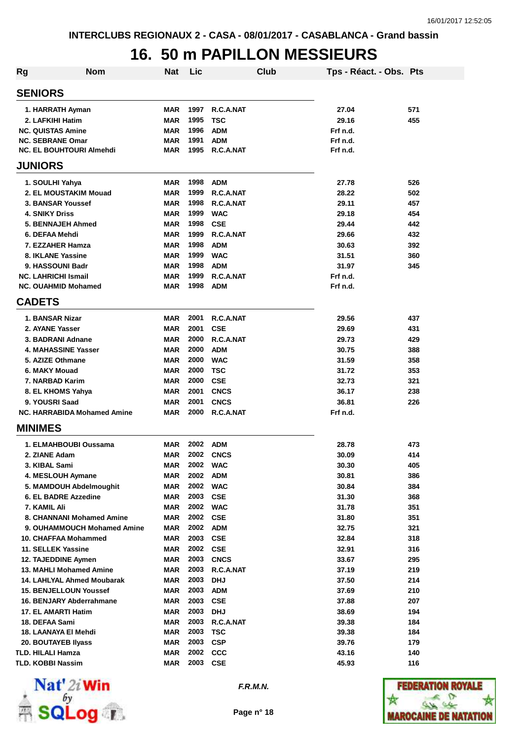### **16. 50 m PAPILLON MESSIEURS**

| <b>Rg</b> | <b>Nom</b>                         | <b>Nat</b> | Lic  | Club        | Tps - Réact. - Obs. Pts |     |
|-----------|------------------------------------|------------|------|-------------|-------------------------|-----|
|           | <b>SENIORS</b>                     |            |      |             |                         |     |
|           | 1. HARRATH Ayman                   | <b>MAR</b> | 1997 | R.C.A.NAT   | 27.04                   | 571 |
|           | 2. LAFKIHI Hatim                   | <b>MAR</b> | 1995 | <b>TSC</b>  | 29.16                   | 455 |
|           | <b>NC. QUISTAS Amine</b>           | <b>MAR</b> | 1996 | <b>ADM</b>  | Frf n.d.                |     |
|           | <b>NC. SEBRANE Omar</b>            | <b>MAR</b> | 1991 | <b>ADM</b>  | Frf n.d.                |     |
|           | <b>NC. EL BOUHTOURI Almehdi</b>    | <b>MAR</b> | 1995 | R.C.A.NAT   | Frf n.d.                |     |
|           | <b>JUNIORS</b>                     |            |      |             |                         |     |
|           | 1. SOULHI Yahya                    | <b>MAR</b> | 1998 | <b>ADM</b>  | 27.78                   | 526 |
|           | 2. EL MOUSTAKIM Mouad              | <b>MAR</b> | 1999 | R.C.A.NAT   | 28.22                   | 502 |
|           | 3. BANSAR Youssef                  | <b>MAR</b> | 1998 | R.C.A.NAT   | 29.11                   | 457 |
|           | <b>4. SNIKY Driss</b>              | <b>MAR</b> | 1999 | <b>WAC</b>  | 29.18                   | 454 |
|           | 5. BENNAJEH Ahmed                  | <b>MAR</b> | 1998 | <b>CSE</b>  | 29.44                   | 442 |
|           | 6. DEFAA Mehdi                     | <b>MAR</b> | 1999 | R.C.A.NAT   | 29.66                   | 432 |
|           | 7. EZZAHER Hamza                   | <b>MAR</b> | 1998 | <b>ADM</b>  | 30.63                   | 392 |
|           | 8. IKLANE Yassine                  | <b>MAR</b> | 1999 | <b>WAC</b>  | 31.51                   | 360 |
|           | 9. HASSOUNI Badr                   | <b>MAR</b> | 1998 | <b>ADM</b>  | 31.97                   | 345 |
|           | <b>NC. LAHRICHI Ismail</b>         | <b>MAR</b> | 1999 | R.C.A.NAT   | Frf n.d.                |     |
|           | <b>NC. OUAHMID Mohamed</b>         | <b>MAR</b> | 1998 | <b>ADM</b>  | Frf n.d.                |     |
|           | <b>CADETS</b>                      |            |      |             |                         |     |
|           | 1. BANSAR Nizar                    | <b>MAR</b> | 2001 | R.C.A.NAT   | 29.56                   | 437 |
|           | 2. AYANE Yasser                    | <b>MAR</b> | 2001 | <b>CSE</b>  | 29.69                   | 431 |
|           | 3. BADRANI Adnane                  | <b>MAR</b> | 2000 | R.C.A.NAT   | 29.73                   | 429 |
|           | 4. MAHASSINE Yasser                | <b>MAR</b> | 2000 | <b>ADM</b>  | 30.75                   | 388 |
|           | 5. AZIZE Othmane                   | <b>MAR</b> | 2000 | <b>WAC</b>  | 31.59                   | 358 |
|           | 6. MAKY Mouad                      | <b>MAR</b> | 2000 | <b>TSC</b>  | 31.72                   | 353 |
|           | 7. NARBAD Karim                    | <b>MAR</b> | 2000 | <b>CSE</b>  | 32.73                   | 321 |
|           | 8. EL KHOMS Yahya                  | <b>MAR</b> | 2001 | <b>CNCS</b> | 36.17                   | 238 |
|           | 9. YOUSRI Saad                     | <b>MAR</b> | 2001 | <b>CNCS</b> | 36.81                   | 226 |
|           | <b>NC. HARRABIDA Mohamed Amine</b> | <b>MAR</b> | 2000 | R.C.A.NAT   | Frf n.d.                |     |
|           | <b>MINIMES</b>                     |            |      |             |                         |     |
|           | 1. ELMAHBOUBI Oussama              | MAR        | 2002 | <b>ADM</b>  | 28.78                   | 473 |
|           | 2. ZIANE Adam                      | MAR        | 2002 | <b>CNCS</b> | 30.09                   | 414 |
|           | 3. KIBAL Sami                      | MAR        | 2002 | <b>WAC</b>  | 30.30                   | 405 |
|           | 4. MESLOUH Aymane                  | <b>MAR</b> | 2002 | <b>ADM</b>  | 30.81                   | 386 |
|           | 5. MAMDOUH Abdelmoughit            | MAR        | 2002 | <b>WAC</b>  | 30.84                   | 384 |
|           | 6. EL BADRE Azzedine               | <b>MAR</b> | 2003 | <b>CSE</b>  | 31.30                   | 368 |
|           | 7. KAMIL Ali                       | <b>MAR</b> | 2002 | <b>WAC</b>  | 31.78                   | 351 |
|           | 8. CHANNANI Mohamed Amine          | MAR        | 2002 | <b>CSE</b>  | 31.80                   | 351 |
|           | 9. OUHAMMOUCH Mohamed Amine        | <b>MAR</b> | 2002 | <b>ADM</b>  | 32.75                   | 321 |
|           | 10. CHAFFAA Mohammed               | <b>MAR</b> | 2003 | <b>CSE</b>  | 32.84                   | 318 |
|           | 11. SELLEK Yassine                 | MAR        | 2002 | <b>CSE</b>  | 32.91                   | 316 |
|           | 12. TAJEDDINE Aymen                | <b>MAR</b> | 2003 | <b>CNCS</b> | 33.67                   | 295 |
|           | <b>13. MAHLI Mohamed Amine</b>     | MAR        | 2003 | R.C.A.NAT   | 37.19                   | 219 |
|           | 14. LAHLYAL Ahmed Moubarak         | MAR        | 2003 | <b>DHJ</b>  | 37.50                   | 214 |
|           | <b>15. BENJELLOUN Youssef</b>      | MAR        | 2003 | <b>ADM</b>  | 37.69                   | 210 |
|           | 16. BENJARY Abderrahmane           | MAR        | 2003 | <b>CSE</b>  | 37.88                   | 207 |
|           | 17. EL AMARTI Hatim                | MAR        | 2003 | <b>DHJ</b>  | 38.69                   | 194 |
|           | 18. DEFAA Sami                     | <b>MAR</b> | 2003 | R.C.A.NAT   | 39.38                   | 184 |
|           | 18. LAANAYA EI Mehdi               | <b>MAR</b> | 2003 | <b>TSC</b>  | 39.38                   | 184 |
|           | 20. BOUTAYEB Ilyass                | <b>MAR</b> | 2003 | <b>CSP</b>  | 39.76                   | 179 |
|           | TLD. HILALI Hamza                  | <b>MAR</b> | 2002 | CCC         | 43.16                   | 140 |
|           | TLD. KOBBI Nassim                  | <b>MAR</b> | 2003 | <b>CSE</b>  | 45.93                   | 116 |



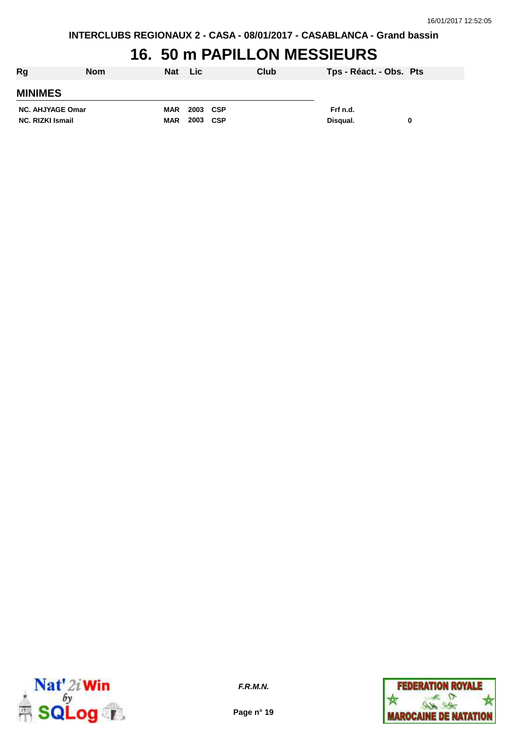# **16. 50 m PAPILLON MESSIEURS**

| Rg                      | <b>Nom</b> | <b>Nat</b> | <b>Lic</b> | Club |          | Tps - Réact. - Obs. Pts |  |
|-------------------------|------------|------------|------------|------|----------|-------------------------|--|
| <b>MINIMES</b>          |            |            |            |      |          |                         |  |
| <b>NC. AHJYAGE Omar</b> |            | <b>MAR</b> | 2003 CSP   |      | Frf n.d. |                         |  |
| <b>NC. RIZKI Ismail</b> |            | <b>MAR</b> | 2003 CSP   |      | Disqual. | 0                       |  |



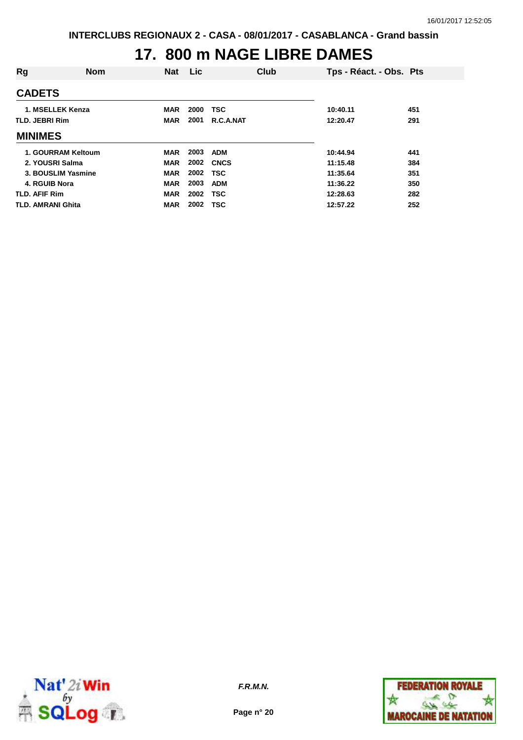# **17. 800 m NAGE LIBRE DAMES**

| Rg                   | <b>Nom</b>         | <b>Nat</b> | Lic. | Club        | Tps - Réact. - Obs. Pts |     |
|----------------------|--------------------|------------|------|-------------|-------------------------|-----|
| <b>CADETS</b>        |                    |            |      |             |                         |     |
| 1. MSELLEK Kenza     |                    | <b>MAR</b> | 2000 | <b>TSC</b>  | 10:40.11                | 451 |
| TLD. JEBRI Rim       |                    | <b>MAR</b> | 2001 | R.C.A.NAT   | 12:20.47                | 291 |
| <b>MINIMES</b>       |                    |            |      |             |                         |     |
|                      | 1. GOURRAM Keltoum | <b>MAR</b> | 2003 | <b>ADM</b>  | 10:44.94                | 441 |
| 2. YOUSRI Salma      |                    | <b>MAR</b> | 2002 | <b>CNCS</b> | 11:15.48                | 384 |
|                      | 3. BOUSLIM Yasmine | <b>MAR</b> | 2002 | <b>TSC</b>  | 11:35.64                | 351 |
| 4. RGUIB Nora        |                    | <b>MAR</b> | 2003 | <b>ADM</b>  | 11:36.22                | 350 |
| <b>TLD. AFIF Rim</b> |                    | <b>MAR</b> | 2002 | <b>TSC</b>  | 12:28.63                | 282 |
| TLD. AMRANI Ghita    |                    | MAR        | 2002 | <b>TSC</b>  | 12:57.22                | 252 |



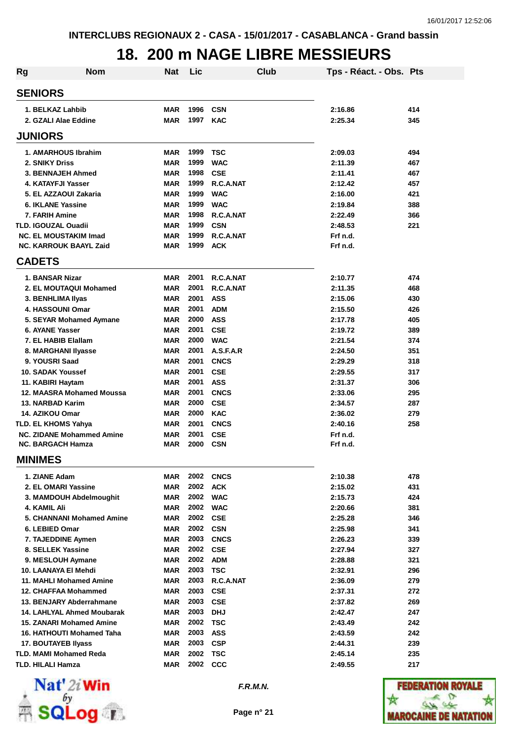#### **18. 200 m NAGE LIBRE MESSIEURS**

| <b>Rg</b> | <b>Nom</b>                                                    | Nat                      | Lic          |                         | Club | Tps - Réact. - Obs. Pts |            |
|-----------|---------------------------------------------------------------|--------------------------|--------------|-------------------------|------|-------------------------|------------|
|           | <b>SENIORS</b>                                                |                          |              |                         |      |                         |            |
|           | 1. BELKAZ Lahbib                                              | <b>MAR</b>               | 1996         | <b>CSN</b>              |      | 2:16.86                 | 414        |
|           | 2. GZALI Alae Eddine                                          | <b>MAR</b>               | 1997         | <b>KAC</b>              |      | 2:25.34                 | 345        |
|           | <b>JUNIORS</b>                                                |                          |              |                         |      |                         |            |
|           | 1. AMARHOUS Ibrahim                                           | <b>MAR</b>               | 1999         | TSC                     |      | 2:09.03                 | 494        |
|           | 2. SNIKY Driss                                                | <b>MAR</b>               | 1999         | <b>WAC</b>              |      | 2:11.39                 | 467        |
|           | 3. BENNAJEH Ahmed                                             | <b>MAR</b>               | 1998         | <b>CSE</b>              |      | 2:11.41                 | 467        |
|           | 4. KATAYFJI Yasser                                            | <b>MAR</b>               | 1999         | R.C.A.NAT               |      | 2:12.42                 | 457        |
|           | 5. EL AZZAOUI Zakaria                                         | <b>MAR</b>               | 1999         | <b>WAC</b>              |      | 2:16.00                 | 421        |
|           | 6. IKLANE Yassine                                             | <b>MAR</b>               | 1999         | <b>WAC</b>              |      | 2:19.84                 | 388        |
|           | 7. FARIH Amine                                                | <b>MAR</b>               | 1998         | R.C.A.NAT               |      | 2:22.49                 | 366        |
|           | TLD. IGOUZAL Ouadii                                           | <b>MAR</b>               | 1999         | <b>CSN</b>              |      | 2:48.53                 | 221        |
|           | <b>NC. EL MOUSTAKIM Imad</b><br><b>NC. KARROUK BAAYL Zaid</b> | <b>MAR</b><br><b>MAR</b> | 1999<br>1999 | R.C.A.NAT<br><b>ACK</b> |      | Frf n.d.<br>Frf n.d.    |            |
|           | <b>CADETS</b>                                                 |                          |              |                         |      |                         |            |
|           |                                                               |                          |              |                         |      |                         |            |
|           | 1. BANSAR Nizar                                               | <b>MAR</b>               | 2001<br>2001 | R.C.A.NAT               |      | 2:10.77                 | 474        |
|           | 2. EL MOUTAQUI Mohamed<br>3. BENHLIMA IIyas                   | <b>MAR</b><br><b>MAR</b> | 2001         | R.C.A.NAT<br><b>ASS</b> |      | 2:11.35<br>2:15.06      | 468<br>430 |
|           | 4. HASSOUNI Omar                                              | <b>MAR</b>               | 2001         | <b>ADM</b>              |      | 2:15.50                 | 426        |
|           | 5. SEYAR Mohamed Aymane                                       | MAR                      | 2000         | <b>ASS</b>              |      | 2:17.78                 | 405        |
|           | 6. AYANE Yasser                                               | <b>MAR</b>               | 2001         | <b>CSE</b>              |      | 2:19.72                 | 389        |
|           | 7. EL HABIB Elallam                                           | <b>MAR</b>               | 2000         | <b>WAC</b>              |      | 2:21.54                 | 374        |
|           | 8. MARGHANI Ilyasse                                           | <b>MAR</b>               | 2001         | A.S.F.A.R               |      | 2:24.50                 | 351        |
|           | 9. YOUSRI Saad                                                | <b>MAR</b>               | 2001         | <b>CNCS</b>             |      | 2:29.29                 | 318        |
|           | 10. SADAK Youssef                                             | <b>MAR</b>               | 2001         | <b>CSE</b>              |      | 2:29.55                 | 317        |
|           | 11. KABIRI Haytam                                             | <b>MAR</b>               | 2001         | <b>ASS</b>              |      | 2:31.37                 | 306        |
|           | 12. MAASRA Mohamed Moussa                                     | <b>MAR</b>               | 2001         | <b>CNCS</b>             |      | 2:33.06                 | 295        |
|           | 13. NARBAD Karim                                              | <b>MAR</b>               | 2000         | <b>CSE</b>              |      | 2:34.57                 | 287        |
|           | 14. AZIKOU Omar                                               | <b>MAR</b>               | 2000         | <b>KAC</b>              |      | 2:36.02                 | 279        |
|           | TLD. EL KHOMS Yahya                                           | <b>MAR</b>               | 2001         | <b>CNCS</b>             |      | 2:40.16                 | 258        |
|           | <b>NC. ZIDANE Mohammed Amine</b>                              | <b>MAR</b>               | 2001         | <b>CSE</b>              |      | Frf n.d.                |            |
|           | <b>NC. BARGACH Hamza</b>                                      | <b>MAR</b>               | 2000         | <b>CSN</b>              |      | Frf n.d.                |            |
|           | <b>MINIMES</b>                                                |                          |              |                         |      |                         |            |
|           | 1. ZIANE Adam                                                 | <b>MAR</b>               |              | <b>2002 CNCS</b>        |      | 2:10.38                 | 478        |
|           | 2. EL OMARI Yassine                                           | <b>MAR</b>               |              | 2002 ACK                |      | 2:15.02                 | 431        |
|           | 3. MAMDOUH Abdelmoughit                                       | <b>MAR</b>               |              | 2002 WAC                |      | 2:15.73                 | 424        |
|           | 4. KAMIL Ali                                                  | <b>MAR</b>               | 2002         | <b>WAC</b>              |      | 2:20.66                 | 381        |
|           | 5. CHANNANI Mohamed Amine                                     | <b>MAR</b>               |              | 2002 CSE                |      | 2:25.28                 | 346        |
|           | 6. LEBIED Omar                                                | <b>MAR</b>               |              | 2002 CSN                |      | 2:25.98                 | 341        |
|           | 7. TAJEDDINE Aymen                                            | <b>MAR</b>               | 2003         | <b>CNCS</b>             |      | 2:26.23                 | 339        |
|           | 8. SELLEK Yassine<br>9. MESLOUH Aymane                        | <b>MAR</b><br><b>MAR</b> | 2002         | 2002 CSE<br><b>ADM</b>  |      | 2:27.94                 | 327<br>321 |
|           | 10. LAANAYA EI Mehdi                                          | <b>MAR</b>               | 2003         | <b>TSC</b>              |      | 2:28.88<br>2:32.91      | 296        |
|           | 11. MAHLI Mohamed Amine                                       | <b>MAR</b>               | 2003         | R.C.A.NAT               |      | 2:36.09                 | 279        |
|           | 12. CHAFFAA Mohammed                                          | <b>MAR</b>               | 2003         | <b>CSE</b>              |      | 2:37.31                 | 272        |
|           | 13. BENJARY Abderrahmane                                      | <b>MAR</b>               | 2003         | <b>CSE</b>              |      | 2:37.82                 | 269        |
|           | <b>14. LAHLYAL Ahmed Moubarak</b>                             | <b>MAR</b>               | 2003         | <b>DHJ</b>              |      | 2:42.47                 | 247        |
|           | <b>15. ZANARI Mohamed Amine</b>                               | <b>MAR</b>               | 2002         | <b>TSC</b>              |      | 2:43.49                 | 242        |
|           | 16. HATHOUTI Mohamed Taha                                     | MAR                      | 2003         | <b>ASS</b>              |      | 2:43.59                 | 242        |
|           | <b>17. BOUTAYEB Ilyass</b>                                    | <b>MAR</b>               | 2003         | <b>CSP</b>              |      | 2:44.31                 | 239        |
|           | TLD. MAMI Mohamed Reda                                        | <b>MAR</b>               | 2002         | <b>TSC</b>              |      | 2:45.14                 | 235        |
|           | TLD. HILALI Hamza                                             | MAR                      |              | 2002 CCC                |      | 2:49.55                 | 217        |



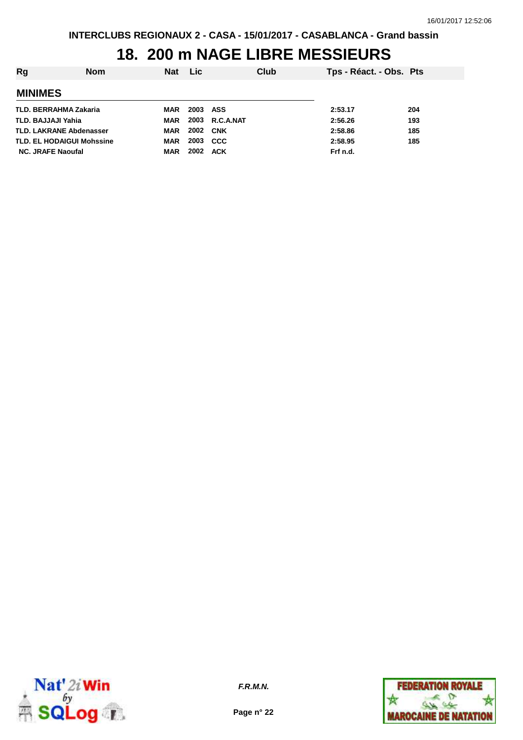### **18. 200 m NAGE LIBRE MESSIEURS**

| Rg                       | <b>Nom</b>                       | <b>Nat</b> | Lic.            | Club           | Tps - Réact. - Obs. Pts |     |
|--------------------------|----------------------------------|------------|-----------------|----------------|-------------------------|-----|
| <b>MINIMES</b>           |                                  |            |                 |                |                         |     |
|                          | TLD. BERRAHMA Zakaria            | MAR        | <b>2003 ASS</b> |                | 2:53.17                 | 204 |
| TLD. BAJJAJI Yahia       |                                  | <b>MAR</b> |                 | 2003 R.C.A.NAT | 2:56.26                 | 193 |
|                          | <b>TLD. LAKRANE Abdenasser</b>   | <b>MAR</b> |                 | 2002 CNK       | 2:58.86                 | 185 |
|                          | <b>TLD. EL HODAIGUI Mohssine</b> | MAR        | 2003            | <b>CCC</b>     | 2:58.95                 | 185 |
| <b>NC. JRAFE Naoufal</b> |                                  | <b>MAR</b> | 2002            | <b>ACK</b>     | Frf n.d.                |     |



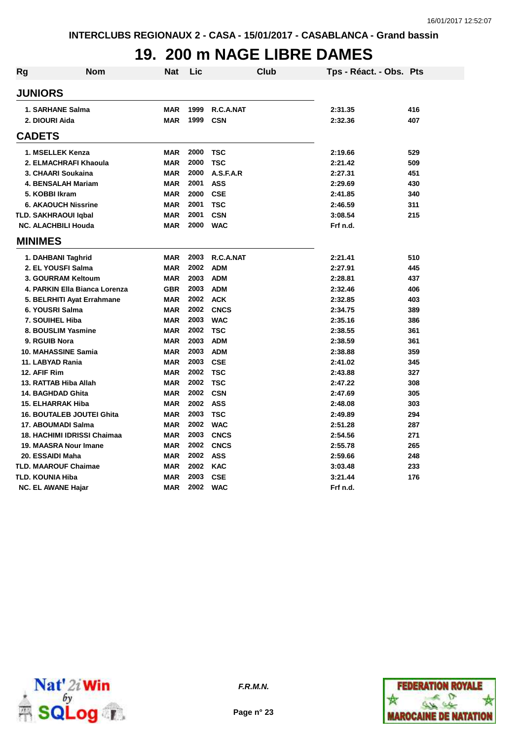### **19. 200 m NAGE LIBRE DAMES**

| Rg | <b>Nom</b>                       | <b>Nat</b> | Lic      | Club             | Tps - Réact. - Obs. Pts |     |
|----|----------------------------------|------------|----------|------------------|-------------------------|-----|
|    | <b>JUNIORS</b>                   |            |          |                  |                         |     |
|    | 1. SARHANE Salma                 | <b>MAR</b> | 1999     | R.C.A.NAT        | 2:31.35                 | 416 |
|    | 2. DIOURI Aida                   | <b>MAR</b> | 1999     | <b>CSN</b>       | 2:32.36                 | 407 |
|    | <b>CADETS</b>                    |            |          |                  |                         |     |
|    | 1. MSELLEK Kenza                 | <b>MAR</b> | 2000     | <b>TSC</b>       | 2:19.66                 | 529 |
|    | 2. ELMACHRAFI Khaoula            | <b>MAR</b> | 2000     | <b>TSC</b>       | 2:21.42                 | 509 |
|    | 3. CHAARI Soukaina               | <b>MAR</b> | 2000     | A.S.F.A.R        | 2:27.31                 | 451 |
|    | <b>4. BENSALAH Mariam</b>        | <b>MAR</b> | 2001     | <b>ASS</b>       | 2:29.69                 | 430 |
|    | 5. KOBBI Ikram                   | <b>MAR</b> | 2000     | <b>CSE</b>       | 2:41.85                 | 340 |
|    | <b>6. AKAOUCH Nissrine</b>       | <b>MAR</b> | 2001     | <b>TSC</b>       | 2:46.59                 | 311 |
|    | <b>TLD. SAKHRAOUI Iqbal</b>      | <b>MAR</b> | 2001     | <b>CSN</b>       | 3:08.54                 | 215 |
|    | <b>NC. ALACHBILI Houda</b>       | <b>MAR</b> | 2000     | <b>WAC</b>       | Frf n.d.                |     |
|    | <b>MINIMES</b>                   |            |          |                  |                         |     |
|    | 1. DAHBANI Taghrid               | <b>MAR</b> | 2003     | <b>R.C.A.NAT</b> | 2:21.41                 | 510 |
|    | 2. EL YOUSFI Salma               | <b>MAR</b> | 2002     | <b>ADM</b>       | 2:27.91                 | 445 |
|    | 3. GOURRAM Keltoum               | <b>MAR</b> | 2003     | <b>ADM</b>       | 2:28.81                 | 437 |
|    | 4. PARKIN Ella Bianca Lorenza    | <b>GBR</b> | 2003     | <b>ADM</b>       | 2:32.46                 | 406 |
|    | 5. BELRHITI Ayat Errahmane       | <b>MAR</b> | 2002     | <b>ACK</b>       | 2:32.85                 | 403 |
|    | 6. YOUSRI Salma                  | <b>MAR</b> | 2002     | <b>CNCS</b>      | 2:34.75                 | 389 |
|    | 7. SOUIHEL Hiba                  | <b>MAR</b> | 2003     | <b>WAC</b>       | 2:35.16                 | 386 |
|    | 8. BOUSLIM Yasmine               | <b>MAR</b> | 2002     | <b>TSC</b>       | 2:38.55                 | 361 |
|    | 9. RGUIB Nora                    | <b>MAR</b> | 2003     | <b>ADM</b>       | 2:38.59                 | 361 |
|    | 10. MAHASSINE Samia              | <b>MAR</b> | 2003     | <b>ADM</b>       | 2:38.88                 | 359 |
|    | 11. LABYAD Rania                 | <b>MAR</b> | 2003     | <b>CSE</b>       | 2:41.02                 | 345 |
|    | 12. AFIF Rim                     | <b>MAR</b> | 2002     | <b>TSC</b>       | 2:43.88                 | 327 |
|    | 13. RATTAB Hiba Allah            | <b>MAR</b> | 2002     | <b>TSC</b>       | 2:47.22                 | 308 |
|    | 14. BAGHDAD Ghita                | <b>MAR</b> | 2002     | <b>CSN</b>       | 2:47.69                 | 305 |
|    | 15. ELHARRAK Hiba                | <b>MAR</b> | 2002     | <b>ASS</b>       | 2:48.08                 | 303 |
|    | <b>16. BOUTALEB JOUTEI Ghita</b> | <b>MAR</b> | 2003     | <b>TSC</b>       | 2:49.89                 | 294 |
|    | 17. ABOUMADI Salma               | <b>MAR</b> | 2002     | <b>WAC</b>       | 2:51.28                 | 287 |
|    | 18. HACHIMI IDRISSI Chaimaa      | <b>MAR</b> | 2003     | <b>CNCS</b>      | 2:54.56                 | 271 |
|    | 19. MAASRA Nour Imane            | <b>MAR</b> | 2002     | <b>CNCS</b>      | 2:55.78                 | 265 |
|    | 20. ESSAIDI Maha                 | <b>MAR</b> | 2002 ASS |                  | 2:59.66                 | 248 |
|    | <b>TLD. MAAROUF Chaimae</b>      | <b>MAR</b> | 2002     | <b>KAC</b>       | 3:03.48                 | 233 |
|    | <b>TLD. KOUNIA Hiba</b>          | <b>MAR</b> | 2003     | <b>CSE</b>       | 3:21.44                 | 176 |
|    | <b>NC. EL AWANE Hajar</b>        | <b>MAR</b> | 2002     | <b>WAC</b>       | Frf n.d.                |     |



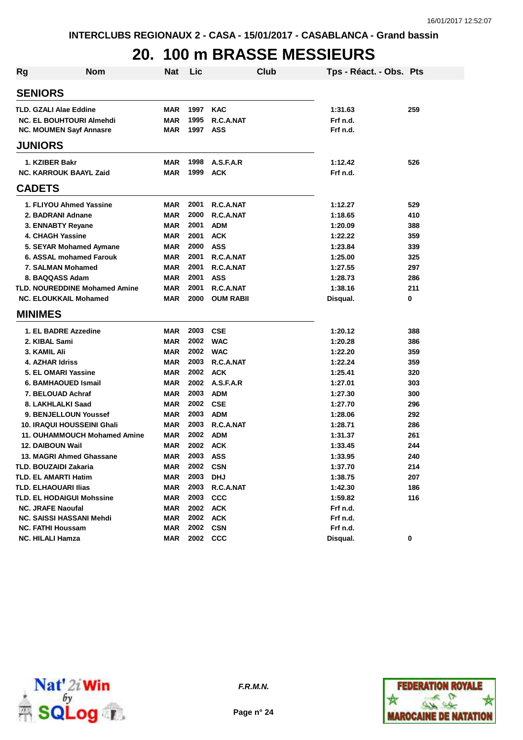### **20. 100 m BRASSE MESSIEURS**

| Rg | <b>Nom</b>                           | <b>Nat</b> | Lic  | Club             | Tps - Réact. - Obs. Pts |     |
|----|--------------------------------------|------------|------|------------------|-------------------------|-----|
|    | <b>SENIORS</b>                       |            |      |                  |                         |     |
|    | <b>TLD. GZALI Alae Eddine</b>        | <b>MAR</b> | 1997 | <b>KAC</b>       | 1:31.63                 | 259 |
|    | <b>NC. EL BOUHTOURI Almehdi</b>      | <b>MAR</b> | 1995 | R.C.A.NAT        | Frf n.d.                |     |
|    | <b>NC. MOUMEN Sayf Annasre</b>       | MAR        | 1997 | <b>ASS</b>       | Frf n.d.                |     |
|    | <b>JUNIORS</b>                       |            |      |                  |                         |     |
|    | 1. KZIBER Bakr                       | <b>MAR</b> | 1998 | A.S.F.A.R        | 1:12.42                 | 526 |
|    | <b>NC. KARROUK BAAYL Zaid</b>        | <b>MAR</b> | 1999 | <b>ACK</b>       | Frf n.d.                |     |
|    | <b>CADETS</b>                        |            |      |                  |                         |     |
|    | 1. FLIYOU Ahmed Yassine              | <b>MAR</b> | 2001 | R.C.A.NAT        | 1:12.27                 | 529 |
|    | 2. BADRANI Adnane                    | <b>MAR</b> | 2000 | R.C.A.NAT        | 1:18.65                 | 410 |
|    | 3. ENNABTY Reyane                    | <b>MAR</b> | 2001 | <b>ADM</b>       | 1:20.09                 | 388 |
|    | <b>4. CHAGH Yassine</b>              | <b>MAR</b> | 2001 | <b>ACK</b>       | 1:22.22                 | 359 |
|    | 5. SEYAR Mohamed Aymane              | <b>MAR</b> | 2000 | <b>ASS</b>       | 1:23.84                 | 339 |
|    | 6. ASSAL mohamed Farouk              | <b>MAR</b> | 2001 | R.C.A.NAT        | 1:25.00                 | 325 |
|    | 7. SALMAN Mohamed                    | <b>MAR</b> | 2001 | R.C.A.NAT        | 1:27.55                 | 297 |
|    | 8. BAQQASS Adam                      | <b>MAR</b> | 2001 | <b>ASS</b>       | 1:28.73                 | 286 |
|    | <b>TLD. NOUREDDINE Mohamed Amine</b> | <b>MAR</b> | 2001 | R.C.A.NAT        | 1:38.16                 | 211 |
|    | <b>NC. ELOUKKAIL Mohamed</b>         | MAR        | 2000 | <b>OUM RABII</b> | Disqual.                | 0   |
|    | <b>MINIMES</b>                       |            |      |                  |                         |     |
|    | 1. EL BADRE Azzedine                 | <b>MAR</b> | 2003 | <b>CSE</b>       | 1:20.12                 | 388 |
|    | 2. KIBAL Sami                        | <b>MAR</b> | 2002 | <b>WAC</b>       | 1:20.28                 | 386 |
|    | 3. KAMIL Ali                         | <b>MAR</b> | 2002 | <b>WAC</b>       | 1:22.20                 | 359 |
|    | <b>4. AZHAR Idriss</b>               | <b>MAR</b> | 2003 | R.C.A.NAT        | 1:22.24                 | 359 |
|    | 5. EL OMARI Yassine                  | <b>MAR</b> | 2002 | <b>ACK</b>       | 1:25.41                 | 320 |
|    | 6. BAMHAOUED Ismail                  | <b>MAR</b> | 2002 | A.S.F.A.R        | 1:27.01                 | 303 |
|    | 7. BELOUAD Achraf                    | <b>MAR</b> | 2003 | <b>ADM</b>       | 1:27.30                 | 300 |
|    | 8. LAKHLALKI Saad                    | <b>MAR</b> | 2002 | <b>CSE</b>       | 1:27.70                 | 296 |
|    | 9. BENJELLOUN Youssef                | <b>MAR</b> | 2003 | <b>ADM</b>       | 1:28.06                 | 292 |
|    | 10. IRAQUI HOUSSEINI Ghali           | <b>MAR</b> | 2003 | R.C.A.NAT        | 1:28.71                 | 286 |
|    | 11. OUHAMMOUCH Mohamed Amine         | <b>MAR</b> | 2002 | <b>ADM</b>       | 1:31.37                 | 261 |
|    | <b>12. DAIBOUN Wail</b>              | <b>MAR</b> | 2002 | <b>ACK</b>       | 1:33.45                 | 244 |
|    | 13. MAGRI Ahmed Ghassane             | MAR        | 2003 | <b>ASS</b>       | 1:33.95                 | 240 |
|    | TLD. BOUZAIDI Zakaria                | MAR        | 2002 | <b>CSN</b>       | 1:37.70                 | 214 |
|    | TLD. EL AMARTI Hatim                 | <b>MAR</b> | 2003 | <b>DHJ</b>       | 1:38.75                 | 207 |
|    | <b>TLD. ELHAOUARI Ilias</b>          | <b>MAR</b> | 2003 | R.C.A.NAT        | 1:42.30                 | 186 |
|    | TLD. EL HODAIGUI Mohssine            | <b>MAR</b> | 2003 | <b>CCC</b>       | 1:59.82                 | 116 |
|    | <b>NC. JRAFE Naoufal</b>             | <b>MAR</b> | 2002 | <b>ACK</b>       | Frf n.d.                |     |
|    | <b>NC. SAISSI HASSANI Mehdi</b>      | <b>MAR</b> | 2002 | <b>ACK</b>       | Frf n.d.                |     |
|    | <b>NC. FATHI Houssam</b>             | <b>MAR</b> | 2002 | <b>CSN</b>       | Frf n.d.                |     |
|    | <b>NC. HILALI Hamza</b>              | MAR        | 2002 | <b>CCC</b>       | Disqual.                | 0   |





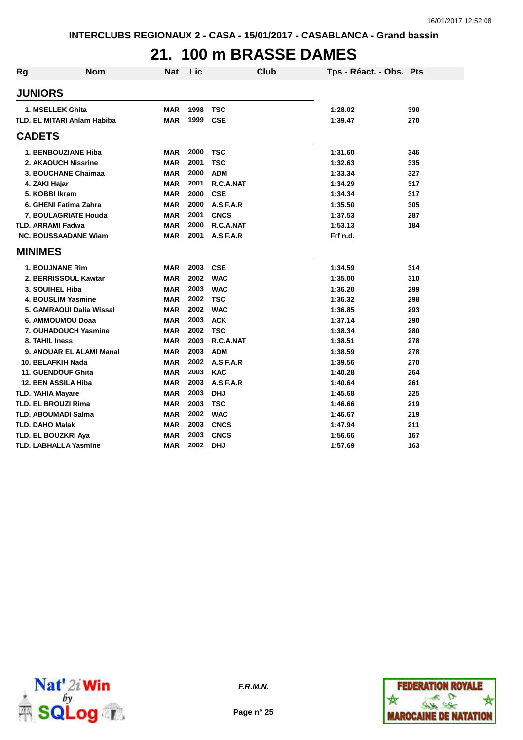### **21. 100 m BRASSE DAMES**

| <b>Rg</b> | <b>Nom</b>                   | <b>Nat</b> | Lic  | <b>Club</b> | Tps - Réact. - Obs. Pts |     |
|-----------|------------------------------|------------|------|-------------|-------------------------|-----|
|           | <b>JUNIORS</b>               |            |      |             |                         |     |
|           | 1. MSELLEK Ghita             | <b>MAR</b> | 1998 | <b>TSC</b>  | 1:28.02                 | 390 |
|           | TLD, EL MITARI Ahlam Habiba  | <b>MAR</b> | 1999 | <b>CSE</b>  | 1:39.47                 | 270 |
|           | <b>CADETS</b>                |            |      |             |                         |     |
|           | 1. BENBOUZIANE Hiba          | MAR        | 2000 | <b>TSC</b>  | 1:31.60                 | 346 |
|           | 2. AKAOUCH Nissrine          | <b>MAR</b> | 2001 | <b>TSC</b>  | 1:32.63                 | 335 |
|           | 3. BOUCHANE Chaimaa          | <b>MAR</b> | 2000 | <b>ADM</b>  | 1:33.34                 | 327 |
|           | 4. ZAKI Hajar                | <b>MAR</b> | 2001 | R.C.A.NAT   | 1:34.29                 | 317 |
|           | 5. KOBBI Ikram               | <b>MAR</b> | 2000 | <b>CSE</b>  | 1:34.34                 | 317 |
|           | 6. GHENI Fatima Zahra        | <b>MAR</b> | 2000 | A.S.F.A.R   | 1:35.50                 | 305 |
|           | 7. BOULAGRIATE Houda         | <b>MAR</b> | 2001 | <b>CNCS</b> | 1:37.53                 | 287 |
|           | <b>TLD. ARRAMI Fadwa</b>     | <b>MAR</b> | 2000 | R.C.A.NAT   | 1:53.13                 | 184 |
|           | <b>NC. BOUSSAADANE Wiam</b>  | <b>MAR</b> | 2001 | A.S.F.A.R   | Frf n.d.                |     |
|           | <b>MINIMES</b>               |            |      |             |                         |     |
|           | <b>1. BOUJNANE Rim</b>       | <b>MAR</b> | 2003 | <b>CSE</b>  | 1:34.59                 | 314 |
|           | 2. BERRISSOUL Kawtar         | <b>MAR</b> | 2002 | <b>WAC</b>  | 1:35.00                 | 310 |
|           | 3. SOUIHEL Hiba              | <b>MAR</b> | 2003 | <b>WAC</b>  | 1:36.20                 | 299 |
|           | <b>4. BOUSLIM Yasmine</b>    | <b>MAR</b> | 2002 | <b>TSC</b>  | 1:36.32                 | 298 |
|           | 5. GAMRAOUI Dalia Wissal     | <b>MAR</b> | 2002 | <b>WAC</b>  | 1:36.85                 | 293 |
|           | 6. AMMOUMOU Doaa             | <b>MAR</b> | 2003 | <b>ACK</b>  | 1:37.14                 | 290 |
|           | 7. OUHADOUCH Yasmine         | <b>MAR</b> | 2002 | <b>TSC</b>  | 1:38.34                 | 280 |
|           | 8. TAHIL Iness               | <b>MAR</b> | 2003 | R.C.A.NAT   | 1:38.51                 | 278 |
|           | 9. ANOUAR EL ALAMI Manal     | MAR        | 2003 | <b>ADM</b>  | 1:38.59                 | 278 |
|           | 10. BELAFKIH Nada            | MAR        | 2002 | A.S.F.A.R   | 1:39.56                 | 270 |
|           | <b>11. GUENDOUF Ghita</b>    | <b>MAR</b> | 2003 | <b>KAC</b>  | 1:40.28                 | 264 |
|           | 12. BEN ASSILA Hiba          | <b>MAR</b> | 2003 | A.S.F.A.R   | 1:40.64                 | 261 |
|           | <b>TLD. YAHIA Mayare</b>     | <b>MAR</b> | 2003 | <b>DHJ</b>  | 1:45.68                 | 225 |
|           | <b>TLD. EL BROUZI Rima</b>   | <b>MAR</b> | 2003 | <b>TSC</b>  | 1:46.66                 | 219 |
|           | <b>TLD. ABOUMADI Salma</b>   | MAR        | 2002 | <b>WAC</b>  | 1:46.67                 | 219 |
|           | <b>TLD. DAHO Malak</b>       | MAR        | 2003 | <b>CNCS</b> | 1:47.94                 | 211 |
|           | TLD. EL BOUZKRI Aya          | MAR        | 2003 | <b>CNCS</b> | 1:56.66                 | 167 |
|           | <b>TLD. LABHALLA Yasmine</b> | MAR        | 2002 | <b>DHJ</b>  | 1:57.69                 | 163 |



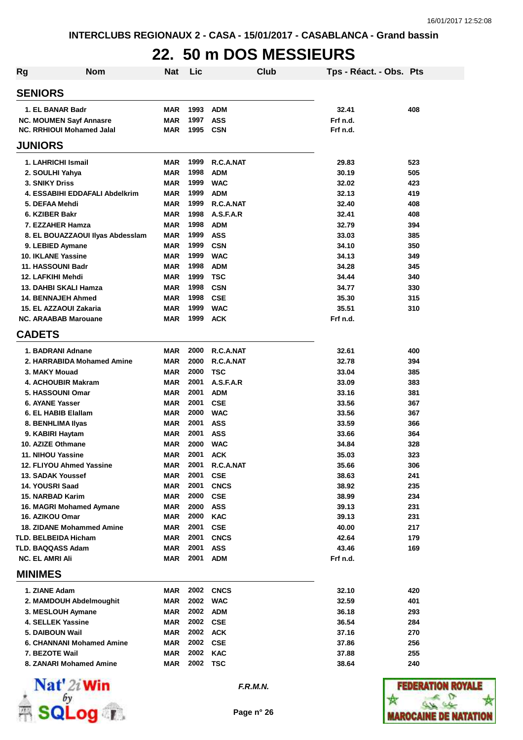### **22. 50 m DOS MESSIEURS**

| <b>Rg</b>              | <b>Nom</b>                                          | Nat                      | Lic          |                           | Club | Tps - Réact. - Obs. Pts |            |
|------------------------|-----------------------------------------------------|--------------------------|--------------|---------------------------|------|-------------------------|------------|
| <b>SENIORS</b>         |                                                     |                          |              |                           |      |                         |            |
|                        | 1. EL BANAR Badr                                    | MAR                      | 1993         | <b>ADM</b>                |      | 32.41                   | 408        |
|                        | <b>NC. MOUMEN Sayf Annasre</b>                      | <b>MAR</b>               | 1997         | <b>ASS</b>                |      | Frf n.d.                |            |
|                        | <b>NC. RRHIOUI Mohamed Jalal</b>                    | <b>MAR</b>               | 1995         | <b>CSN</b>                |      | Frf n.d.                |            |
| <b>JUNIORS</b>         |                                                     |                          |              |                           |      |                         |            |
|                        | 1. LAHRICHI Ismail                                  | <b>MAR</b>               | 1999         | R.C.A.NAT                 |      | 29.83                   | 523        |
|                        | 2. SOULHI Yahya                                     | <b>MAR</b>               | 1998         | <b>ADM</b>                |      | 30.19                   | 505        |
| <b>3. SNIKY Driss</b>  |                                                     | <b>MAR</b>               | 1999         | <b>WAC</b>                |      | 32.02                   | 423        |
|                        | 4. ESSABIHI EDDAFALI Abdelkrim                      | <b>MAR</b>               | 1999         | <b>ADM</b>                |      | 32.13                   | 419        |
|                        | 5. DEFAA Mehdi                                      | <b>MAR</b>               | 1999         | R.C.A.NAT                 |      | 32.40                   | 408        |
|                        | 6. KZIBER Bakr                                      | <b>MAR</b>               | 1998         | A.S.F.A.R                 |      | 32.41                   | 408        |
|                        | 7. EZZAHER Hamza                                    | <b>MAR</b>               | 1998         | <b>ADM</b>                |      | 32.79                   | 394        |
|                        | 8. EL BOUAZZAOUI Ilyas Abdesslam                    | <b>MAR</b>               | 1999         | <b>ASS</b>                |      | 33.03                   | 385        |
|                        | 9. LEBIED Aymane                                    | <b>MAR</b>               | 1999         | <b>CSN</b>                |      | 34.10                   | 350        |
|                        | <b>10. IKLANE Yassine</b>                           | <b>MAR</b>               | 1999         | <b>WAC</b>                |      | 34.13                   | 349        |
|                        | 11. HASSOUNI Badr                                   | <b>MAR</b>               | 1998         | <b>ADM</b>                |      | 34.28                   | 345        |
|                        | 12. LAFKIHI Mehdi                                   | <b>MAR</b>               | 1999         | <b>TSC</b>                |      | 34.44                   | 340        |
|                        | 13. DAHBI SKALI Hamza                               | <b>MAR</b>               | 1998         | <b>CSN</b>                |      | 34.77                   | 330        |
|                        | <b>14. BENNAJEH Ahmed</b><br>15. EL AZZAOUI Zakaria | <b>MAR</b><br><b>MAR</b> | 1998<br>1999 | <b>CSE</b><br><b>WAC</b>  |      | 35.30<br>35.51          | 315<br>310 |
|                        | <b>NC. ARAABAB Marouane</b>                         | <b>MAR</b>               | 1999         | <b>ACK</b>                |      | Frf n.d.                |            |
| <b>CADETS</b>          |                                                     |                          |              |                           |      |                         |            |
|                        |                                                     |                          |              |                           |      |                         |            |
|                        | 1. BADRANI Adnane                                   | MAR                      | 2000<br>2000 | R.C.A.NAT                 |      | 32.61                   | 400        |
|                        | 2. HARRABIDA Mohamed Amine<br>3. MAKY Mouad         | <b>MAR</b><br><b>MAR</b> | 2000         | R.C.A.NAT                 |      | 32.78                   | 394        |
|                        | 4. ACHOUBIR Makram                                  | <b>MAR</b>               | 2001         | <b>TSC</b><br>A.S.F.A.R   |      | 33.04<br>33.09          | 385<br>383 |
|                        | 5. HASSOUNI Omar                                    | <b>MAR</b>               | 2001         | <b>ADM</b>                |      | 33.16                   | 381        |
|                        | <b>6. AYANE Yasser</b>                              | <b>MAR</b>               | 2001         | <b>CSE</b>                |      | 33.56                   | 367        |
|                        | 6. EL HABIB Elallam                                 | MAR                      | 2000         | <b>WAC</b>                |      | 33.56                   | 367        |
|                        | 8. BENHLIMA Ilyas                                   | MAR                      | 2001         | <b>ASS</b>                |      | 33.59                   | 366        |
|                        | 9. KABIRI Haytam                                    | MAR                      | 2001         | <b>ASS</b>                |      | 33.66                   | 364        |
|                        | 10. AZIZE Othmane                                   | MAR                      | 2000         | <b>WAC</b>                |      | 34.84                   | 328        |
|                        | 11. NIHOU Yassine                                   | MAR                      | 2001         | <b>ACK</b>                |      | 35.03                   | 323        |
|                        | 12. FLIYOU Ahmed Yassine                            | MAR                      | 2001         | R.C.A.NAT                 |      | 35.66                   | 306        |
|                        | <b>13. SADAK Youssef</b>                            | <b>MAR</b>               | 2001         | <b>CSE</b>                |      | 38.63                   | 241        |
| 14. YOUSRI Saad        |                                                     | <b>MAR</b>               | 2001         | <b>CNCS</b>               |      | 38.92                   | 235        |
|                        | <b>15. NARBAD Karim</b>                             | MAR                      | 2000         | <b>CSE</b>                |      | 38.99                   | 234        |
|                        | 16. MAGRI Mohamed Aymane                            | MAR                      | 2000         | <b>ASS</b>                |      | 39.13                   | 231        |
| 16. AZIKOU Omar        |                                                     | MAR                      | 2000         | <b>KAC</b>                |      | 39.13                   | 231        |
|                        | <b>18. ZIDANE Mohammed Amine</b>                    | <b>MAR</b>               | 2001         | <b>CSE</b>                |      | 40.00<br>42.64          | 217        |
|                        | <b>TLD. BELBEIDA Hicham</b><br>TLD. BAQQASS Adam    | <b>MAR</b><br><b>MAR</b> | 2001<br>2001 | <b>CNCS</b><br><b>ASS</b> |      | 43.46                   | 179<br>169 |
| <b>NC. EL AMRI Ali</b> |                                                     | <b>MAR</b>               | 2001         | <b>ADM</b>                |      | Frf n.d.                |            |
| <b>MINIMES</b>         |                                                     |                          |              |                           |      |                         |            |
|                        |                                                     |                          |              |                           |      |                         |            |
| 1. ZIANE Adam          |                                                     | MAR                      | 2002<br>2002 | <b>CNCS</b>               |      | 32.10                   | 420        |
|                        | 2. MAMDOUH Abdelmoughit                             | MAR                      | 2002         | <b>WAC</b>                |      | 32.59                   | 401        |
|                        | 3. MESLOUH Aymane<br>4. SELLEK Yassine              | <b>MAR</b><br><b>MAR</b> | 2002         | <b>ADM</b><br><b>CSE</b>  |      | 36.18<br>36.54          | 293<br>284 |
|                        | 5. DAIBOUN Wail                                     | <b>MAR</b>               | 2002         | <b>ACK</b>                |      | 37.16                   | 270        |
|                        | 6. CHANNANI Mohamed Amine                           | <b>MAR</b>               | 2002         | <b>CSE</b>                |      | 37.86                   | 256        |
|                        | 7. BEZOTE Wail                                      | <b>MAR</b>               | 2002         | <b>KAC</b>                |      | 37.88                   | 255        |
|                        | 8. ZANARI Mohamed Amine                             | MAR                      | 2002         | <b>TSC</b>                |      | 38.64                   | 240        |



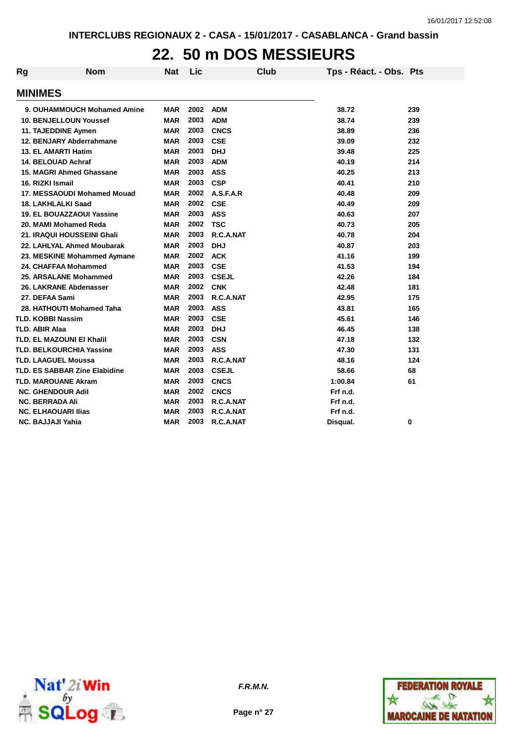### **22. 50 m DOS MESSIEURS**

| Rg | <b>Nom</b>                           | <b>Nat</b> | Lic  |              | <b>Club</b> | Tps - Réact. - Obs. Pts |     |
|----|--------------------------------------|------------|------|--------------|-------------|-------------------------|-----|
|    | <b>MINIMES</b>                       |            |      |              |             |                         |     |
|    | 9. OUHAMMOUCH Mohamed Amine          | <b>MAR</b> | 2002 | <b>ADM</b>   |             | 38.72                   | 239 |
|    | <b>10. BENJELLOUN Youssef</b>        | <b>MAR</b> | 2003 | <b>ADM</b>   |             | 38.74                   | 239 |
|    | 11. TAJEDDINE Aymen                  | <b>MAR</b> | 2003 | <b>CNCS</b>  |             | 38.89                   | 236 |
|    | 12. BENJARY Abderrahmane             | <b>MAR</b> | 2003 | <b>CSE</b>   |             | 39.09                   | 232 |
|    | 13. EL AMARTI Hatim                  | <b>MAR</b> | 2003 | <b>DHJ</b>   |             | 39.48                   | 225 |
|    | 14. BELOUAD Achraf                   | <b>MAR</b> | 2003 | <b>ADM</b>   |             | 40.19                   | 214 |
|    | 15. MAGRI Ahmed Ghassane             | <b>MAR</b> | 2003 | <b>ASS</b>   |             | 40.25                   | 213 |
|    | 16. RIZKI Ismail                     | <b>MAR</b> | 2003 | <b>CSP</b>   |             | 40.41                   | 210 |
|    | 17. MESSAOUDI Mohamed Mouad          | <b>MAR</b> | 2002 | A.S.F.A.R    |             | 40.48                   | 209 |
|    | 18. LAKHLALKI Saad                   | <b>MAR</b> | 2002 | <b>CSE</b>   |             | 40.49                   | 209 |
|    | <b>19. EL BOUAZZAOUI Yassine</b>     | <b>MAR</b> | 2003 | <b>ASS</b>   |             | 40.63                   | 207 |
|    | 20. MAMI Mohamed Reda                | <b>MAR</b> | 2002 | <b>TSC</b>   |             | 40.73                   | 205 |
|    | 21. IRAQUI HOUSSEINI Ghali           | <b>MAR</b> | 2003 | R.C.A.NAT    |             | 40.78                   | 204 |
|    | 22. LAHLYAL Ahmed Moubarak           | <b>MAR</b> | 2003 | <b>DHJ</b>   |             | 40.87                   | 203 |
|    | 23. MESKINE Mohammed Aymane          | <b>MAR</b> | 2002 | <b>ACK</b>   |             | 41.16                   | 199 |
|    | 24. CHAFFAA Mohammed                 | <b>MAR</b> | 2003 | <b>CSE</b>   |             | 41.53                   | 194 |
|    | 25. ARSALANE Mohammed                | <b>MAR</b> | 2003 | <b>CSEJL</b> |             | 42.26                   | 184 |
|    | 26. LAKRANE Abdenasser               | <b>MAR</b> | 2002 | <b>CNK</b>   |             | 42.48                   | 181 |
|    | 27. DEFAA Sami                       | <b>MAR</b> | 2003 | R.C.A.NAT    |             | 42.95                   | 175 |
|    | 28. HATHOUTI Mohamed Taha            | <b>MAR</b> | 2003 | <b>ASS</b>   |             | 43.81                   | 165 |
|    | <b>TLD. KOBBI Nassim</b>             | <b>MAR</b> | 2003 | <b>CSE</b>   |             | 45.61                   | 146 |
|    | <b>TLD. ABIR Alaa</b>                | <b>MAR</b> | 2003 | <b>DHJ</b>   |             | 46.45                   | 138 |
|    | TLD. EL MAZOUNI EI Khalil            | <b>MAR</b> | 2003 | <b>CSN</b>   |             | 47.18                   | 132 |
|    | <b>TLD. BELKOURCHIA Yassine</b>      | <b>MAR</b> | 2003 | <b>ASS</b>   |             | 47.30                   | 131 |
|    | <b>TLD. LAAGUEL Moussa</b>           | <b>MAR</b> | 2003 | R.C.A.NAT    |             | 48.16                   | 124 |
|    | <b>TLD. ES SABBAR Zine Elabidine</b> | <b>MAR</b> | 2003 | <b>CSEJL</b> |             | 58.66                   | 68  |
|    | <b>TLD. MAROUANE Akram</b>           | <b>MAR</b> | 2003 | <b>CNCS</b>  |             | 1:00.84                 | 61  |
|    | <b>NC. GHENDOUR Adil</b>             | <b>MAR</b> | 2002 | <b>CNCS</b>  |             | Frf n.d.                |     |
|    | <b>NC. BERRADA Ali</b>               | <b>MAR</b> | 2003 | R.C.A.NAT    |             | Frf n.d.                |     |
|    | <b>NC. ELHAOUARI Ilias</b>           | <b>MAR</b> | 2003 | R.C.A.NAT    |             | Frf n.d.                |     |
|    | NC. BAJJAJI Yahia                    | <b>MAR</b> | 2003 | R.C.A.NAT    |             | Disqual.                | 0   |



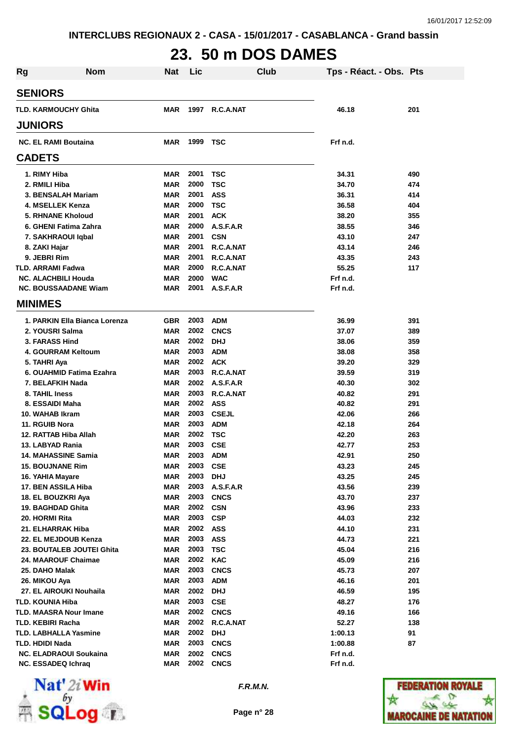# **23. 50 m DOS DAMES**

| <b>Rg</b> | <b>Nom</b>                                | <b>Nat</b>               | Lic              |              | Club | Tps - Réact. - Obs. Pts |            |
|-----------|-------------------------------------------|--------------------------|------------------|--------------|------|-------------------------|------------|
|           | <b>SENIORS</b>                            |                          |                  |              |      |                         |            |
|           | <b>TLD. KARMOUCHY Ghita</b>               | MAR                      | 1997             | R.C.A.NAT    |      | 46.18                   | 201        |
|           | <b>JUNIORS</b>                            |                          |                  |              |      |                         |            |
|           | <b>NC. EL RAMI Boutaina</b>               | <b>MAR</b>               | 1999 TSC         |              |      | Frf n.d.                |            |
|           | <b>CADETS</b>                             |                          |                  |              |      |                         |            |
|           | 1. RIMY Hiba                              | MAR                      | 2001             | <b>TSC</b>   |      | 34.31                   | 490        |
|           | 2. RMILI Hiba                             | <b>MAR</b>               | 2000             | <b>TSC</b>   |      | 34.70                   | 474        |
|           | 3. BENSALAH Mariam                        | MAR                      | 2001             | <b>ASS</b>   |      | 36.31                   | 414        |
|           | 4. MSELLEK Kenza                          | <b>MAR</b>               | 2000             | <b>TSC</b>   |      | 36.58                   | 404        |
|           | <b>5. RHNANE Kholoud</b>                  | <b>MAR</b>               | 2001             | <b>ACK</b>   |      | 38.20                   | 355        |
|           | 6. GHENI Fatima Zahra                     | <b>MAR</b>               | 2000             | A.S.F.A.R    |      | 38.55                   | 346        |
|           | 7. SAKHRAOUI Iqbal                        | <b>MAR</b>               | 2001             | <b>CSN</b>   |      | 43.10                   | 247        |
|           | 8. ZAKI Hajar                             | <b>MAR</b>               | 2001             | R.C.A.NAT    |      | 43.14                   | 246        |
|           | 9. JEBRI Rim                              | <b>MAR</b>               | 2001             | R.C.A.NAT    |      | 43.35                   | 243        |
|           | <b>TLD. ARRAMI Fadwa</b>                  | <b>MAR</b>               | 2000             | R.C.A.NAT    |      | 55.25                   | 117        |
|           | <b>NC. ALACHBILI Houda</b>                | <b>MAR</b>               | 2000             | <b>WAC</b>   |      | Frf n.d.                |            |
|           | <b>NC. BOUSSAADANE Wiam</b>               | <b>MAR</b>               | 2001             | A.S.F.A.R    |      | Frf n.d.                |            |
|           | <b>MINIMES</b>                            |                          |                  |              |      |                         |            |
|           | 1. PARKIN Ella Bianca Lorenza             | <b>GBR</b>               | 2003             | <b>ADM</b>   |      | 36.99                   | 391        |
|           | 2. YOUSRI Salma                           | MAR                      | 2002             | <b>CNCS</b>  |      | 37.07                   | 389        |
|           | 3. FARASS Hind                            | <b>MAR</b>               | 2002             | <b>DHJ</b>   |      | 38.06                   | 359        |
|           | 4. GOURRAM Keltoum                        | <b>MAR</b>               | 2003             | <b>ADM</b>   |      | 38.08                   | 358        |
|           | 5. TAHRI Aya                              | <b>MAR</b>               | 2002             | <b>ACK</b>   |      | 39.20                   | 329        |
|           | 6. OUAHMID Fatima Ezahra                  | <b>MAR</b>               | 2003             | R.C.A.NAT    |      | 39.59                   | 319        |
|           | 7. BELAFKIH Nada                          | <b>MAR</b>               | 2002             | A.S.F.A.R    |      | 40.30                   | 302        |
|           | 8. TAHIL Iness                            | <b>MAR</b>               | 2003             | R.C.A.NAT    |      | 40.82                   | 291        |
|           | 8. ESSAIDI Maha                           | MAR                      | 2002             | <b>ASS</b>   |      | 40.82                   | 291        |
|           | 10. WAHAB Ikram                           | MAR                      | 2003             | <b>CSEJL</b> |      | 42.06                   | 266        |
|           | 11. RGUIB Nora                            | <b>MAR</b>               | 2003             | <b>ADM</b>   |      | 42.18                   | 264        |
|           | 12. RATTAB Hiba Allah                     | MAR                      | 2002             | <b>TSC</b>   |      | 42.20                   | 263        |
|           | 13. LABYAD Rania                          | MAR                      | 2003             | <b>CSE</b>   |      | 42.77                   | 253        |
|           | <b>14. MAHASSINE Samia</b>                | MAR                      | 2003             | <b>ADM</b>   |      | 42.91                   | 250        |
|           | <b>15. BOUJNANE Rim</b>                   | MAR                      | 2003             | <b>CSE</b>   |      | 43.23                   | 245        |
|           | 16. YAHIA Mayare                          | <b>MAR</b>               | 2003             | <b>DHJ</b>   |      | 43.25                   | 245        |
|           | 17. BEN ASSILA Hiba                       | <b>MAR</b>               | 2003             | A.S.F.A.R    |      | 43.56                   | 239        |
|           | 18. EL BOUZKRI Aya                        | <b>MAR</b>               | 2003             | <b>CNCS</b>  |      | 43.70                   | 237        |
|           | 19. BAGHDAD Ghita                         | <b>MAR</b>               | 2002             | <b>CSN</b>   |      | 43.96                   | 233        |
|           | 20. HORMI Rita                            | <b>MAR</b>               | 2003<br>2002 ASS | <b>CSP</b>   |      | 44.03                   | 232        |
|           | 21. ELHARRAK Hiba<br>22. EL MEJDOUB Kenza | <b>MAR</b><br><b>MAR</b> | 2003             | <b>ASS</b>   |      | 44.10<br>44.73          | 231<br>221 |
|           | 23. BOUTALEB JOUTEI Ghita                 | <b>MAR</b>               | 2003             | <b>TSC</b>   |      | 45.04                   | 216        |
|           | 24. MAAROUF Chaimae                       | <b>MAR</b>               | 2002             | <b>KAC</b>   |      | 45.09                   | 216        |
|           | 25. DAHO Malak                            | <b>MAR</b>               | 2003             | <b>CNCS</b>  |      | 45.73                   | 207        |
|           | 26. MIKOU Aya                             | <b>MAR</b>               | 2003             | <b>ADM</b>   |      | 46.16                   | 201        |
|           | 27. EL AIROUKI Nouhaila                   | <b>MAR</b>               | 2002             | <b>DHJ</b>   |      | 46.59                   | 195        |
|           | TLD. KOUNIA Hiba                          | <b>MAR</b>               | 2003             | <b>CSE</b>   |      | 48.27                   | 176        |
|           | <b>TLD. MAASRA Nour Imane</b>             | <b>MAR</b>               | 2002             | <b>CNCS</b>  |      | 49.16                   | 166        |
|           | TLD. KEBIRI Racha                         | <b>MAR</b>               | 2002             | R.C.A.NAT    |      | 52.27                   | 138        |
|           | <b>TLD. LABHALLA Yasmine</b>              | <b>MAR</b>               | 2002             | <b>DHJ</b>   |      | 1:00.13                 | 91         |
|           | TLD. HDIDI Nada                           | <b>MAR</b>               | 2003             | <b>CNCS</b>  |      | 1:00.88                 | 87         |
|           | <b>NC. ELADRAOUI Soukaina</b>             | <b>MAR</b>               | 2002             | <b>CNCS</b>  |      | Frf n.d.                |            |
|           | <b>NC. ESSADEQ Ichraq</b>                 | <b>MAR</b>               | 2002             | <b>CNCS</b>  |      | Frf n.d.                |            |



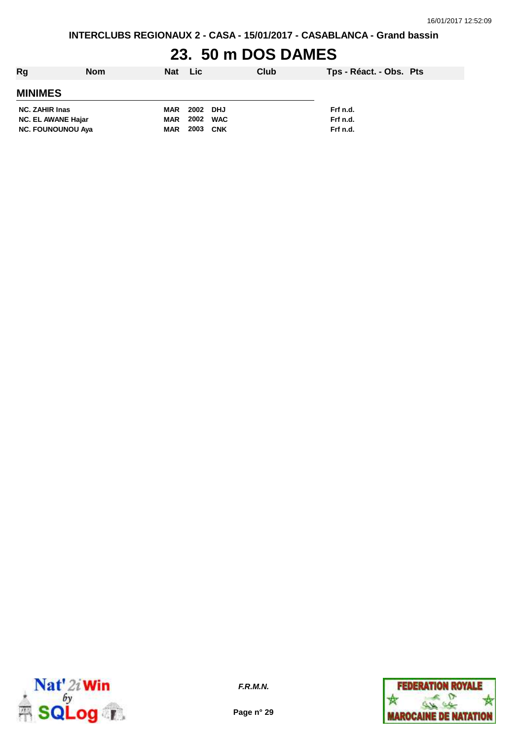# **23. 50 m DOS DAMES**

| Rg<br><b>Nom</b>          | Nat Lic    |          |     | Club | Tps - Réact. - Obs. Pts |
|---------------------------|------------|----------|-----|------|-------------------------|
| <b>MINIMES</b>            |            |          |     |      |                         |
| <b>NC. ZAHIR Inas</b>     | <b>MAR</b> | 2002 DHJ |     |      | Frf n.d.                |
| <b>NC. EL AWANE Hajar</b> | MAR        | 2002 WAC |     |      | Frf n.d.                |
| <b>NC. FOUNOUNOU Aya</b>  | <b>MAR</b> | 2003     | CNK |      | Frf n.d.                |



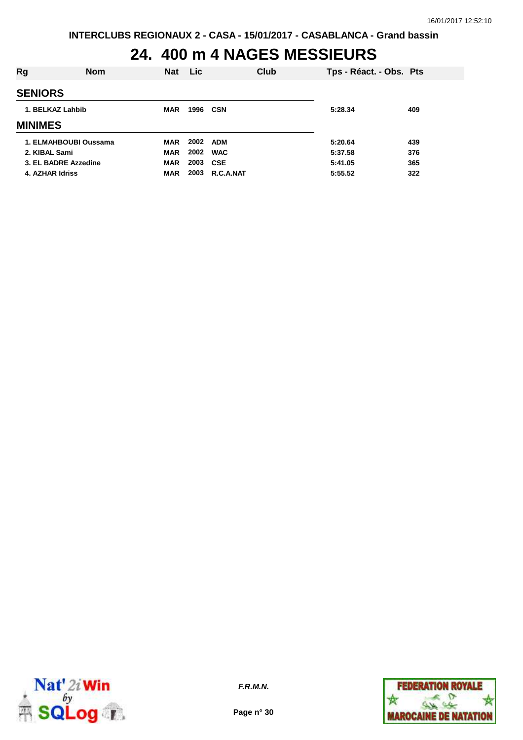### **24. 400 m 4 NAGES MESSIEURS**

| <b>Nom</b>            | <b>Nat</b> | <b>Lic</b> | Club       | Tps - Réact. - Obs. Pts             |     |
|-----------------------|------------|------------|------------|-------------------------------------|-----|
|                       |            |            |            |                                     |     |
| 1. BELKAZ Lahbib      | <b>MAR</b> |            |            | 5:28.34                             | 409 |
|                       |            |            |            |                                     |     |
| 1. ELMAHBOUBI Oussama | MAR        |            |            | 5:20.64                             | 439 |
| 2. KIBAL Sami         | <b>MAR</b> |            | <b>WAC</b> | 5:37.58                             | 376 |
| 3. EL BADRE Azzedine  | <b>MAR</b> | 2003       |            | 5:41.05                             | 365 |
| 4. AZHAR Idriss       | <b>MAR</b> | 2003       | R.C.A.NAT  | 5:55.52                             | 322 |
|                       |            |            |            | 1996 CSN<br>2002 ADM<br>2002<br>CSE |     |



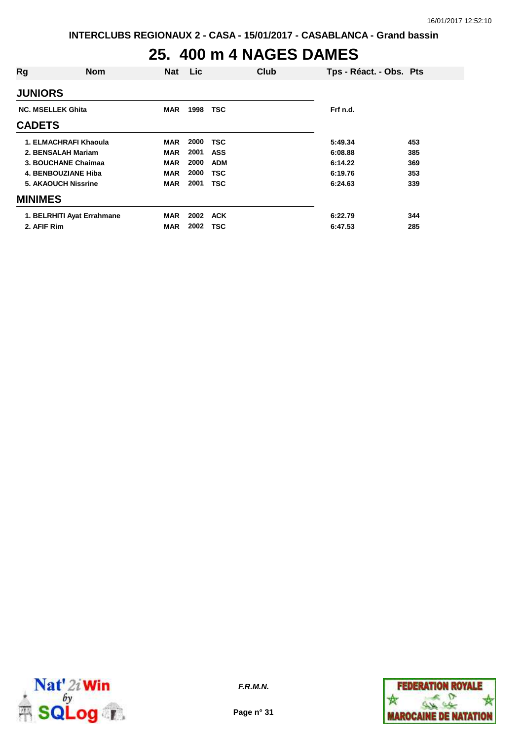# **25. 400 m 4 NAGES DAMES**

| Rg                       | <b>Nom</b>                 | <b>Nat</b> | Lic  |            | Club | Tps - Réact. - Obs. Pts |     |
|--------------------------|----------------------------|------------|------|------------|------|-------------------------|-----|
| <b>JUNIORS</b>           |                            |            |      |            |      |                         |     |
| <b>NC. MSELLEK Ghita</b> |                            | <b>MAR</b> | 1998 | <b>TSC</b> |      | Frf n.d.                |     |
| <b>CADETS</b>            |                            |            |      |            |      |                         |     |
|                          | 1. ELMACHRAFI Khaoula      | <b>MAR</b> | 2000 | <b>TSC</b> |      | 5:49.34                 | 453 |
|                          | 2. BENSALAH Mariam         | <b>MAR</b> | 2001 | <b>ASS</b> |      | 6:08.88                 | 385 |
|                          | 3. BOUCHANE Chaimaa        | <b>MAR</b> | 2000 | <b>ADM</b> |      | 6:14.22                 | 369 |
|                          | 4. BENBOUZIANE Hiba        | <b>MAR</b> | 2000 | TSC        |      | 6:19.76                 | 353 |
|                          | <b>5. AKAOUCH Nissrine</b> | <b>MAR</b> | 2001 | TSC        |      | 6:24.63                 | 339 |
| <b>MINIMES</b>           |                            |            |      |            |      |                         |     |
|                          | 1. BELRHITI Ayat Errahmane | <b>MAR</b> | 2002 | <b>ACK</b> |      | 6:22.79                 | 344 |
| 2. AFIF Rim              |                            | <b>MAR</b> | 2002 | <b>TSC</b> |      | 6:47.53                 | 285 |



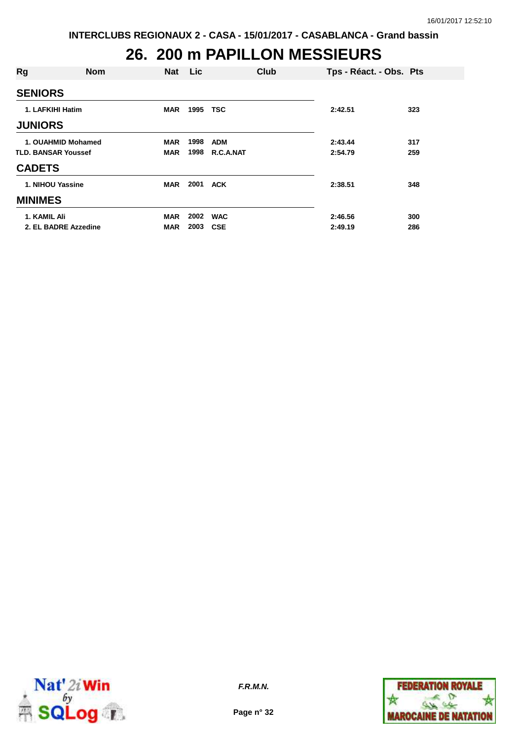#### **26. 200 m PAPILLON MESSIEURS**

| Rg                         | <b>Nom</b>           | Nat Lic    |          | Club       | Tps - Réact. - Obs. Pts |     |
|----------------------------|----------------------|------------|----------|------------|-------------------------|-----|
| <b>SENIORS</b>             |                      |            |          |            |                         |     |
| 1. LAFKIHI Hatim           |                      | <b>MAR</b> | 1995 TSC |            | 2:42.51                 | 323 |
| <b>JUNIORS</b>             |                      |            |          |            |                         |     |
|                            | 1. OUAHMID Mohamed   | <b>MAR</b> | 1998     | <b>ADM</b> | 2:43.44                 | 317 |
| <b>TLD. BANSAR Youssef</b> |                      | <b>MAR</b> | 1998     | R.C.A.NAT  | 2:54.79                 | 259 |
| <b>CADETS</b>              |                      |            |          |            |                         |     |
|                            | 1. NIHOU Yassine     | <b>MAR</b> | 2001     | ACK        | 2:38.51                 | 348 |
| <b>MINIMES</b>             |                      |            |          |            |                         |     |
| 1. KAMIL Ali               |                      | <b>MAR</b> | 2002     | <b>WAC</b> | 2:46.56                 | 300 |
|                            | 2. EL BADRE Azzedine | MAR        | 2003     | <b>CSE</b> | 2:49.19                 | 286 |



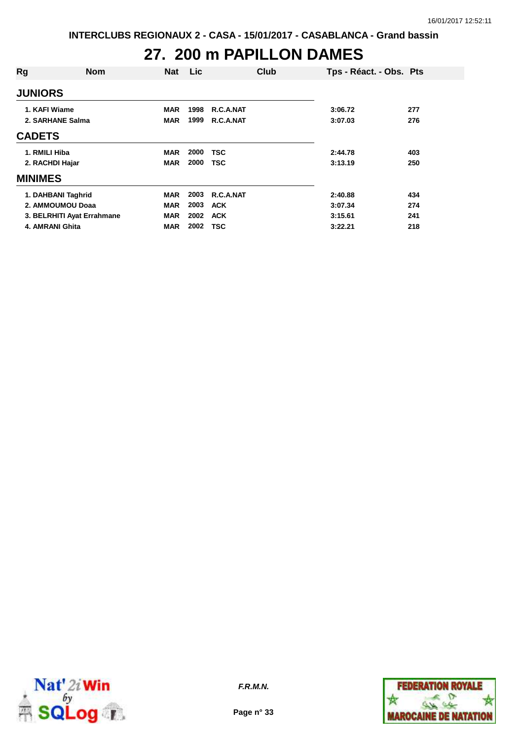### **27. 200 m PAPILLON DAMES**

| Rg              | <b>Nom</b>                 | <b>Nat</b> | <b>Lic</b> | Club       | Tps - Réact. - Obs. Pts |     |
|-----------------|----------------------------|------------|------------|------------|-------------------------|-----|
| <b>JUNIORS</b>  |                            |            |            |            |                         |     |
| 1. KAFI Wiame   |                            | <b>MAR</b> | 1998       | R.C.A.NAT  | 3:06.72                 | 277 |
|                 | 2. SARHANE Salma           | <b>MAR</b> | 1999       | R.C.A.NAT  | 3:07.03                 | 276 |
| <b>CADETS</b>   |                            |            |            |            |                         |     |
| 1. RMILI Hiba   |                            | <b>MAR</b> | 2000       | <b>TSC</b> | 2:44.78                 | 403 |
| 2. RACHDI Hajar |                            | <b>MAR</b> | 2000       | <b>TSC</b> | 3:13.19                 | 250 |
| <b>MINIMES</b>  |                            |            |            |            |                         |     |
|                 | 1. DAHBANI Taghrid         | <b>MAR</b> | 2003       | R.C.A.NAT  | 2:40.88                 | 434 |
|                 | 2. AMMOUMOU Doaa           | <b>MAR</b> | 2003       | <b>ACK</b> | 3:07.34                 | 274 |
|                 | 3. BELRHITI Ayat Errahmane | <b>MAR</b> | 2002       | <b>ACK</b> | 3:15.61                 | 241 |
|                 | 4. AMRANI Ghita            | <b>MAR</b> | 2002       | <b>TSC</b> | 3:22.21                 | 218 |



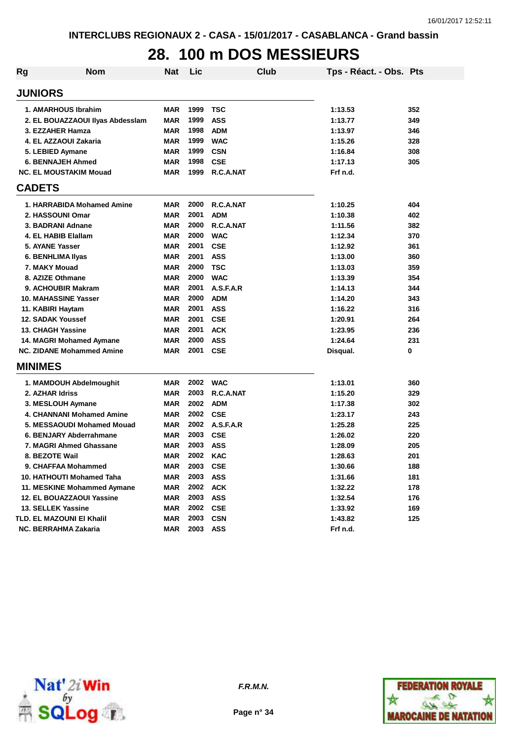# **28. 100 m DOS MESSIEURS**

| Rg                | <b>Nom</b>                       | Nat        | Lic  | <b>Club</b> | Tps - Réact. - Obs. Pts |     |
|-------------------|----------------------------------|------------|------|-------------|-------------------------|-----|
| <b>JUNIORS</b>    |                                  |            |      |             |                         |     |
|                   | 1. AMARHOUS Ibrahim              | <b>MAR</b> | 1999 | <b>TSC</b>  | 1:13.53                 | 352 |
|                   | 2. EL BOUAZZAOUI Ilyas Abdessiam | MAR        | 1999 | <b>ASS</b>  | 1:13.77                 | 349 |
|                   | 3. EZZAHER Hamza                 | MAR        | 1998 | <b>ADM</b>  | 1:13.97                 | 346 |
|                   | 4. EL AZZAOUI Zakaria            | MAR        | 1999 | <b>WAC</b>  | 1:15.26                 | 328 |
|                   | 5. LEBIED Aymane                 | MAR        | 1999 | <b>CSN</b>  | 1:16.84                 | 308 |
|                   | <b>6. BENNAJEH Ahmed</b>         | <b>MAR</b> | 1998 | <b>CSE</b>  | 1:17.13                 | 305 |
|                   | <b>NC. EL MOUSTAKIM Mouad</b>    | <b>MAR</b> | 1999 | R.C.A.NAT   | Frf n.d.                |     |
| <b>CADETS</b>     |                                  |            |      |             |                         |     |
|                   | 1. HARRABIDA Mohamed Amine       | MAR        | 2000 | R.C.A.NAT   | 1:10.25                 | 404 |
|                   | 2. HASSOUNI Omar                 | <b>MAR</b> | 2001 | <b>ADM</b>  | 1:10.38                 | 402 |
|                   | 3. BADRANI Adnane                | <b>MAR</b> | 2000 | R.C.A.NAT   | 1:11.56                 | 382 |
|                   | 4. EL HABIB Elallam              | <b>MAR</b> | 2000 | <b>WAC</b>  | 1:12.34                 | 370 |
| 5. AYANE Yasser   |                                  | <b>MAR</b> | 2001 | <b>CSE</b>  | 1:12.92                 | 361 |
|                   | 6. BENHLIMA IIyas                | <b>MAR</b> | 2001 | <b>ASS</b>  | 1:13.00                 | 360 |
| 7. MAKY Mouad     |                                  | <b>MAR</b> | 2000 | <b>TSC</b>  | 1:13.03                 | 359 |
|                   | 8. AZIZE Othmane                 | <b>MAR</b> | 2000 | <b>WAC</b>  | 1:13.39                 | 354 |
|                   | 9. ACHOUBIR Makram               | <b>MAR</b> | 2001 | A.S.F.A.R   | 1:14.13                 | 344 |
|                   | <b>10. MAHASSINE Yasser</b>      | <b>MAR</b> | 2000 | <b>ADM</b>  | 1:14.20                 | 343 |
| 11. KABIRI Haytam |                                  | <b>MAR</b> | 2001 | <b>ASS</b>  | 1:16.22                 | 316 |
|                   | <b>12. SADAK Youssef</b>         | <b>MAR</b> | 2001 | <b>CSE</b>  | 1:20.91                 | 264 |
|                   | <b>13. CHAGH Yassine</b>         | <b>MAR</b> | 2001 | <b>ACK</b>  | 1:23.95                 | 236 |
|                   | 14. MAGRI Mohamed Aymane         | <b>MAR</b> | 2000 | <b>ASS</b>  | 1:24.64                 | 231 |
|                   | <b>NC. ZIDANE Mohammed Amine</b> | MAR        | 2001 | <b>CSE</b>  | Disqual.                | 0   |
| <b>MINIMES</b>    |                                  |            |      |             |                         |     |
|                   | 1. MAMDOUH Abdelmoughit          | <b>MAR</b> | 2002 | <b>WAC</b>  | 1:13.01                 | 360 |
| 2. AZHAR Idriss   |                                  | <b>MAR</b> | 2003 | R.C.A.NAT   | 1:15.20                 | 329 |
|                   | 3. MESLOUH Aymane                | <b>MAR</b> | 2002 | <b>ADM</b>  | 1:17.38                 | 302 |
|                   | 4. CHANNANI Mohamed Amine        | <b>MAR</b> | 2002 | <b>CSE</b>  | 1:23.17                 | 243 |
|                   | 5. MESSAOUDI Mohamed Mouad       | <b>MAR</b> | 2002 | A.S.F.A.R   | 1:25.28                 | 225 |
|                   | 6. BENJARY Abderrahmane          | <b>MAR</b> | 2003 | <b>CSE</b>  | 1:26.02                 | 220 |
|                   | 7. MAGRI Ahmed Ghassane          | <b>MAR</b> | 2003 | <b>ASS</b>  | 1:28.09                 | 205 |
| 8. BEZOTE Wail    |                                  | <b>MAR</b> | 2002 | <b>KAC</b>  | 1:28.63                 | 201 |
|                   | 9. CHAFFAA Mohammed              | <b>MAR</b> | 2003 | <b>CSE</b>  | 1:30.66                 | 188 |
|                   | <b>10. HATHOUTI Mohamed Taha</b> | <b>MAR</b> | 2003 | <b>ASS</b>  | 1:31.66                 | 181 |
|                   | 11. MESKINE Mohammed Aymane      | <b>MAR</b> | 2002 | <b>ACK</b>  | 1:32.22                 | 178 |
|                   | 12. EL BOUAZZAOUI Yassine        | <b>MAR</b> | 2003 | <b>ASS</b>  | 1:32.54                 | 176 |
|                   | 13. SELLEK Yassine               | <b>MAR</b> | 2002 | <b>CSE</b>  | 1:33.92                 | 169 |
|                   | TLD. EL MAZOUNI EI Khalil        | <b>MAR</b> | 2003 | <b>CSN</b>  | 1:43.82                 | 125 |
|                   | NC. BERRAHMA Zakaria             | <b>MAR</b> | 2003 | <b>ASS</b>  | Frf n.d.                |     |



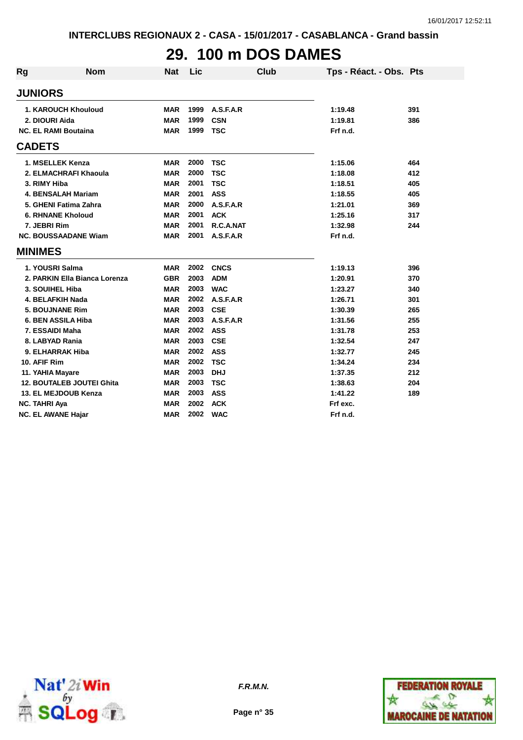# **29. 100 m DOS DAMES**

| Rg | <b>Nom</b>                       | <b>Nat</b> | Lic  | Club        | Tps - Réact. - Obs. Pts |     |
|----|----------------------------------|------------|------|-------------|-------------------------|-----|
|    | <b>JUNIORS</b>                   |            |      |             |                         |     |
|    | 1. KAROUCH Khouloud              | <b>MAR</b> | 1999 | A.S.F.A.R   | 1:19.48                 | 391 |
|    | 2. DIOURI Aida                   | <b>MAR</b> | 1999 | <b>CSN</b>  | 1:19.81                 | 386 |
|    | <b>NC. EL RAMI Boutaina</b>      | <b>MAR</b> | 1999 | <b>TSC</b>  | Frf n.d.                |     |
|    | <b>CADETS</b>                    |            |      |             |                         |     |
|    | 1. MSELLEK Kenza                 | <b>MAR</b> | 2000 | <b>TSC</b>  | 1:15.06                 | 464 |
|    | 2. ELMACHRAFI Khaoula            | <b>MAR</b> | 2000 | <b>TSC</b>  | 1:18.08                 | 412 |
|    | 3. RIMY Hiba                     | <b>MAR</b> | 2001 | <b>TSC</b>  | 1:18.51                 | 405 |
|    | <b>4. BENSALAH Mariam</b>        | <b>MAR</b> | 2001 | <b>ASS</b>  | 1:18.55                 | 405 |
|    | 5. GHENI Fatima Zahra            | <b>MAR</b> | 2000 | A.S.F.A.R   | 1:21.01                 | 369 |
|    | <b>6. RHNANE Kholoud</b>         | <b>MAR</b> | 2001 | <b>ACK</b>  | 1:25.16                 | 317 |
|    | 7. JEBRI Rim                     | <b>MAR</b> | 2001 | R.C.A.NAT   | 1:32.98                 | 244 |
|    | <b>NC. BOUSSAADANE Wiam</b>      | <b>MAR</b> | 2001 | A.S.F.A.R   | Frf n.d.                |     |
|    | <b>MINIMES</b>                   |            |      |             |                         |     |
|    | 1. YOUSRI Salma                  | <b>MAR</b> | 2002 | <b>CNCS</b> | 1:19.13                 | 396 |
|    | 2. PARKIN Ella Bianca Lorenza    | <b>GBR</b> | 2003 | <b>ADM</b>  | 1:20.91                 | 370 |
|    | 3. SOUIHEL Hiba                  | <b>MAR</b> | 2003 | <b>WAC</b>  | 1:23.27                 | 340 |
|    | 4. BELAFKIH Nada                 | <b>MAR</b> | 2002 | A.S.F.A.R   | 1:26.71                 | 301 |
|    | <b>5. BOUJNANE Rim</b>           | <b>MAR</b> | 2003 | <b>CSE</b>  | 1:30.39                 | 265 |
|    | 6. BEN ASSILA Hiba               | <b>MAR</b> | 2003 | A.S.F.A.R   | 1:31.56                 | 255 |
|    | 7. ESSAIDI Maha                  | <b>MAR</b> | 2002 | <b>ASS</b>  | 1:31.78                 | 253 |
|    | 8. LABYAD Rania                  | <b>MAR</b> | 2003 | <b>CSE</b>  | 1:32.54                 | 247 |
|    | 9. ELHARRAK Hiba                 | <b>MAR</b> | 2002 | <b>ASS</b>  | 1:32.77                 | 245 |
|    | 10. AFIF Rim                     | <b>MAR</b> | 2002 | <b>TSC</b>  | 1:34.24                 | 234 |
|    | 11. YAHIA Mayare                 | <b>MAR</b> | 2003 | <b>DHJ</b>  | 1:37.35                 | 212 |
|    | <b>12. BOUTALEB JOUTEI Ghita</b> | <b>MAR</b> | 2003 | <b>TSC</b>  | 1:38.63                 | 204 |
|    | 13. EL MEJDOUB Kenza             | <b>MAR</b> | 2003 | <b>ASS</b>  | 1:41.22                 | 189 |
|    | <b>NC. TAHRI Aya</b>             | <b>MAR</b> | 2002 | <b>ACK</b>  | Frf exc.                |     |
|    | <b>NC. EL AWANE Hajar</b>        | <b>MAR</b> | 2002 | <b>WAC</b>  | Frf n.d.                |     |



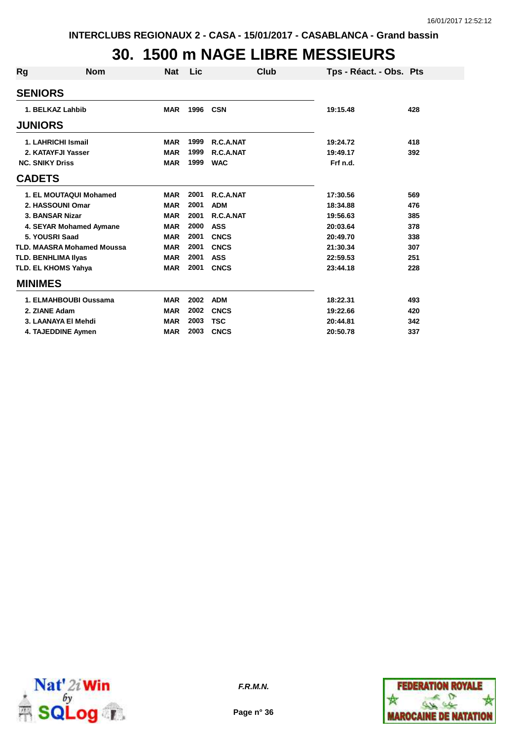#### **30. 1500 m NAGE LIBRE MESSIEURS**

| Rg | <b>Nom</b>                        | Nat        | Lic  | Club        | Tps - Réact. - Obs. Pts |     |
|----|-----------------------------------|------------|------|-------------|-------------------------|-----|
|    | <b>SENIORS</b>                    |            |      |             |                         |     |
|    | 1. BELKAZ Lahbib                  | <b>MAR</b> | 1996 | <b>CSN</b>  | 19:15.48                | 428 |
|    | <b>JUNIORS</b>                    |            |      |             |                         |     |
|    | 1. LAHRICHI Ismail                | <b>MAR</b> | 1999 | R.C.A.NAT   | 19:24.72                | 418 |
|    | 2. KATAYFJI Yasser                | <b>MAR</b> | 1999 | R.C.A.NAT   | 19:49.17                | 392 |
|    | <b>NC. SNIKY Driss</b>            | <b>MAR</b> | 1999 | <b>WAC</b>  | Frf n.d.                |     |
|    | <b>CADETS</b>                     |            |      |             |                         |     |
|    | 1. EL MOUTAQUI Mohamed            | <b>MAR</b> | 2001 | R.C.A.NAT   | 17:30.56                | 569 |
|    | 2. HASSOUNI Omar                  | <b>MAR</b> | 2001 | <b>ADM</b>  | 18:34.88                | 476 |
|    | 3. BANSAR Nizar                   | <b>MAR</b> | 2001 | R.C.A.NAT   | 19:56.63                | 385 |
|    | 4. SEYAR Mohamed Aymane           | <b>MAR</b> | 2000 | <b>ASS</b>  | 20:03.64                | 378 |
|    | 5. YOUSRI Saad                    | <b>MAR</b> | 2001 | <b>CNCS</b> | 20:49.70                | 338 |
|    | <b>TLD. MAASRA Mohamed Moussa</b> | <b>MAR</b> | 2001 | <b>CNCS</b> | 21:30.34                | 307 |
|    | <b>TLD. BENHLIMA IIyas</b>        | <b>MAR</b> | 2001 | <b>ASS</b>  | 22:59.53                | 251 |
|    | <b>TLD. EL KHOMS Yahya</b>        | <b>MAR</b> | 2001 | <b>CNCS</b> | 23:44.18                | 228 |
|    | <b>MINIMES</b>                    |            |      |             |                         |     |
|    | 1. ELMAHBOUBI Oussama             | <b>MAR</b> | 2002 | <b>ADM</b>  | 18:22.31                | 493 |
|    | 2. ZIANE Adam                     | <b>MAR</b> | 2002 | <b>CNCS</b> | 19:22.66                | 420 |
|    | 3. LAANAYA EI Mehdi               | <b>MAR</b> | 2003 | <b>TSC</b>  | 20:44.81                | 342 |
|    | 4. TAJEDDINE Aymen                | <b>MAR</b> | 2003 | <b>CNCS</b> | 20:50.78                | 337 |



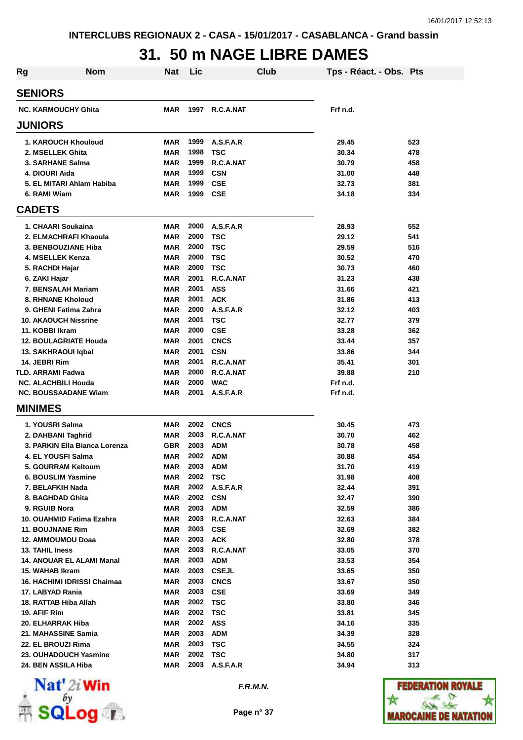# **31. 50 m NAGE LIBRE DAMES**

| Rg                                                        | <b>Nom</b> | Nat                      | Lic          |                         | Club | Tps - Réact. - Obs. Pts |            |
|-----------------------------------------------------------|------------|--------------------------|--------------|-------------------------|------|-------------------------|------------|
| <b>SENIORS</b>                                            |            |                          |              |                         |      |                         |            |
| <b>NC. KARMOUCHY Ghita</b>                                |            | MAR                      | 1997         | R.C.A.NAT               |      | Frf n.d.                |            |
| <b>JUNIORS</b>                                            |            |                          |              |                         |      |                         |            |
| 1. KAROUCH Khouloud                                       |            | <b>MAR</b>               | 1999         | A.S.F.A.R               |      | 29.45                   | 523        |
| 2. MSELLEK Ghita                                          |            | <b>MAR</b>               | 1998         | <b>TSC</b>              |      | 30.34                   | 478        |
| 3. SARHANE Salma                                          |            | <b>MAR</b>               | 1999         | R.C.A.NAT               |      | 30.79                   | 458        |
| 4. DIOURI Aida                                            |            | <b>MAR</b>               | 1999         | <b>CSN</b>              |      | 31.00                   | 448        |
| 5. EL MITARI Ahlam Habiba                                 |            | <b>MAR</b>               | 1999         | <b>CSE</b>              |      | 32.73                   | 381        |
| 6. RAMI Wiam                                              |            | <b>MAR</b>               | 1999         | CSE                     |      | 34.18                   | 334        |
| <b>CADETS</b>                                             |            |                          |              |                         |      |                         |            |
| 1. CHAARI Soukaina                                        |            | <b>MAR</b>               | 2000         | A.S.F.A.R               |      | 28.93                   | 552        |
| 2. ELMACHRAFI Khaoula                                     |            | <b>MAR</b>               | 2000         | <b>TSC</b>              |      | 29.12                   | 541        |
| 3. BENBOUZIANE Hiba                                       |            | <b>MAR</b>               | 2000         | <b>TSC</b>              |      | 29.59                   | 516        |
| 4. MSELLEK Kenza                                          |            | <b>MAR</b>               | 2000         | TSC                     |      | 30.52                   | 470        |
| 5. RACHDI Hajar                                           |            | <b>MAR</b>               | 2000         | <b>TSC</b>              |      | 30.73                   | 460        |
| 6. ZAKI Hajar                                             |            | <b>MAR</b>               | 2001         | R.C.A.NAT               |      | 31.23                   | 438        |
| 7. BENSALAH Mariam                                        |            | <b>MAR</b>               | 2001         | <b>ASS</b>              |      | 31.66                   | 421        |
| <b>8. RHNANE Kholoud</b>                                  |            | <b>MAR</b>               | 2001         | <b>ACK</b>              |      | 31.86                   | 413        |
| 9. GHENI Fatima Zahra                                     |            | <b>MAR</b>               | 2000         | A.S.F.A.R               |      | 32.12                   | 403        |
| <b>10. AKAOUCH Nissrine</b>                               |            | <b>MAR</b>               | 2001         | <b>TSC</b>              |      | 32.77                   | 379        |
| 11. KOBBI Ikram                                           |            | <b>MAR</b>               | 2000         | <b>CSE</b>              |      | 33.28                   | 362        |
| 12. BOULAGRIATE Houda                                     |            | <b>MAR</b>               | 2001         | <b>CNCS</b>             |      | 33.44                   | 357        |
| 13. SAKHRAOUI Iqbal                                       |            | <b>MAR</b>               | 2001         | <b>CSN</b>              |      | 33.86                   | 344        |
| 14. JEBRI Rim                                             |            | <b>MAR</b>               | 2001         | R.C.A.NAT               |      | 35.41                   | 301        |
| TLD. ARRAMI Fadwa                                         |            | <b>MAR</b>               | 2000<br>2000 | R.C.A.NAT               |      | 39.88                   | 210        |
| <b>NC. ALACHBILI Houda</b><br><b>NC. BOUSSAADANE Wiam</b> |            | <b>MAR</b><br><b>MAR</b> | 2001         | <b>WAC</b><br>A.S.F.A.R |      | Frf n.d.<br>Frf n.d.    |            |
| <b>MINIMES</b>                                            |            |                          |              |                         |      |                         |            |
|                                                           |            |                          |              |                         |      |                         |            |
| 1. YOUSRI Salma                                           |            | <b>MAR</b>               | 2002         | <b>CNCS</b>             |      | 30.45                   | 473        |
| 2. DAHBANI Taghrid                                        |            | <b>MAR</b>               | 2003         | R.C.A.NAT               |      | 30.70                   | 462        |
| 3. PARKIN Ella Bianca Lorenza                             |            | <b>GBR</b>               | 2003         | <b>ADM</b>              |      | 30.78                   | 458        |
| 4. EL YOUSFI Salma                                        |            | <b>MAR</b>               | 2002         | <b>ADM</b>              |      | 30.88                   | 454        |
| 5. GOURRAM Keltoum                                        |            | MAR                      | 2003 ADM     |                         |      | 31.70                   | 419        |
| 6. BOUSLIM Yasmine                                        |            | <b>MAR</b>               | 2002 TSC     |                         |      | 31.98                   | 408        |
| 7. BELAFKIH Nada                                          |            | <b>MAR</b>               | 2002 CSN     | 2002 A.S.F.A.R          |      | 32.44                   | 391        |
| 8. BAGHDAD Ghita                                          |            | <b>MAR</b>               |              |                         |      | 32.47                   | 390        |
| 9. RGUIB Nora<br>10. OUAHMID Fatima Ezahra                |            | <b>MAR</b><br><b>MAR</b> | 2003 ADM     | 2003 R.C.A.NAT          |      | 32.59<br>32.63          | 386<br>384 |
| <b>11. BOUJNANE Rim</b>                                   |            | <b>MAR</b>               | 2003 CSE     |                         |      | 32.69                   | 382        |
| 12. AMMOUMOU Doaa                                         |            | <b>MAR</b>               | 2003 ACK     |                         |      | 32.80                   | 378        |
| 13. TAHIL Iness                                           |            | <b>MAR</b>               |              | 2003 R.C.A.NAT          |      | 33.05                   | 370        |
| 14. ANOUAR EL ALAMI Manal                                 |            | <b>MAR</b>               | 2003 ADM     |                         |      | 33.53                   | 354        |
| 15. WAHAB Ikram                                           |            | <b>MAR</b>               |              | 2003 CSEJL              |      | 33.65                   | 350        |
| 16. HACHIMI IDRISSI Chaimaa                               |            | <b>MAR</b>               |              | <b>2003 CNCS</b>        |      | 33.67                   | 350        |
| 17. LABYAD Rania                                          |            | <b>MAR</b>               | 2003 CSE     |                         |      | 33.69                   | 349        |
| 18. RATTAB Hiba Allah                                     |            | <b>MAR</b>               | 2002 TSC     |                         |      | 33.80                   | 346        |
| 19. AFIF Rim                                              |            | <b>MAR</b>               | 2002 TSC     |                         |      | 33.81                   | 345        |
| 20. ELHARRAK Hiba                                         |            | <b>MAR</b>               | 2002 ASS     |                         |      | 34.16                   | 335        |
| 21. MAHASSINE Samia                                       |            | <b>MAR</b>               | 2003 ADM     |                         |      | 34.39                   | 328        |
| 22. EL BROUZI Rima                                        |            | <b>MAR</b>               | 2003 TSC     |                         |      | 34.55                   | 324        |
| 23. OUHADOUCH Yasmine                                     |            | <b>MAR</b>               | 2002 TSC     |                         |      | 34.80                   | 317        |
| 24. BEN ASSILA Hiba                                       |            | MAR                      |              | 2003 A.S.F.A.R          |      | 34.94                   | 313        |



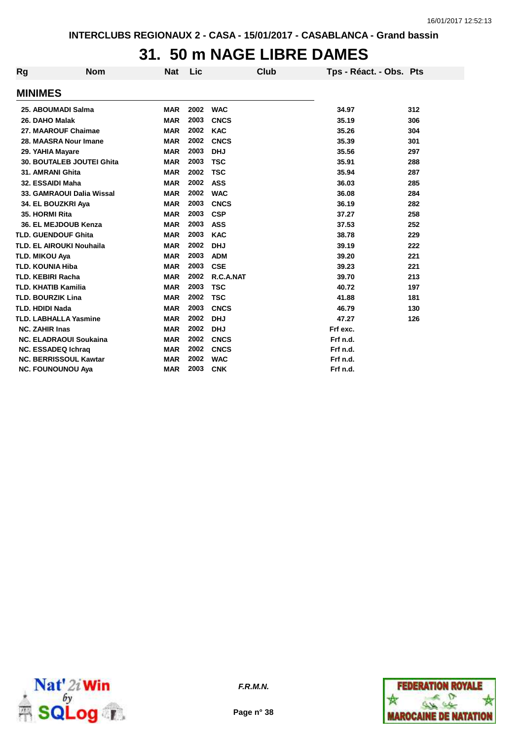### **31. 50 m NAGE LIBRE DAMES**

| <b>Rg</b>                  | <b>Nom</b>                       | Nat        | Lic  | Club        | Tps - Réact. - Obs. Pts |     |
|----------------------------|----------------------------------|------------|------|-------------|-------------------------|-----|
| <b>MINIMES</b>             |                                  |            |      |             |                         |     |
|                            | 25. ABOUMADI Salma               | <b>MAR</b> | 2002 | <b>WAC</b>  | 34.97                   | 312 |
| 26. DAHO Malak             |                                  | <b>MAR</b> | 2003 | <b>CNCS</b> | 35.19                   | 306 |
|                            | 27. MAAROUF Chaimae              | <b>MAR</b> | 2002 | <b>KAC</b>  | 35.26                   | 304 |
|                            | 28. MAASRA Nour Imane            | <b>MAR</b> | 2002 | <b>CNCS</b> | 35.39                   | 301 |
| 29. YAHIA Mayare           |                                  | <b>MAR</b> | 2003 | <b>DHJ</b>  | 35.56                   | 297 |
|                            | <b>30. BOUTALEB JOUTEI Ghita</b> | <b>MAR</b> | 2003 | <b>TSC</b>  | 35.91                   | 288 |
| 31. AMRANI Ghita           |                                  | <b>MAR</b> | 2002 | <b>TSC</b>  | 35.94                   | 287 |
| 32. ESSAIDI Maha           |                                  | <b>MAR</b> | 2002 | <b>ASS</b>  | 36.03                   | 285 |
|                            | 33. GAMRAOUI Dalia Wissal        | <b>MAR</b> | 2002 | <b>WAC</b>  | 36.08                   | 284 |
|                            | 34. EL BOUZKRI Aya               | <b>MAR</b> | 2003 | <b>CNCS</b> | 36.19                   | 282 |
| 35. HORMI Rita             |                                  | <b>MAR</b> | 2003 | <b>CSP</b>  | 37.27                   | 258 |
|                            | 36. EL MEJDOUB Kenza             | <b>MAR</b> | 2003 | <b>ASS</b>  | 37.53                   | 252 |
|                            | <b>TLD. GUENDOUF Ghita</b>       | <b>MAR</b> | 2003 | <b>KAC</b>  | 38.78                   | 229 |
|                            | <b>TLD. EL AIROUKI Nouhaila</b>  | <b>MAR</b> | 2002 | <b>DHJ</b>  | 39.19                   | 222 |
| <b>TLD. MIKOU Aya</b>      |                                  | <b>MAR</b> | 2003 | <b>ADM</b>  | 39.20                   | 221 |
| <b>TLD. KOUNIA Hiba</b>    |                                  | <b>MAR</b> | 2003 | <b>CSE</b>  | 39.23                   | 221 |
| <b>TLD. KEBIRI Racha</b>   |                                  | <b>MAR</b> | 2002 | R.C.A.NAT   | 39.70                   | 213 |
| <b>TLD. KHATIB Kamilia</b> |                                  | <b>MAR</b> | 2003 | <b>TSC</b>  | 40.72                   | 197 |
| <b>TLD. BOURZIK Lina</b>   |                                  | <b>MAR</b> | 2002 | <b>TSC</b>  | 41.88                   | 181 |
| <b>TLD. HDIDI Nada</b>     |                                  | <b>MAR</b> | 2003 | <b>CNCS</b> | 46.79                   | 130 |
|                            | <b>TLD. LABHALLA Yasmine</b>     | <b>MAR</b> | 2002 | <b>DHJ</b>  | 47.27                   | 126 |
| <b>NC. ZAHIR Inas</b>      |                                  | <b>MAR</b> | 2002 | <b>DHJ</b>  | Frf exc.                |     |
|                            | <b>NC. ELADRAOUI Soukaina</b>    | <b>MAR</b> | 2002 | <b>CNCS</b> | Frf n.d.                |     |
|                            | <b>NC. ESSADEQ Ichrag</b>        | <b>MAR</b> | 2002 | <b>CNCS</b> | Frf n.d.                |     |
|                            | <b>NC. BERRISSOUL Kawtar</b>     | <b>MAR</b> | 2002 | <b>WAC</b>  | Frf n.d.                |     |
|                            | <b>NC. FOUNOUNOU Aya</b>         | <b>MAR</b> | 2003 | <b>CNK</b>  | Frf n.d.                |     |



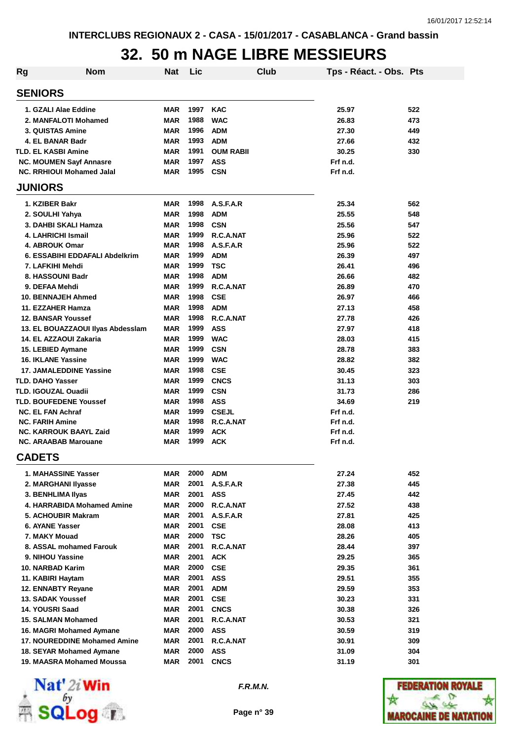# **32. 50 m NAGE LIBRE MESSIEURS**

| Rg                               | <b>Nom</b>                          | <b>Nat</b> | Lic  |                  | Club | Tps - Réact. - Obs. Pts |     |
|----------------------------------|-------------------------------------|------------|------|------------------|------|-------------------------|-----|
| <b>SENIORS</b>                   |                                     |            |      |                  |      |                         |     |
| 1. GZALI Alae Eddine             |                                     | <b>MAR</b> | 1997 | <b>KAC</b>       |      | 25.97                   | 522 |
| 2. MANFALOTI Mohamed             |                                     | <b>MAR</b> | 1988 | <b>WAC</b>       |      | 26.83                   | 473 |
| 3. QUISTAS Amine                 |                                     | <b>MAR</b> | 1996 | <b>ADM</b>       |      | 27.30                   | 449 |
| 4. EL BANAR Badr                 |                                     | <b>MAR</b> | 1993 | <b>ADM</b>       |      | 27.66                   | 432 |
| <b>TLD. EL KASBI Amine</b>       |                                     | <b>MAR</b> | 1991 | <b>OUM RABII</b> |      | 30.25                   | 330 |
| <b>NC. MOUMEN Sayf Annasre</b>   |                                     | <b>MAR</b> | 1997 | <b>ASS</b>       |      | Frf n.d.                |     |
| <b>NC. RRHIOUI Mohamed Jalal</b> |                                     | <b>MAR</b> | 1995 | <b>CSN</b>       |      | Frf n.d.                |     |
| <b>JUNIORS</b>                   |                                     |            |      |                  |      |                         |     |
| 1. KZIBER Bakr                   |                                     | <b>MAR</b> | 1998 | A.S.F.A.R        |      | 25.34                   | 562 |
| 2. SOULHI Yahya                  |                                     | <b>MAR</b> | 1998 | <b>ADM</b>       |      | 25.55                   | 548 |
| 3. DAHBI SKALI Hamza             |                                     | <b>MAR</b> | 1998 | <b>CSN</b>       |      | 25.56                   | 547 |
| 4. LAHRICHI Ismail               |                                     | <b>MAR</b> | 1999 | R.C.A.NAT        |      | 25.96                   | 522 |
| 4. ABROUK Omar                   |                                     | <b>MAR</b> | 1998 | A.S.F.A.R        |      | 25.96                   | 522 |
|                                  | 6. ESSABIHI EDDAFALI Abdelkrim      | <b>MAR</b> | 1999 | <b>ADM</b>       |      | 26.39                   | 497 |
| 7. LAFKIHI Mehdi                 |                                     | <b>MAR</b> | 1999 | TSC              |      | 26.41                   | 496 |
| 8. HASSOUNI Badr                 |                                     | <b>MAR</b> | 1998 | <b>ADM</b>       |      | 26.66                   | 482 |
| 9. DEFAA Mehdi                   |                                     | <b>MAR</b> | 1999 | R.C.A.NAT        |      | 26.89                   | 470 |
| <b>10. BENNAJEH Ahmed</b>        |                                     | <b>MAR</b> | 1998 | <b>CSE</b>       |      | 26.97                   | 466 |
| 11. EZZAHER Hamza                |                                     | <b>MAR</b> | 1998 | <b>ADM</b>       |      | 27.13                   | 458 |
| <b>12. BANSAR Youssef</b>        |                                     | <b>MAR</b> | 1998 | R.C.A.NAT        |      | 27.78                   | 426 |
|                                  | 13. EL BOUAZZAOUI Ilyas Abdesslam   | <b>MAR</b> | 1999 | <b>ASS</b>       |      | 27.97                   | 418 |
| 14. EL AZZAOUI Zakaria           |                                     | <b>MAR</b> | 1999 | <b>WAC</b>       |      | 28.03                   | 415 |
| 15. LEBIED Aymane                |                                     | <b>MAR</b> | 1999 | <b>CSN</b>       |      | 28.78                   | 383 |
| <b>16. IKLANE Yassine</b>        |                                     | <b>MAR</b> | 1999 | <b>WAC</b>       |      | 28.82                   | 382 |
| <b>17. JAMALEDDINE Yassine</b>   |                                     | <b>MAR</b> | 1998 | <b>CSE</b>       |      | 30.45                   | 323 |
| <b>TLD. DAHO Yasser</b>          |                                     | <b>MAR</b> | 1999 | <b>CNCS</b>      |      | 31.13                   | 303 |
| <b>TLD. IGOUZAL Ouadii</b>       |                                     | <b>MAR</b> | 1999 | <b>CSN</b>       |      | 31.73                   | 286 |
| <b>TLD. BOUFEDENE Youssef</b>    |                                     | <b>MAR</b> | 1998 | <b>ASS</b>       |      | 34.69                   | 219 |
| <b>NC. EL FAN Achraf</b>         |                                     | <b>MAR</b> | 1999 | <b>CSEJL</b>     |      | Frf n.d.                |     |
| <b>NC. FARIH Amine</b>           |                                     | <b>MAR</b> | 1998 | R.C.A.NAT        |      | Frf n.d.                |     |
| <b>NC. KARROUK BAAYL Zaid</b>    |                                     | <b>MAR</b> | 1999 | <b>ACK</b>       |      | Frf n.d.                |     |
| <b>NC. ARAABAB Marouane</b>      |                                     | <b>MAR</b> | 1999 | <b>ACK</b>       |      | Frf n.d.                |     |
| <b>CADETS</b>                    |                                     |            |      |                  |      |                         |     |
| 1. MAHASSINE Yasser              |                                     | MAR        | 2000 | ADM              |      | 27.24                   | 452 |
| 2. MARGHANI IIyasse              |                                     | <b>MAR</b> | 2001 | A.S.F.A.R        |      | 27.38                   | 445 |
| 3. BENHLIMA Ilyas                |                                     | <b>MAR</b> | 2001 | <b>ASS</b>       |      | 27.45                   | 442 |
|                                  | 4. HARRABIDA Mohamed Amine          | <b>MAR</b> | 2000 | R.C.A.NAT        |      | 27.52                   | 438 |
| 5. ACHOUBIR Makram               |                                     | <b>MAR</b> | 2001 | A.S.F.A.R        |      | 27.81                   | 425 |
| 6. AYANE Yasser                  |                                     | <b>MAR</b> | 2001 | <b>CSE</b>       |      | 28.08                   | 413 |
| 7. MAKY Mouad                    |                                     | <b>MAR</b> | 2000 | <b>TSC</b>       |      | 28.26                   | 405 |
| 8. ASSAL mohamed Farouk          |                                     | <b>MAR</b> | 2001 | R.C.A.NAT        |      | 28.44                   | 397 |
| 9. NIHOU Yassine                 |                                     | <b>MAR</b> | 2001 | <b>ACK</b>       |      | 29.25                   | 365 |
| 10. NARBAD Karim                 |                                     | <b>MAR</b> | 2000 | CSE              |      | 29.35                   | 361 |
| 11. KABIRI Haytam                |                                     | <b>MAR</b> | 2001 | <b>ASS</b>       |      | 29.51                   | 355 |
| 12. ENNABTY Reyane               |                                     | <b>MAR</b> | 2001 | <b>ADM</b>       |      | 29.59                   | 353 |
| 13. SADAK Youssef                |                                     | <b>MAR</b> | 2001 | <b>CSE</b>       |      | 30.23                   | 331 |
| 14. YOUSRI Saad                  |                                     | <b>MAR</b> | 2001 | <b>CNCS</b>      |      | 30.38                   | 326 |
| 15. SALMAN Mohamed               |                                     | <b>MAR</b> | 2001 | R.C.A.NAT        |      | 30.53                   | 321 |
| 16. MAGRI Mohamed Aymane         |                                     | <b>MAR</b> | 2000 | <b>ASS</b>       |      | 30.59                   | 319 |
|                                  | <b>17. NOUREDDINE Mohamed Amine</b> | <b>MAR</b> | 2001 | R.C.A.NAT        |      | 30.91                   | 309 |
| 18. SEYAR Mohamed Aymane         |                                     | <b>MAR</b> | 2000 | <b>ASS</b>       |      | 31.09                   | 304 |
| 19. MAASRA Mohamed Moussa        |                                     | <b>MAR</b> | 2001 | <b>CNCS</b>      |      | 31.19                   | 301 |



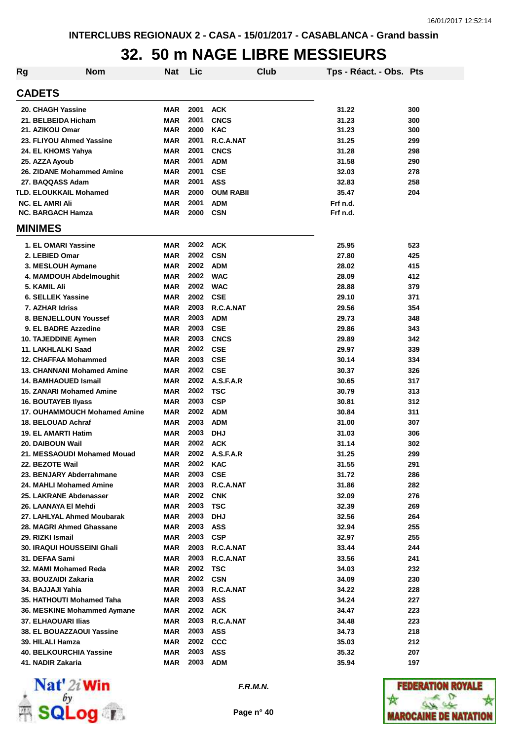### **32. 50 m NAGE LIBRE MESSIEURS**

| <b>Rg</b>                         | Nom                          | <b>Nat</b> | Lic      |                  | Club | Tps - Réact. - Obs. Pts |     |
|-----------------------------------|------------------------------|------------|----------|------------------|------|-------------------------|-----|
| <b>CADETS</b>                     |                              |            |          |                  |      |                         |     |
| 20. CHAGH Yassine                 |                              | <b>MAR</b> | 2001     | <b>ACK</b>       |      | 31.22                   | 300 |
| 21. BELBEIDA Hicham               |                              | <b>MAR</b> | 2001     | <b>CNCS</b>      |      | 31.23                   | 300 |
| 21. AZIKOU Omar                   |                              | <b>MAR</b> | 2000     | <b>KAC</b>       |      | 31.23                   | 300 |
| 23. FLIYOU Ahmed Yassine          |                              | MAR        | 2001     | R.C.A.NAT        |      | 31.25                   | 299 |
| 24. EL KHOMS Yahya                |                              | MAR        | 2001     | <b>CNCS</b>      |      | 31.28                   | 298 |
| 25. AZZA Ayoub                    |                              | MAR        | 2001     | <b>ADM</b>       |      | 31.58                   | 290 |
| 26. ZIDANE Mohammed Amine         |                              | <b>MAR</b> | 2001     | <b>CSE</b>       |      | 32.03                   | 278 |
| 27. BAQQASS Adam                  |                              | <b>MAR</b> | 2001     | <b>ASS</b>       |      | 32.83                   | 258 |
| <b>TLD. ELOUKKAIL Mohamed</b>     |                              | <b>MAR</b> | 2000     | <b>OUM RABII</b> |      | 35.47                   | 204 |
| <b>NC. EL AMRI Ali</b>            |                              | <b>MAR</b> | 2001     | <b>ADM</b>       |      | Frf n.d.                |     |
| <b>NC. BARGACH Hamza</b>          |                              | MAR        | 2000     | <b>CSN</b>       |      | Frf n.d.                |     |
| <b>MINIMES</b>                    |                              |            |          |                  |      |                         |     |
| 1. EL OMARI Yassine               |                              | <b>MAR</b> | 2002     | ACK              |      | 25.95                   | 523 |
| 2. LEBIED Omar                    |                              | <b>MAR</b> | 2002     | <b>CSN</b>       |      | 27.80                   | 425 |
| 3. MESLOUH Aymane                 |                              | MAR        | 2002     | <b>ADM</b>       |      | 28.02                   | 415 |
| 4. MAMDOUH Abdelmoughit           |                              | MAR        | 2002     | <b>WAC</b>       |      | 28.09                   | 412 |
| 5. KAMIL Ali                      |                              | MAR        | 2002     | <b>WAC</b>       |      | 28.88                   | 379 |
| 6. SELLEK Yassine                 |                              | MAR        | 2002     | <b>CSE</b>       |      | 29.10                   | 371 |
| 7. AZHAR Idriss                   |                              | MAR        | 2003     | R.C.A.NAT        |      | 29.56                   | 354 |
| 8. BENJELLOUN Youssef             |                              | MAR        | 2003     | <b>ADM</b>       |      | 29.73                   | 348 |
| 9. EL BADRE Azzedine              |                              | MAR        | 2003     | <b>CSE</b>       |      | 29.86                   | 343 |
| 10. TAJEDDINE Aymen               |                              | MAR        | 2003     | <b>CNCS</b>      |      | 29.89                   | 342 |
| 11. LAKHLALKI Saad                |                              | MAR        | 2002     | <b>CSE</b>       |      | 29.97                   | 339 |
| 12. CHAFFAA Mohammed              |                              | MAR        | 2003     | <b>CSE</b>       |      | 30.14                   | 334 |
| <b>13. CHANNANI Mohamed Amine</b> |                              | MAR        | 2002     | <b>CSE</b>       |      | 30.37                   | 326 |
| <b>14. BAMHAOUED Ismail</b>       |                              | MAR        | 2002     | A.S.F.A.R        |      | 30.65                   | 317 |
| <b>15. ZANARI Mohamed Amine</b>   |                              | MAR        | 2002     | <b>TSC</b>       |      | 30.79                   | 313 |
| <b>16. BOUTAYEB Ilyass</b>        |                              | MAR        | 2003     | <b>CSP</b>       |      | 30.81                   | 312 |
|                                   | 17. OUHAMMOUCH Mohamed Amine | MAR        | 2002     | <b>ADM</b>       |      | 30.84                   | 311 |
| 18. BELOUAD Achraf                |                              | MAR        | 2003     | <b>ADM</b>       |      | 31.00                   | 307 |
| <b>19. EL AMARTI Hatim</b>        |                              | MAR        | 2003     | <b>DHJ</b>       |      | 31.03                   | 306 |
| 20. DAIBOUN Wail                  |                              | MAR        | 2002     | <b>ACK</b>       |      | 31.14                   | 302 |
| 21. MESSAOUDI Mohamed Mouad       |                              | MAR        | 2002     | A.S.F.A.R        |      | 31.25                   | 299 |
| 22. BEZOTE Wail                   |                              | MAR        | 2002     | <b>KAC</b>       |      | 31.55                   | 291 |
| 23. BENJARY Abderrahmane          |                              | MAR        | 2003     | <b>CSE</b>       |      | 31.72                   | 286 |
| 24. MAHLI Mohamed Amine           |                              | MAR        | 2003     | R.C.A.NAT        |      | 31.86                   | 282 |
| 25. LAKRANE Abdenasser            |                              | MAR        | 2002     | <b>CNK</b>       |      | 32.09                   | 276 |
| 26. LAANAYA EI Mehdi              |                              | MAR        | 2003     | <b>TSC</b>       |      | 32.39                   | 269 |
| 27. LAHLYAL Ahmed Moubarak        |                              | <b>MAR</b> | 2003     | <b>DHJ</b>       |      | 32.56                   | 264 |
| 28. MAGRI Ahmed Ghassane          |                              | <b>MAR</b> | 2003     | <b>ASS</b>       |      | 32.94                   | 255 |
| 29. RIZKI Ismail                  |                              | MAR        | 2003     | <b>CSP</b>       |      | 32.97                   | 255 |
| <b>30. IRAQUI HOUSSEINI Ghali</b> |                              | MAR        | 2003     | R.C.A.NAT        |      | 33.44                   | 244 |
| 31. DEFAA Sami                    |                              | MAR        | 2003     | R.C.A.NAT        |      | 33.56                   | 241 |
| 32. MAMI Mohamed Reda             |                              | MAR        | 2002     | <b>TSC</b>       |      | 34.03                   | 232 |
| 33. BOUZAIDI Zakaria              |                              | MAR        | 2002 CSN |                  |      | 34.09                   | 230 |
| 34. BAJJAJI Yahia                 |                              | MAR        | 2003     | R.C.A.NAT        |      | 34.22                   | 228 |
| 35. HATHOUTI Mohamed Taha         |                              | MAR        | 2003     | <b>ASS</b>       |      | 34.24                   | 227 |
| 36. MESKINE Mohammed Aymane       |                              | MAR        | 2002     | <b>ACK</b>       |      | 34.47                   | 223 |
| <b>37. ELHAOUARI Ilias</b>        |                              | MAR        | 2003     | R.C.A.NAT        |      | 34.48                   | 223 |
| <b>38. EL BOUAZZAOUI Yassine</b>  |                              | MAR        | 2003     | <b>ASS</b>       |      | 34.73                   | 218 |
| 39. HILALI Hamza                  |                              | MAR        | 2002     | CCC              |      | 35.03                   | 212 |
| <b>40. BELKOURCHIA Yassine</b>    |                              | MAR        | 2003     | <b>ASS</b>       |      | 35.32                   | 207 |
| 41. NADIR Zakaria                 |                              | MAR        | 2003     | <b>ADM</b>       |      | 35.94                   | 197 |